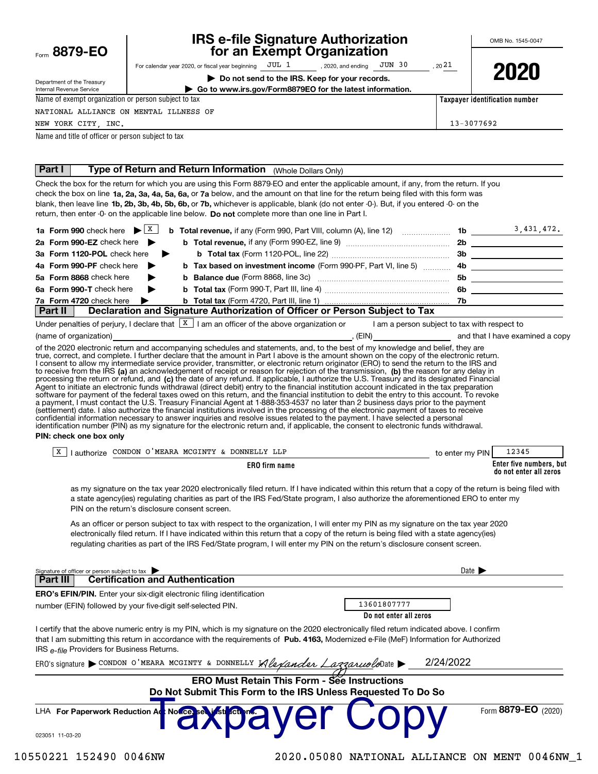| Form 8879-EO |  |  |  |
|--------------|--|--|--|
|--------------|--|--|--|

Internal Revenue Service

## **IRS e-file Signature Authorization** for an Exempt Organization

OMB No. 1545-0047

| nartment of the Treasury |  |  |
|--------------------------|--|--|

For calendar year 2020, or fiscal year beginning  $JUL 1$ **JUN 30** , 2020, and ending

Do not send to the IRS. Keep for your records.



Taxpayer identification number

13-3077692

2021

Go to www.irs.gov/Form8879EO for the latest information.

Name of exempt organization or person subject to tax NATIONAL ALLIANCE ON MENTAL ILLNESS OF

NEW YORK CITY, INC.

(name of organization)

Name and title of officer or person subject to tax

#### | Part I **Type of Return and Return Information** (Whole Dollars Only)

Check the box for the return for which you are using this Form 8879-EO and enter the applicable amount, if any, from the return. If you check the box on line 1a, 2a, 3a, 4a, 5a, 6a, or 7a below, and the amount on that line for the return being filed with this form was blank, then leave line 1b, 2b, 3b, 4b, 5b, 6b, or 7b, whichever is applicable, blank (do not enter -0-). But, if you entered -0- on the return, then enter -0- on the applicable line below. Do not complete more than one line in Part I.

|                                                 |                                                                             |     | 3,431,472. |
|-------------------------------------------------|-----------------------------------------------------------------------------|-----|------------|
| 2a Form 990-EZ check here $\blacktriangleright$ |                                                                             | 2b  |            |
| 3a Form 1120-POL check here ▶                   |                                                                             | 3b  |            |
| 4a Form 990-PF check here $\blacktriangleright$ |                                                                             |     |            |
| 5a Form 8868 check here<br>▶                    |                                                                             | 5b. |            |
| 6a Form 990-T check here<br>$\rightarrow$       |                                                                             | 6b. |            |
| 7a Form 4720 check here $\blacktriangleright$   |                                                                             |     |            |
| Part II                                         | Declaration and Signature Authorization of Officer or Person Subject to Tax |     |            |

Under penalties of perjury, I declare that  $\boxed{\text{X}}$  I am an officer of the above organization or I am a person subject to tax with respect to

and that I have examined a copy

 $, (EIN)$ of the 2020 electronic return and accompanying schedules and statements, and, to the best of my knowledge and belief, they are true, correct, and complete. I further declare that the amount in Part I above is the amount shown on the copy of the electronic return. I consent to allow my intermediate service provider, transmitter, or electronic return originator (ERO) to send the return to the IRS and to receive from the IRS (a) an acknowledgement of receipt or reason for rejection of the transmission, (b) the reason for any delay in processing the return or refund, and (c) the date of any refund. If applicable, I authorize the U.S. Treasury and its designated Financial Agent to initiate an electronic funds withdrawal (direct debit) entry to the financial institution account indicated in the tax preparation<br>software for payment of the federal taxes owed on this return, and the financial i a payment, I must contact the U.S. Treasury Financial Agent at 1-888-353-4537 no later than 2 business days prior to the payment settlement) date. I also authorize the financial institutions involved in the processing of the electronic payment of taxes to receive<br>confidential information necessary to answer inquiries and resolve issues related to th identification number (PIN) as my signature for the electronic return and, if applicable, the consent to electronic funds withdrawal. PIN: check one box only

| A<br>horize | CONDON:<br>ר איז א<br>MEAR.<br>$\mathbf{v}$<br><b>DONNET</b><br>$M^{\prime}$<br>لطت | <b>PIN</b><br>to enter<br>∵mv | 12345                                                  |
|-------------|-------------------------------------------------------------------------------------|-------------------------------|--------------------------------------------------------|
|             | <b>ERO</b> firm name                                                                |                               | . but<br>Enter five numbers.<br>do not enter all zeros |

as my signature on the tax year 2020 electronically filed return. If I have indicated within this return that a copy of the return is being filed with a state agency(ies) regulating charities as part of the IRS Fed/State program, I also authorize the aforementioned ERO to enter my PIN on the return's disclosure consent screen.

As an officer or person subject to tax with respect to the organization, I will enter my PIN as my signature on the tax year 2020 electronically filed return. If I have indicated within this return that a copy of the return is being filed with a state agency(ies) regulating charities as part of the IRS Fed/State program, I will enter my PIN on the return's disclosure consent screen.

| <b>Certification and Authentication</b><br>Part III<br>13601807777<br>number (EFIN) followed by your five-digit self-selected PIN.<br>Do not enter all zeros<br>I certify that the above numeric entry is my PIN, which is my signature on the 2020 electronically filed return indicated above. I confirm<br>that I am submitting this return in accordance with the requirements of Pub. 4163. Modernized e-File (MeF) Information for Authorized<br>IRS e-file Providers for Business Returns.<br>2/24/2022<br>ERO's signature CONDON O'MEARA MCGINTY & DONNELLY $\mathcal{A}\mathcal{L}\mathcal{A}$ and $\mathcal{L}\mathcal{A}$<br><b>ERO Must Retain This Form - See Instructions</b><br>Do Not Submit This Form to the IRS Unless Requested To Do So | Signature of officer or person subject to tax | Date $\blacktriangleright$ |
|-------------------------------------------------------------------------------------------------------------------------------------------------------------------------------------------------------------------------------------------------------------------------------------------------------------------------------------------------------------------------------------------------------------------------------------------------------------------------------------------------------------------------------------------------------------------------------------------------------------------------------------------------------------------------------------------------------------------------------------------------------------|-----------------------------------------------|----------------------------|
| <b>ERO's EFIN/PIN.</b> Enter your six-digit electronic filing identification<br>LHA For Paperwork Reduction Ad Notice served for a Very                                                                                                                                                                                                                                                                                                                                                                                                                                                                                                                                                                                                                     |                                               |                            |
|                                                                                                                                                                                                                                                                                                                                                                                                                                                                                                                                                                                                                                                                                                                                                             |                                               |                            |
|                                                                                                                                                                                                                                                                                                                                                                                                                                                                                                                                                                                                                                                                                                                                                             |                                               |                            |
|                                                                                                                                                                                                                                                                                                                                                                                                                                                                                                                                                                                                                                                                                                                                                             |                                               |                            |
|                                                                                                                                                                                                                                                                                                                                                                                                                                                                                                                                                                                                                                                                                                                                                             |                                               |                            |
|                                                                                                                                                                                                                                                                                                                                                                                                                                                                                                                                                                                                                                                                                                                                                             |                                               |                            |
|                                                                                                                                                                                                                                                                                                                                                                                                                                                                                                                                                                                                                                                                                                                                                             |                                               |                            |
|                                                                                                                                                                                                                                                                                                                                                                                                                                                                                                                                                                                                                                                                                                                                                             |                                               |                            |
|                                                                                                                                                                                                                                                                                                                                                                                                                                                                                                                                                                                                                                                                                                                                                             | 023051 11-03-20                               | Form 8879-EO (2020)        |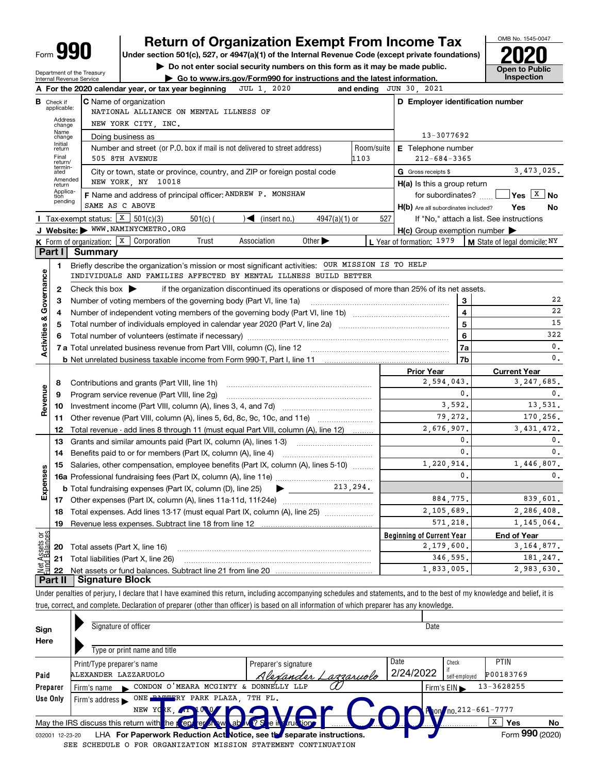| Form |  |
|------|--|

Department of the Treasury

Internal Revenue Service

# **Return of Organization Exempt From Income Tax**

Under section 501(c), 527, or 4947(a)(1) of the Internal Revenue Code (except private foundations)

Do not enter social security numbers on this form as it may be made public.

Go to www.irs.gov/Form990 for instructions and the latest information.



Under penalties of perjury, I declare that I have examined this return, including accompanying schedules and statements, and to the best of my knowledge and belief, it is true, correct, and complete. Declaration of preparer (other than officer) is based on all information of which preparer has any knowledge.

| Sign     | Signature of officer                                                                                         |                            | Date      |                                                |    |  |  |  |  |  |
|----------|--------------------------------------------------------------------------------------------------------------|----------------------------|-----------|------------------------------------------------|----|--|--|--|--|--|
| Here     |                                                                                                              |                            |           |                                                |    |  |  |  |  |  |
|          | Type or print name and title                                                                                 |                            |           |                                                |    |  |  |  |  |  |
|          | Print/Type preparer's name                                                                                   | Preparer's signature       | Date      | <b>PTIN</b><br>Check                           |    |  |  |  |  |  |
| Paid     | ALEXANDER LAZZARUOLO                                                                                         | <u>Alexander Lamaruolo</u> | 2/24/2022 | P00183769<br>self-employed                     |    |  |  |  |  |  |
| Preparer | CONDON O'MEARA MCGINTY & DONNELLY LLP<br>Firm's name                                                         |                            |           | 13-3628255<br>Firm's $EIN \blacktriangleright$ |    |  |  |  |  |  |
| Use Only | <b>DAMMERY PARK PLAZA, 7TH FL.</b><br>ONE 1<br>Firm's address $\blacktriangleright$                          |                            |           |                                                |    |  |  |  |  |  |
|          | Mon no. 212-661-7777<br>1007 V<br>NEW YOKK, AT                                                               |                            |           |                                                |    |  |  |  |  |  |
|          | May the IRS discuss this return with $\log$ (ept or show ab $\sqrt{2S}$ e in functions)                      |                            |           | X<br><b>Yes</b>                                | No |  |  |  |  |  |
|          | Form 990 (2020)<br>LHA For Paperwork Reduction Act Notice, see the separate instructions.<br>032001 12-23-20 |                            |           |                                                |    |  |  |  |  |  |

SEE SCHEDULE O FOR ORGANIZATION MISSION STATEMENT CONTINUATION

OMB No. 1545-0047

**Open to Public** 

Inspection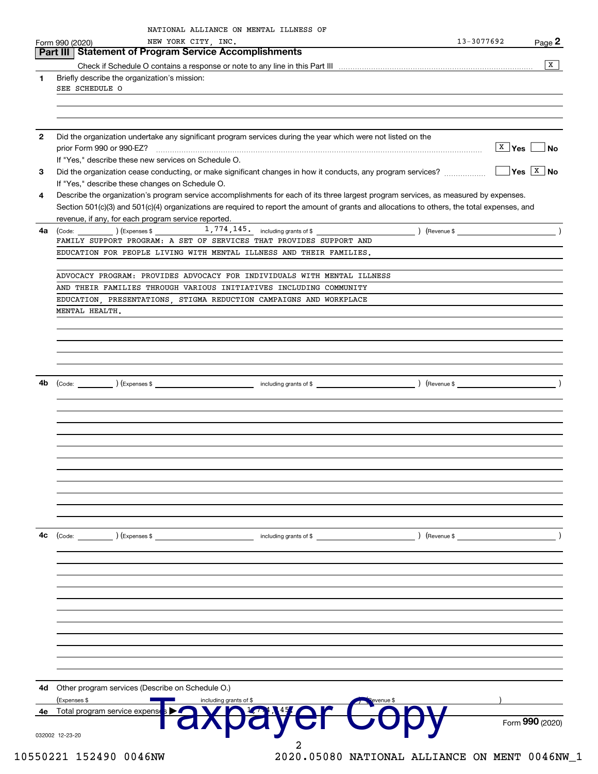|              | NEW YORK CITY, INC.<br>Form 990 (2020)                                                                                                       | 13-3077692                            | Page 2                      |
|--------------|----------------------------------------------------------------------------------------------------------------------------------------------|---------------------------------------|-----------------------------|
|              | Part III   Statement of Program Service Accomplishments                                                                                      |                                       |                             |
|              |                                                                                                                                              |                                       | ΙX                          |
| 1            | Briefly describe the organization's mission:                                                                                                 |                                       |                             |
|              | SEE SCHEDULE O                                                                                                                               |                                       |                             |
|              |                                                                                                                                              |                                       |                             |
|              |                                                                                                                                              |                                       |                             |
| $\mathbf{2}$ | Did the organization undertake any significant program services during the year which were not listed on the                                 |                                       |                             |
|              |                                                                                                                                              | $\overline{\mathtt{x}}$ Yes $\lfloor$ | ∣No                         |
|              | If "Yes," describe these new services on Schedule O.                                                                                         |                                       |                             |
| 3            | Did the organization cease conducting, or make significant changes in how it conducts, any program services?                                 |                                       | $\sqrt{Y}$ es $\sqrt{X}$ No |
|              | If "Yes," describe these changes on Schedule O.                                                                                              |                                       |                             |
| 4            | Describe the organization's program service accomplishments for each of its three largest program services, as measured by expenses.         |                                       |                             |
|              | Section 501(c)(3) and 501(c)(4) organizations are required to report the amount of grants and allocations to others, the total expenses, and |                                       |                             |
|              | revenue, if any, for each program service reported.                                                                                          |                                       |                             |
| 4a           | $\left(\text{Code:}\right)$ $\left(\text{Express $}\right)$ $1,774,145.$ including grants of \$                                              |                                       |                             |
|              | FAMILY SUPPORT PROGRAM: A SET OF SERVICES THAT PROVIDES SUPPORT AND                                                                          |                                       |                             |
|              | EDUCATION FOR PEOPLE LIVING WITH MENTAL ILLNESS AND THEIR FAMILIES.                                                                          |                                       |                             |
|              | ADVOCACY PROGRAM: PROVIDES ADVOCACY FOR INDIVIDUALS WITH MENTAL ILLNESS                                                                      |                                       |                             |
|              | AND THEIR FAMILIES THROUGH VARIOUS INITIATIVES INCLUDING COMMUNITY                                                                           |                                       |                             |
|              | EDUCATION, PRESENTATIONS, STIGMA REDUCTION CAMPAIGNS AND WORKPLACE                                                                           |                                       |                             |
|              | MENTAL HEALTH.                                                                                                                               |                                       |                             |
|              |                                                                                                                                              |                                       |                             |
|              |                                                                                                                                              |                                       |                             |
|              |                                                                                                                                              |                                       |                             |
| 4b           |                                                                                                                                              |                                       |                             |
|              |                                                                                                                                              |                                       |                             |
|              |                                                                                                                                              |                                       |                             |
|              |                                                                                                                                              |                                       |                             |
|              |                                                                                                                                              |                                       |                             |
|              |                                                                                                                                              |                                       |                             |
|              |                                                                                                                                              |                                       |                             |
|              |                                                                                                                                              |                                       |                             |
|              |                                                                                                                                              |                                       |                             |
|              |                                                                                                                                              |                                       |                             |
|              |                                                                                                                                              |                                       |                             |
|              |                                                                                                                                              |                                       |                             |
|              |                                                                                                                                              |                                       |                             |
| 4с           | $\left(\text{Code:}\right)$ $\left(\text{Expenses $}\right)$<br>including grants of \$<br>Revenue \$                                         |                                       |                             |
|              |                                                                                                                                              |                                       |                             |
|              |                                                                                                                                              |                                       |                             |
|              |                                                                                                                                              |                                       |                             |
|              |                                                                                                                                              |                                       |                             |
|              |                                                                                                                                              |                                       |                             |
|              |                                                                                                                                              |                                       |                             |
|              |                                                                                                                                              |                                       |                             |
|              |                                                                                                                                              |                                       |                             |
|              |                                                                                                                                              |                                       |                             |
| 4d           | Other program services (Describe on Schedule O.)                                                                                             |                                       |                             |
| 4e           | (Expenses \$<br>including grants of \$<br>Total program service expense                                                                      |                                       |                             |
|              |                                                                                                                                              |                                       | Form 990 (2020)             |
|              |                                                                                                                                              |                                       |                             |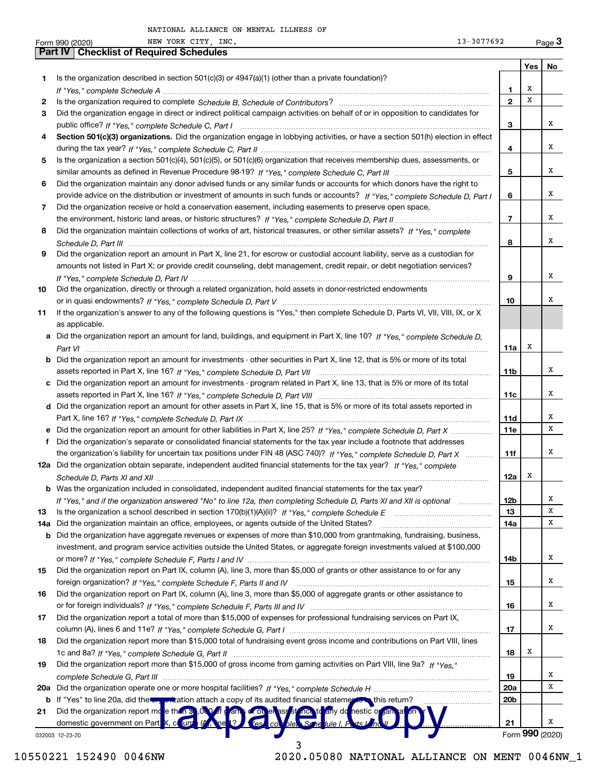|     | 13-3077692<br>NEW YORK CITY, INC.<br>Form 990 (2020)                                                                                  |                 |         | Page $3$        |
|-----|---------------------------------------------------------------------------------------------------------------------------------------|-----------------|---------|-----------------|
|     | <b>Checklist of Required Schedules</b><br><b>Part IV</b>                                                                              |                 |         |                 |
|     |                                                                                                                                       |                 | Yes $ $ | No              |
| 1   | Is the organization described in section $501(c)(3)$ or $4947(a)(1)$ (other than a private foundation)?                               |                 |         |                 |
|     |                                                                                                                                       | 1               | х       |                 |
| 2   |                                                                                                                                       | $\overline{2}$  | X       |                 |
| З   | Did the organization engage in direct or indirect political campaign activities on behalf of or in opposition to candidates for       |                 |         |                 |
|     |                                                                                                                                       | 3               |         | х               |
| 4   | Section 501(c)(3) organizations. Did the organization engage in lobbying activities, or have a section 501(h) election in effect      |                 |         |                 |
|     |                                                                                                                                       | 4               |         | x               |
| 5   | Is the organization a section 501(c)(4), 501(c)(5), or 501(c)(6) organization that receives membership dues, assessments, or          |                 |         |                 |
|     |                                                                                                                                       | 5               |         | x               |
| 6   | Did the organization maintain any donor advised funds or any similar funds or accounts for which donors have the right to             |                 |         |                 |
|     | provide advice on the distribution or investment of amounts in such funds or accounts? If "Yes," complete Schedule D, Part I          | 6               |         | x               |
| 7   | Did the organization receive or hold a conservation easement, including easements to preserve open space,                             |                 |         |                 |
|     |                                                                                                                                       | $\overline{7}$  |         | х               |
| 8   | Did the organization maintain collections of works of art, historical treasures, or other similar assets? If "Yes," complete          |                 |         |                 |
|     |                                                                                                                                       | 8               |         | x               |
| 9   | Did the organization report an amount in Part X, line 21, for escrow or custodial account liability, serve as a custodian for         |                 |         |                 |
|     | amounts not listed in Part X; or provide credit counseling, debt management, credit repair, or debt negotiation services?             |                 |         |                 |
|     |                                                                                                                                       | 9               |         | х               |
| 10  | Did the organization, directly or through a related organization, hold assets in donor-restricted endowments                          |                 |         |                 |
|     |                                                                                                                                       | 10              |         | х               |
| 11  | If the organization's answer to any of the following questions is "Yes," then complete Schedule D, Parts VI, VII, VIII, IX, or X      |                 |         |                 |
|     | as applicable.                                                                                                                        |                 |         |                 |
|     | a Did the organization report an amount for land, buildings, and equipment in Part X, line 10? If "Yes," complete Schedule D,         |                 |         |                 |
|     |                                                                                                                                       | 11a             | х       |                 |
|     | <b>b</b> Did the organization report an amount for investments - other securities in Part X, line 12, that is 5% or more of its total |                 |         |                 |
|     |                                                                                                                                       | 11b             |         | x               |
|     | c Did the organization report an amount for investments - program related in Part X, line 13, that is 5% or more of its total         |                 |         |                 |
|     |                                                                                                                                       | 11c             |         | х               |
|     | d Did the organization report an amount for other assets in Part X, line 15, that is 5% or more of its total assets reported in       |                 |         |                 |
|     |                                                                                                                                       | 11d             |         | х               |
|     | e Did the organization report an amount for other liabilities in Part X, line 25? If "Yes," complete Schedule D, Part X               | 11e             |         | x               |
| f   | Did the organization's separate or consolidated financial statements for the tax year include a footnote that addresses               |                 |         |                 |
|     | the organization's liability for uncertain tax positions under FIN 48 (ASC 740)? If "Yes," complete Schedule D, Part X                | 11f             |         | X               |
|     | 12a Did the organization obtain separate, independent audited financial statements for the tax year? If "Yes," complete               |                 |         |                 |
|     |                                                                                                                                       | 12a             | X       |                 |
|     | <b>b</b> Was the organization included in consolidated, independent audited financial statements for the tax year?                    |                 |         |                 |
|     | If "Yes," and if the organization answered "No" to line 12a, then completing Schedule D, Parts XI and XII is optional                 | 12b             |         | x               |
| 13  |                                                                                                                                       | 13              |         | х               |
| 14a | Did the organization maintain an office, employees, or agents outside of the United States?                                           | 14a             |         | X               |
| b   | Did the organization have aggregate revenues or expenses of more than \$10,000 from grantmaking, fundraising, business,               |                 |         |                 |
|     | investment, and program service activities outside the United States, or aggregate foreign investments valued at \$100,000            |                 |         |                 |
|     |                                                                                                                                       | 14b             |         | х               |
| 15  | Did the organization report on Part IX, column (A), line 3, more than \$5,000 of grants or other assistance to or for any             |                 |         |                 |
|     |                                                                                                                                       | 15              |         | х               |
| 16  | Did the organization report on Part IX, column (A), line 3, more than \$5,000 of aggregate grants or other assistance to              |                 |         |                 |
|     |                                                                                                                                       | 16              |         | х               |
| 17  | Did the organization report a total of more than \$15,000 of expenses for professional fundraising services on Part IX,               |                 |         |                 |
|     |                                                                                                                                       | 17              |         | х               |
| 18  | Did the organization report more than \$15,000 total of fundraising event gross income and contributions on Part VIII, lines          |                 |         |                 |
|     |                                                                                                                                       | 18              | х       |                 |
| 19  | Did the organization report more than \$15,000 of gross income from gaming activities on Part VIII, line 9a? If "Yes."                |                 |         |                 |
|     |                                                                                                                                       | 19              |         | x               |
| 20a |                                                                                                                                       | 20a             |         | х               |
| b   | If "Yes" to line 20a, did the way mization attach a copy of its audited financial statements this return?                             | 20 <sub>b</sub> |         |                 |
| 21  | Did the organization report md e than so OLO of dames of on eness stand to any dd nestic or ran at                                    |                 |         |                 |
|     | domestic government on Part X, count (A, ne 1?<br>" (es. co. ble. Sche lule I. P.                                                     | 21              |         | х               |
|     | 032003 12-23-20                                                                                                                       |                 |         | Form 990 (2020) |

10550221 152490 0046NW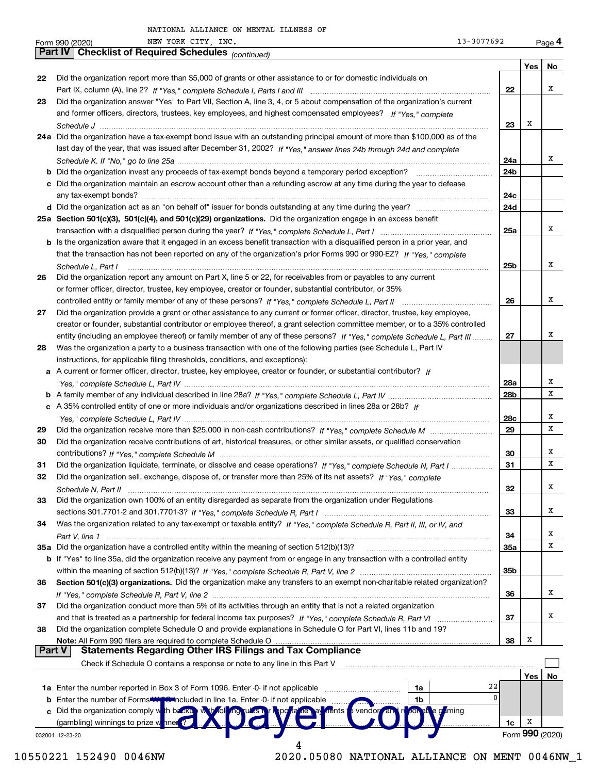|               | NEW YORK CITY INC.<br>13-3077692<br>Form 990 (2020)                                                                                         |                 |     | <u>Page</u> 4   |
|---------------|---------------------------------------------------------------------------------------------------------------------------------------------|-----------------|-----|-----------------|
|               | Part IV   Checklist of Required Schedules (continued)                                                                                       |                 |     |                 |
|               |                                                                                                                                             |                 | Yes | No              |
| 22            | Did the organization report more than \$5,000 of grants or other assistance to or for domestic individuals on                               |                 |     |                 |
|               |                                                                                                                                             | 22              |     | х               |
| 23            | Did the organization answer "Yes" to Part VII, Section A, line 3, 4, or 5 about compensation of the organization's current                  |                 |     |                 |
|               | and former officers, directors, trustees, key employees, and highest compensated employees? If "Yes," complete                              |                 |     |                 |
|               |                                                                                                                                             | 23              | Х   |                 |
|               | 24a Did the organization have a tax-exempt bond issue with an outstanding principal amount of more than \$100,000 as of the                 |                 |     |                 |
|               | last day of the year, that was issued after December 31, 2002? If "Yes," answer lines 24b through 24d and complete                          |                 |     |                 |
|               |                                                                                                                                             | 24a             |     | х               |
|               | <b>b</b> Did the organization invest any proceeds of tax-exempt bonds beyond a temporary period exception? <i>mmmmmmmmmm</i>                | 24 <sub>b</sub> |     |                 |
|               | c Did the organization maintain an escrow account other than a refunding escrow at any time during the year to defease                      |                 |     |                 |
|               |                                                                                                                                             | 24c             |     |                 |
|               |                                                                                                                                             | 24d             |     |                 |
|               | 25a Section 501(c)(3), 501(c)(4), and 501(c)(29) organizations. Did the organization engage in an excess benefit                            |                 |     |                 |
|               |                                                                                                                                             | 25a             |     | х               |
|               | b Is the organization aware that it engaged in an excess benefit transaction with a disqualified person in a prior year, and                |                 |     |                 |
|               | that the transaction has not been reported on any of the organization's prior Forms 990 or 990-EZ? If "Yes," complete                       |                 |     |                 |
|               | Schedule L. Part I                                                                                                                          | 25 <sub>b</sub> |     | х               |
| 26            | Did the organization report any amount on Part X, line 5 or 22, for receivables from or payables to any current                             |                 |     |                 |
|               | or former officer, director, trustee, key employee, creator or founder, substantial contributor, or 35%                                     |                 |     |                 |
|               |                                                                                                                                             | 26              |     | х               |
| 27            | Did the organization provide a grant or other assistance to any current or former officer, director, trustee, key employee,                 |                 |     |                 |
|               | creator or founder, substantial contributor or employee thereof, a grant selection committee member, or to a 35% controlled                 |                 |     |                 |
|               | entity (including an employee thereof) or family member of any of these persons? If "Yes," complete Schedule L, Part III                    | 27              |     | х               |
| 28            | Was the organization a party to a business transaction with one of the following parties (see Schedule L, Part IV                           |                 |     |                 |
|               | instructions, for applicable filing thresholds, conditions, and exceptions):                                                                |                 |     |                 |
|               | a A current or former officer, director, trustee, key employee, creator or founder, or substantial contributor? If                          |                 |     |                 |
|               |                                                                                                                                             | 28a             |     | х               |
|               |                                                                                                                                             | 28 <sub>b</sub> |     | х               |
|               |                                                                                                                                             |                 |     |                 |
|               | c A 35% controlled entity of one or more individuals and/or organizations described in lines 28a or 28b? If                                 |                 |     | х               |
|               |                                                                                                                                             | 28c             |     | х               |
| 29            |                                                                                                                                             | 29              |     |                 |
| 30            | Did the organization receive contributions of art, historical treasures, or other similar assets, or qualified conservation                 |                 |     | х               |
|               |                                                                                                                                             | 30              |     | х               |
| 31            | Did the organization liquidate, terminate, or dissolve and cease operations? If "Yes," complete Schedule N, Part I                          | 31              |     |                 |
| 32            | Did the organization sell, exchange, dispose of, or transfer more than 25% of its net assets? If "Yes," complete                            |                 |     |                 |
|               |                                                                                                                                             | 32              |     | х               |
| 33            | Did the organization own 100% of an entity disregarded as separate from the organization under Regulations                                  |                 |     |                 |
|               |                                                                                                                                             | 33              |     | х               |
| 34            | Was the organization related to any tax-exempt or taxable entity? If "Yes," complete Schedule R, Part II, III, or IV, and                   |                 |     |                 |
|               | Part V, line 1                                                                                                                              | 34              |     | х               |
|               | 35a Did the organization have a controlled entity within the meaning of section 512(b)(13)?                                                 | 35a             |     | х               |
|               | <b>b</b> If "Yes" to line 35a, did the organization receive any payment from or engage in any transaction with a controlled entity          |                 |     |                 |
|               |                                                                                                                                             | 35b             |     |                 |
| 36            | Section 501(c)(3) organizations. Did the organization make any transfers to an exempt non-charitable related organization?                  |                 |     |                 |
|               |                                                                                                                                             | 36              |     | x               |
| 37            | Did the organization conduct more than 5% of its activities through an entity that is not a related organization                            |                 |     |                 |
|               |                                                                                                                                             | 37              |     | x               |
| 38            | Did the organization complete Schedule O and provide explanations in Schedule O for Part VI, lines 11b and 19?                              |                 |     |                 |
|               | Note: All Form 990 filers are required to complete Schedule O                                                                               | 38              | x   |                 |
| <b>Part V</b> | <b>Statements Regarding Other IRS Filings and Tax Compliance</b>                                                                            |                 |     |                 |
|               | Check if Schedule O contains a response or note to any line in this Part V                                                                  |                 |     |                 |
|               |                                                                                                                                             |                 | Yes | No              |
|               | 1a Enter the number reported in Box 3 of Form 1096. Enter -0- if not applicable<br>1a                                                       | 22              |     |                 |
| b             | Enter the number of Forms <b>Wing Chinciuded in line 1a.</b> Enter -0- if not applicable<br>1 <sub>b</sub>                                  | $\Omega$        |     |                 |
|               | c Did the organization comply with backup with following tubes in<br>ab e g <sup>ri</sup> ming<br>vendor an<br><b>Inents</b> 1<br>r Nepo ta |                 |     |                 |
|               | (gambling) winnings to prize wanner                                                                                                         | 1c              | Х   |                 |
|               | 032004 12-23-20                                                                                                                             |                 |     | Form 990 (2020) |
|               |                                                                                                                                             |                 |     |                 |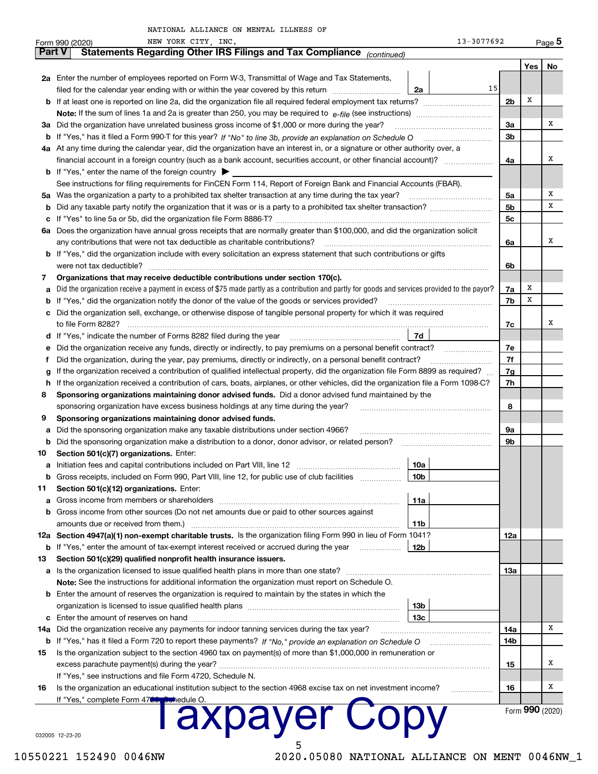|        | NEW YORK CITY, INC.<br>Form 990 (2020)                                                                                                          |                 | 13-3077692     |                | <u>Page</u> 5 |  |  |  |
|--------|-------------------------------------------------------------------------------------------------------------------------------------------------|-----------------|----------------|----------------|---------------|--|--|--|
| Part V | Statements Regarding Other IRS Filings and Tax Compliance (continued)                                                                           |                 |                |                |               |  |  |  |
|        |                                                                                                                                                 |                 |                | Yes            | No            |  |  |  |
|        | 2a Enter the number of employees reported on Form W-3, Transmittal of Wage and Tax Statements,                                                  |                 |                |                |               |  |  |  |
|        | filed for the calendar year ending with or within the year covered by this return                                                               | 2a              | 15             |                |               |  |  |  |
|        | <b>b</b> If at least one is reported on line 2a, did the organization file all required federal employment tax returns?                         |                 | 2 <sub>b</sub> | х              |               |  |  |  |
|        | Note: If the sum of lines 1a and 2a is greater than 250, you may be required to $e$ -file (see instructions) <i>marrouum</i> manu-              |                 |                |                |               |  |  |  |
|        | 3a Did the organization have unrelated business gross income of \$1,000 or more during the year?                                                |                 | 3a             |                | x             |  |  |  |
|        | b If "Yes," has it filed a Form 990-T for this year? If "No" to line 3b, provide an explanation on Schedule O                                   |                 | 3 <sub>b</sub> |                |               |  |  |  |
|        | 4a At any time during the calendar year, did the organization have an interest in, or a signature or other authority over, a                    |                 |                |                |               |  |  |  |
|        |                                                                                                                                                 |                 | 4a             |                | х             |  |  |  |
|        | <b>b</b> If "Yes," enter the name of the foreign country $\triangleright$                                                                       |                 |                |                |               |  |  |  |
|        | See instructions for filing requirements for FinCEN Form 114, Report of Foreign Bank and Financial Accounts (FBAR).                             |                 |                |                |               |  |  |  |
|        | 5a Was the organization a party to a prohibited tax shelter transaction at any time during the tax year?                                        |                 | 5a             |                | х             |  |  |  |
| b      |                                                                                                                                                 |                 | 5b             |                | х             |  |  |  |
| c      |                                                                                                                                                 |                 | 5 <sub>c</sub> |                |               |  |  |  |
| 6а     | Does the organization have annual gross receipts that are normally greater than \$100,000, and did the organization solicit                     |                 |                |                |               |  |  |  |
|        | any contributions that were not tax deductible as charitable contributions?                                                                     |                 | 6a             |                | х             |  |  |  |
|        | <b>b</b> If "Yes," did the organization include with every solicitation an express statement that such contributions or gifts                   |                 |                |                |               |  |  |  |
|        | were not tax deductible?                                                                                                                        |                 | 6b             |                |               |  |  |  |
| 7      | Organizations that may receive deductible contributions under section 170(c).                                                                   |                 |                |                |               |  |  |  |
| а      | Did the organization receive a payment in excess of \$75 made partly as a contribution and partly for goods and services provided to the payor? |                 | 7a             | х              |               |  |  |  |
| b      | If "Yes," did the organization notify the donor of the value of the goods or services provided?                                                 |                 | 7b             | x              |               |  |  |  |
|        | c Did the organization sell, exchange, or otherwise dispose of tangible personal property for which it was required                             |                 |                |                |               |  |  |  |
|        | to file Form 8282?                                                                                                                              |                 | 7c             |                | х             |  |  |  |
|        | <b>d</b> If "Yes," indicate the number of Forms 8282 filed during the year                                                                      | 7d              |                |                |               |  |  |  |
| е      | Did the organization receive any funds, directly or indirectly, to pay premiums on a personal benefit contract?                                 |                 | 7e             |                |               |  |  |  |
| Ť.     | Did the organization, during the year, pay premiums, directly or indirectly, on a personal benefit contract?                                    |                 | 7f             |                |               |  |  |  |
| g      | If the organization received a contribution of qualified intellectual property, did the organization file Form 8899 as required?                |                 | 7g             |                |               |  |  |  |
| h.     | If the organization received a contribution of cars, boats, airplanes, or other vehicles, did the organization file a Form 1098-C?              |                 | 7h             |                |               |  |  |  |
| 8      | Sponsoring organizations maintaining donor advised funds. Did a donor advised fund maintained by the                                            |                 |                |                |               |  |  |  |
|        | sponsoring organization have excess business holdings at any time during the year?                                                              |                 | 8              |                |               |  |  |  |
| 9      | Sponsoring organizations maintaining donor advised funds.                                                                                       |                 |                |                |               |  |  |  |
| а      | Did the sponsoring organization make any taxable distributions under section 4966?                                                              |                 | 9а             |                |               |  |  |  |
| b      | Did the sponsoring organization make a distribution to a donor, donor advisor, or related person?                                               |                 | 9b             |                |               |  |  |  |
| 10     | Section 501(c)(7) organizations. Enter:                                                                                                         |                 |                |                |               |  |  |  |
| a      |                                                                                                                                                 | 10a             |                |                |               |  |  |  |
|        | <b>b</b> Gross receipts, included on Form 990, Part VIII, line 12, for public use of club facilities                                            | 10b             |                |                |               |  |  |  |
| 11     | Section 501(c)(12) organizations. Enter:                                                                                                        |                 |                |                |               |  |  |  |
| а      |                                                                                                                                                 | 11a             |                |                |               |  |  |  |
| b      | Gross income from other sources (Do not net amounts due or paid to other sources against                                                        |                 |                |                |               |  |  |  |
|        | amounts due or received from them.)                                                                                                             | 11 <sub>b</sub> |                |                |               |  |  |  |
|        | 12a Section 4947(a)(1) non-exempt charitable trusts. Is the organization filing Form 990 in lieu of Form 1041?                                  |                 | 12a            |                |               |  |  |  |
| b      | If "Yes," enter the amount of tax-exempt interest received or accrued during the year                                                           | 12b             |                |                |               |  |  |  |
| 13     | Section 501(c)(29) qualified nonprofit health insurance issuers.                                                                                |                 |                |                |               |  |  |  |
| a      | Is the organization licensed to issue qualified health plans in more than one state?                                                            |                 | 13а            |                |               |  |  |  |
|        | Note: See the instructions for additional information the organization must report on Schedule O.                                               |                 |                |                |               |  |  |  |
|        | <b>b</b> Enter the amount of reserves the organization is required to maintain by the states in which the                                       |                 |                |                |               |  |  |  |
|        |                                                                                                                                                 | 13b             |                |                |               |  |  |  |
| c      |                                                                                                                                                 | 13с             |                |                |               |  |  |  |
| 14a    | Did the organization receive any payments for indoor tanning services during the tax year?                                                      |                 | 14a            |                | x             |  |  |  |
| b      |                                                                                                                                                 |                 | 14b            |                |               |  |  |  |
| 15     | Is the organization subject to the section 4960 tax on payment(s) of more than \$1,000,000 in remuneration or                                   |                 |                |                |               |  |  |  |
|        |                                                                                                                                                 |                 | 15             |                | Χ             |  |  |  |
|        | If "Yes," see instructions and file Form 4720, Schedule N.                                                                                      |                 |                |                |               |  |  |  |
| 16     | Is the organization an educational institution subject to the section 4968 excise tax on net investment income?                                 | .               | 16             |                | Χ             |  |  |  |
|        | If "Yes," complete Form 47 <sup>20</sup> , Cuhedule O.                                                                                          |                 |                |                |               |  |  |  |
|        | <b>laxpayer Copy</b>                                                                                                                            |                 |                | Form 990 (2020 |               |  |  |  |
|        |                                                                                                                                                 |                 |                |                |               |  |  |  |
|        |                                                                                                                                                 |                 |                |                |               |  |  |  |

 $\overline{5}$ 

032005 12-23-20

## 10550221 152490 0046NW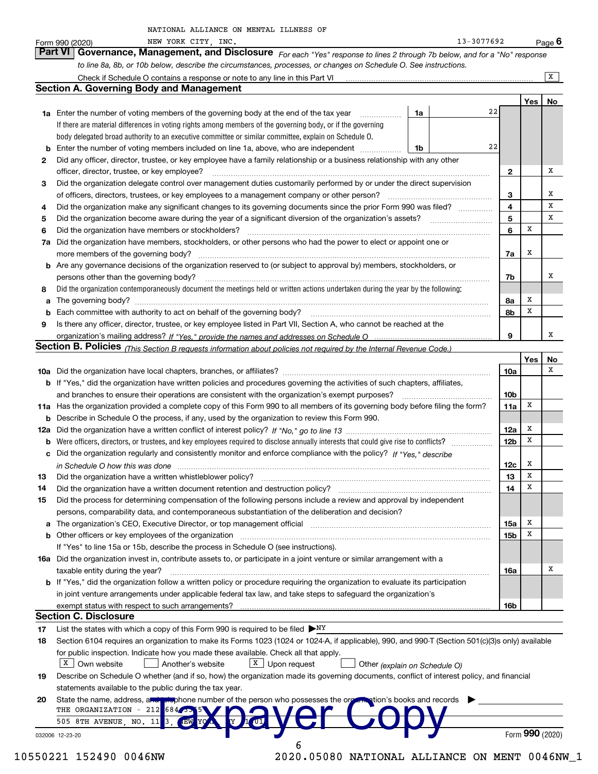| NATIONAL ALLIANCE ON MENTAL ILLNESS OF |  |  |
|----------------------------------------|--|--|
|                                        |  |  |
|                                        |  |  |
|                                        |  |  |

|    | 13-3077692<br>NEW YORK CITY, INC.<br>Form 990 (2020)                                                                                                              |                 |     | <u>Pag</u> e 6  |
|----|-------------------------------------------------------------------------------------------------------------------------------------------------------------------|-----------------|-----|-----------------|
|    | Part VI<br>Governance, Management, and Disclosure For each "Yes" response to lines 2 through 7b below, and for a "No" response                                    |                 |     |                 |
|    | to line 8a, 8b, or 10b below, describe the circumstances, processes, or changes on Schedule O. See instructions.                                                  |                 |     |                 |
|    | Check if Schedule O contains a response or note to any line in this Part VI [11] [12] Check if Schedule O contains a response or note to any line in this Part VI |                 |     | $\mathbf{X}$    |
|    | <b>Section A. Governing Body and Management</b>                                                                                                                   |                 |     |                 |
|    |                                                                                                                                                                   |                 | Yes | No              |
|    | <b>1a</b> Enter the number of voting members of the governing body at the end of the tax year<br>1a                                                               | 22              |     |                 |
|    | If there are material differences in voting rights among members of the governing body, or if the governing                                                       |                 |     |                 |
|    | body delegated broad authority to an executive committee or similar committee, explain on Schedule O.                                                             |                 |     |                 |
| b  | Enter the number of voting members included on line 1a, above, who are independent<br>1b                                                                          | 22              |     |                 |
| 2  | Did any officer, director, trustee, or key employee have a family relationship or a business relationship with any other                                          |                 |     |                 |
|    | officer, director, trustee, or key employee?                                                                                                                      | 2               |     | х               |
| 3  | Did the organization delegate control over management duties customarily performed by or under the direct supervision                                             |                 |     |                 |
|    | of officers, directors, trustees, or key employees to a management company or other person?                                                                       | 3               |     | х               |
| 4  | Did the organization make any significant changes to its governing documents since the prior Form 990 was filed?                                                  | 4               |     | х               |
| 5  |                                                                                                                                                                   | 5               |     | x               |
| 6  | Did the organization have members or stockholders?                                                                                                                | 6               | X   |                 |
| 7a | Did the organization have members, stockholders, or other persons who had the power to elect or appoint one or                                                    |                 |     |                 |
|    | more members of the governing body?                                                                                                                               | 7a              | х   |                 |
|    | <b>b</b> Are any governance decisions of the organization reserved to (or subject to approval by) members, stockholders, or                                       |                 |     |                 |
|    | persons other than the governing body?                                                                                                                            | 7b              |     | х               |
| 8  | Did the organization contemporaneously document the meetings held or written actions undertaken during the year by the following:                                 |                 |     |                 |
| a  | The governing body?                                                                                                                                               | 8а              | х   |                 |
| b  |                                                                                                                                                                   | 8b              | X   |                 |
| 9  | Is there any officer, director, trustee, or key employee listed in Part VII, Section A, who cannot be reached at the                                              |                 |     |                 |
|    |                                                                                                                                                                   | 9               |     | х               |
|    | <b>Section B. Policies</b> (This Section B requests information about policies not required by the Internal Revenue Code.)                                        |                 |     |                 |
|    |                                                                                                                                                                   |                 | Yes | No              |
|    |                                                                                                                                                                   | 10a             |     | х               |
|    | <b>b</b> If "Yes," did the organization have written policies and procedures governing the activities of such chapters, affiliates,                               |                 |     |                 |
|    | and branches to ensure their operations are consistent with the organization's exempt purposes?                                                                   | 10b             |     |                 |
|    | 11a Has the organization provided a complete copy of this Form 990 to all members of its governing body before filing the form?                                   | 11a             | х   |                 |
|    | <b>b</b> Describe in Schedule O the process, if any, used by the organization to review this Form 990.                                                            |                 |     |                 |
|    |                                                                                                                                                                   | 12a             | х   |                 |
|    |                                                                                                                                                                   | 12 <sub>b</sub> | х   |                 |
|    | c Did the organization regularly and consistently monitor and enforce compliance with the policy? If "Yes," describe                                              |                 |     |                 |
|    | in Schedule O how this was done manufactured and contain an according to the state of the state of the state o                                                    | 12c             | х   |                 |
|    |                                                                                                                                                                   | 13              | X   |                 |
| 14 | Did the organization have a written document retention and destruction policy?                                                                                    | 14              | х   |                 |
| 15 | Did the process for determining compensation of the following persons include a review and approval by independent                                                |                 |     |                 |
|    | persons, comparability data, and contemporaneous substantiation of the deliberation and decision?                                                                 |                 |     |                 |
| a  | The organization's CEO, Executive Director, or top management official                                                                                            | 15a             | x   |                 |
|    |                                                                                                                                                                   | 15b             | x   |                 |
|    | If "Yes" to line 15a or 15b, describe the process in Schedule O (see instructions).                                                                               |                 |     |                 |
|    | 16a Did the organization invest in, contribute assets to, or participate in a joint venture or similar arrangement with a                                         |                 |     | х               |
|    | taxable entity during the year?                                                                                                                                   | 16a             |     |                 |
|    | b If "Yes," did the organization follow a written policy or procedure requiring the organization to evaluate its participation                                    |                 |     |                 |
|    | in joint venture arrangements under applicable federal tax law, and take steps to safeguard the organization's                                                    |                 |     |                 |
|    | exempt status with respect to such arrangements?<br><b>Section C. Disclosure</b>                                                                                  | 16b             |     |                 |
| 17 | List the states with which a copy of this Form 990 is required to be filed $\triangleright_{\text{NY}}$                                                           |                 |     |                 |
|    | Section 6104 requires an organization to make its Forms 1023 (1024 or 1024-A, if applicable), 990, and 990-T (Section 501(c)(3)s only) available                  |                 |     |                 |
| 18 | for public inspection. Indicate how you made these available. Check all that apply.                                                                               |                 |     |                 |
|    | $X$ Upon request<br>$X$ Own website<br>Another's website<br>Other (explain on Schedule O)                                                                         |                 |     |                 |
| 19 | Describe on Schedule O whether (and if so, how) the organization made its governing documents, conflict of interest policy, and financial                         |                 |     |                 |
|    | statements available to the public during the tax year.                                                                                                           |                 |     |                 |
| 20 | State the name, address, and problem umber of the person who possesses the organization's books and records                                                       |                 |     |                 |
|    | THE ORGANIZATION - 212<br>$684 \cdot 555$                                                                                                                         |                 |     |                 |
|    | 505 8TH AVENUE, NO. 11                                                                                                                                            |                 |     |                 |
|    | 032006 12-23-20                                                                                                                                                   |                 |     | Form 990 (2020) |
|    |                                                                                                                                                                   |                 |     |                 |

## 10550221 152490 0046NW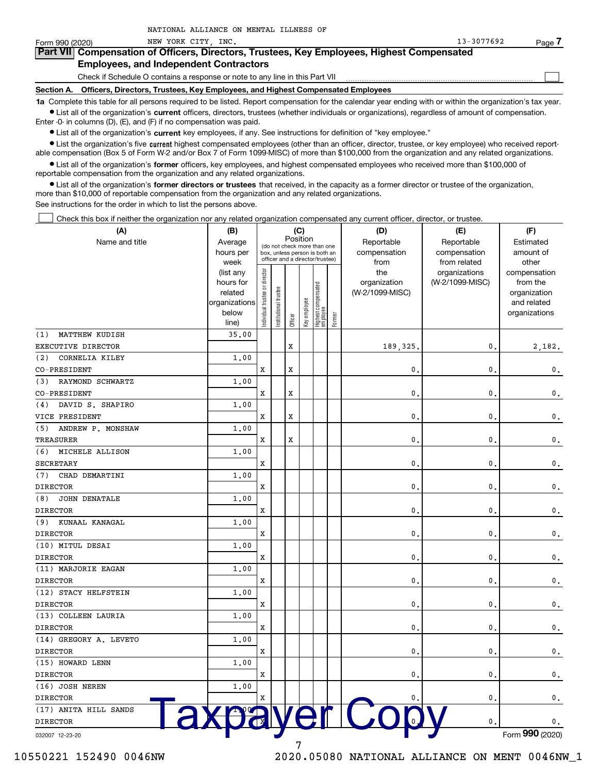| Form 990 (2020)                                                                            | NEW YORK CITY INC.                                                                                                                                         | 13-3077692 | Page |  |  |  |  |  |  |
|--------------------------------------------------------------------------------------------|------------------------------------------------------------------------------------------------------------------------------------------------------------|------------|------|--|--|--|--|--|--|
| Part VII Compensation of Officers, Directors, Trustees, Key Employees, Highest Compensated |                                                                                                                                                            |            |      |  |  |  |  |  |  |
|                                                                                            | <b>Employees, and Independent Contractors</b>                                                                                                              |            |      |  |  |  |  |  |  |
|                                                                                            | Check if Schedule O contains a response or note to any line in this Part VII                                                                               |            |      |  |  |  |  |  |  |
|                                                                                            | Officers, Directors, Trustees, Key Employees, and Highest Compensated Employees<br>Section A.                                                              |            |      |  |  |  |  |  |  |
|                                                                                            | 1a Complete this table for all persons required to be listed. Report compensation for the calendar year ending with or within the organization's tax year. |            |      |  |  |  |  |  |  |

· List all of the organization's current officers, directors, trustees (whether individuals or organizations), regardless of amount of compensation. Enter -0- in columns (D), (E), and (F) if no compensation was paid.

• List all of the organization's current key employees, if any. See instructions for definition of "key employee."

NATIONAL ALLIANCE ON MENTAL ILLNESS OF

· List the organization's five current highest compensated employees (other than an officer, director, trustee, or key employee) who received reportable compensation (Box 5 of Form W-2 and/or Box 7 of Form 1099 MISC) of more than \$100,000 from the organization and any related organizations.

· List all of the organization's former officers, key employees, and highest compensated employees who received more than \$100,000 of reportable compensation from the organization and any related organizations.

· List all of the organization's former directors or trustees that received, in the capacity as a former director or trustee of the organization, more than \$10,000 of reportable compensation from the organization and any related organizations.

See instructions for the order in which to list the persons above.

Check this box if neither the organization nor any related organization compensated any current officer, director, or trustee.

| (A)                                      | (B)                      |                               |                 |         | (C)          |                                  |        | (D)             | (E)             | (F)                         |
|------------------------------------------|--------------------------|-------------------------------|-----------------|---------|--------------|----------------------------------|--------|-----------------|-----------------|-----------------------------|
| Name and title                           | Average                  |                               |                 |         | Position     | (do not check more than one      |        | Reportable      | Reportable      | Estimated                   |
|                                          | hours per                |                               |                 |         |              | box, unless person is both an    |        | compensation    | compensation    | amount of                   |
|                                          | week                     |                               |                 |         |              | officer and a director/trustee)  |        | from            | from related    | other                       |
|                                          | (list any                |                               |                 |         |              |                                  |        | the             | organizations   | compensation                |
|                                          | hours for                |                               |                 |         |              |                                  |        | organization    | (W-2/1099-MISC) | from the                    |
|                                          | related<br>organizations |                               | trustee         |         |              |                                  |        | (W-2/1099-MISC) |                 | organization<br>and related |
|                                          | below                    |                               |                 |         |              |                                  |        |                 |                 | organizations               |
|                                          | line)                    | ndividual trustee or director | Institutional t | Officer | Key employee | Highest compensated<br> employee | Former |                 |                 |                             |
| MATTHEW KUDISH<br>(1)                    | 35.00                    |                               |                 |         |              |                                  |        |                 |                 |                             |
| EXECUTIVE DIRECTOR                       |                          |                               |                 | х       |              |                                  |        | 189,325         | 0.              | 2,182.                      |
| CORNELIA KILEY<br>(2)                    | 1.00                     |                               |                 |         |              |                                  |        |                 |                 |                             |
| CO-PRESIDENT                             |                          | x                             |                 | х       |              |                                  |        | $\mathbf 0$     | 0.              | $\mathbf 0$ .               |
| RAYMOND SCHWARTZ<br>(3)                  | 1,00                     |                               |                 |         |              |                                  |        |                 |                 |                             |
| CO-PRESIDENT                             |                          | x                             |                 | х       |              |                                  |        | 0.              | 0.              | $\mathbf 0$ .               |
| DAVID S. SHAPIRO<br>(4)                  | 1,00                     |                               |                 |         |              |                                  |        |                 |                 |                             |
| VICE PRESIDENT                           |                          | x                             |                 | х       |              |                                  |        | 0.              | 0.              | $\mathbf 0$ .               |
| (5)<br>ANDREW P. MONSHAW                 | 1,00                     |                               |                 |         |              |                                  |        |                 |                 |                             |
| TREASURER                                |                          | x                             |                 | х       |              |                                  |        | $\mathbf 0$ .   | 0.              | $\mathbf 0$ .               |
| MICHELE ALLISON<br>(6)                   | 1,00                     |                               |                 |         |              |                                  |        |                 |                 |                             |
| <b>SECRETARY</b>                         |                          | x                             |                 |         |              |                                  |        | 0.              | 0.              | $\mathbf 0$ .               |
| (7)<br>CHAD DEMARTINI                    | 1,00                     |                               |                 |         |              |                                  |        |                 |                 |                             |
| <b>DIRECTOR</b>                          |                          | x                             |                 |         |              |                                  |        | 0.              | 0.              | $\mathbf 0$ .               |
| (8)<br><b>JOHN DENATALE</b>              | 1,00                     |                               |                 |         |              |                                  |        |                 |                 |                             |
| <b>DIRECTOR</b>                          |                          | x                             |                 |         |              |                                  |        | 0.              | 0.              | $\mathbf 0$ .               |
| KUNAAL KANAGAL<br>(9)                    | 1,00                     |                               |                 |         |              |                                  |        |                 |                 |                             |
| <b>DIRECTOR</b>                          |                          | x                             |                 |         |              |                                  |        | 0.              | 0.              | $\mathbf 0$ .               |
| (10) MITUL DESAI                         | 1,00                     |                               |                 |         |              |                                  |        |                 |                 |                             |
| <b>DIRECTOR</b>                          |                          | x                             |                 |         |              |                                  |        | 0.              | 0.              | $\mathbf 0$ .               |
| (11) MARJORIE EAGAN                      | 1,00                     |                               |                 |         |              |                                  |        |                 |                 |                             |
| <b>DIRECTOR</b>                          |                          | x                             |                 |         |              |                                  |        | 0.              | 0.              | $\mathbf 0$ .               |
| (12) STACY HELFSTEIN                     | 1,00                     |                               |                 |         |              |                                  |        |                 |                 |                             |
| <b>DIRECTOR</b>                          |                          | x                             |                 |         |              |                                  |        | 0.              | 0.              | $\mathbf 0$ .               |
| (13) COLLEEN LAURIA                      | 1,00                     |                               |                 |         |              |                                  |        |                 |                 |                             |
| <b>DIRECTOR</b>                          |                          | x                             |                 |         |              |                                  |        | 0.              | 0.              | $\mathbf 0$ .               |
| (14) GREGORY A. LEVETO                   | 1,00                     |                               |                 |         |              |                                  |        |                 |                 |                             |
| <b>DIRECTOR</b>                          |                          | x                             |                 |         |              |                                  |        | $\mathbf{0}$ .  | 0.              | $\mathbf 0$ .               |
| (15) HOWARD LENN                         | 1,00                     |                               |                 |         |              |                                  |        |                 |                 |                             |
| <b>DIRECTOR</b>                          |                          | x                             |                 |         |              |                                  |        | 0.              | 0.              | 0.                          |
| (16) JOSH NEREN                          | 1,00                     |                               |                 |         |              |                                  |        |                 |                 |                             |
| <b>DIRECTOR</b><br>(17) ANITA HILL SANDS |                          | x                             |                 |         |              |                                  |        |                 | $\mathbf{0}$ .  | 0.                          |
|                                          |                          |                               |                 |         |              | ver                              |        | <b>ICO</b>      | $\mathbf{0}$ .  |                             |
| <b>DIRECTOR</b>                          |                          |                               |                 |         |              |                                  |        |                 |                 | 0.                          |
| 032007 12-23-20                          |                          |                               |                 |         |              |                                  |        |                 |                 | Form 990 (2020)             |

10550221 152490 0046NW

2020.05080 NATIONAL ALLIANCE ON MENT 0046NW\_1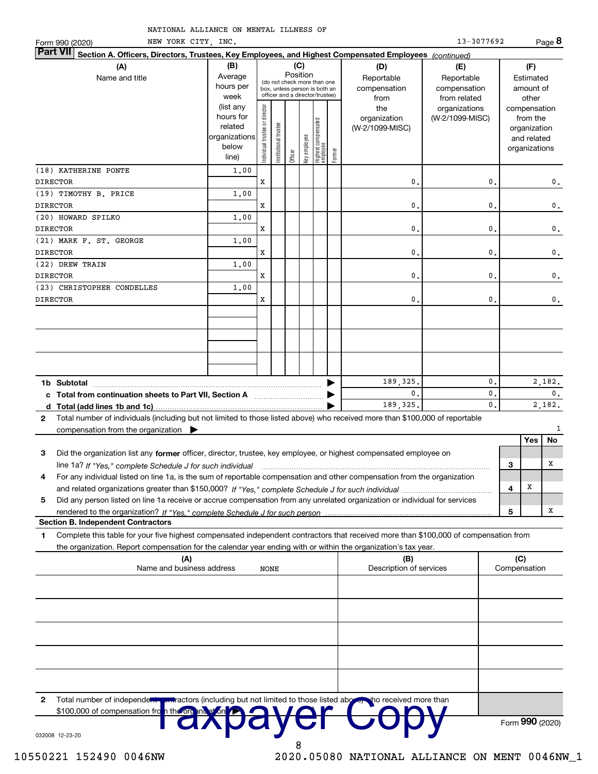| NATIONAL ALLIANCE ON MENTAL ILLNESS OF |  |  |
|----------------------------------------|--|--|

|                 | NEW YORK CITY, INC.<br>Form 990 (2020)                                                                                                                             |                                                                      |                                |                       |          |              |                                                                                                 |        |                                        | 13-3077692                                 |               |        |                                                                          | Page 8         |
|-----------------|--------------------------------------------------------------------------------------------------------------------------------------------------------------------|----------------------------------------------------------------------|--------------------------------|-----------------------|----------|--------------|-------------------------------------------------------------------------------------------------|--------|----------------------------------------|--------------------------------------------|---------------|--------|--------------------------------------------------------------------------|----------------|
| <b>Part VII</b> | Section A. Officers, Directors, Trustees, Key Employees, and Highest Compensated Employees (continued)                                                             |                                                                      |                                |                       |          |              |                                                                                                 |        |                                        |                                            |               |        |                                                                          |                |
|                 | (A)                                                                                                                                                                | (B)                                                                  |                                |                       |          | (C)          |                                                                                                 |        | (D)                                    | (E)                                        |               |        | (F)                                                                      |                |
|                 | Name and title                                                                                                                                                     | Average<br>hours per<br>week                                         |                                |                       | Position |              | (do not check more than one<br>box, unless person is both an<br>officer and a director/trustee) |        | Reportable<br>compensation<br>from     | Reportable<br>compensation<br>from related |               |        | Estimated<br>amount of<br>other                                          |                |
|                 |                                                                                                                                                                    | (list any<br>hours for<br>related<br>organizations<br>below<br>line) | Individual trustee or director | Institutional trustee | Officer  | key employee | Highest compensated<br>  employee                                                               | Former | the<br>organization<br>(W-2/1099-MISC) | organizations<br>(W-2/1099-MISC)           |               |        | compensation<br>from the<br>organization<br>and related<br>organizations |                |
|                 | (18) KATHERINE PONTE                                                                                                                                               | 1.00                                                                 |                                |                       |          |              |                                                                                                 |        |                                        |                                            |               |        |                                                                          |                |
| <b>DIRECTOR</b> |                                                                                                                                                                    |                                                                      | x                              |                       |          |              |                                                                                                 |        | 0                                      |                                            | $\mathbf 0$   |        |                                                                          | $\mathbf 0$ .  |
| <b>DIRECTOR</b> | (19) TIMOTHY B. PRICE                                                                                                                                              | 1,00                                                                 | x                              |                       |          |              |                                                                                                 |        | 0.                                     |                                            | $\mathbf 0$   |        |                                                                          | $\mathbf 0$ .  |
|                 | (20) HOWARD SPILKO                                                                                                                                                 | 1,00                                                                 |                                |                       |          |              |                                                                                                 |        |                                        |                                            |               |        |                                                                          |                |
| DIRECTOR        |                                                                                                                                                                    |                                                                      | x                              |                       |          |              |                                                                                                 |        | $\mathbf{0}$                           |                                            | $\mathbf 0$   |        |                                                                          | $\mathbf 0$ .  |
|                 | (21) MARK F. ST. GEORGE                                                                                                                                            | 1,00                                                                 |                                |                       |          |              |                                                                                                 |        |                                        |                                            |               |        |                                                                          |                |
| <b>DIRECTOR</b> |                                                                                                                                                                    |                                                                      | x                              |                       |          |              |                                                                                                 |        | $\mathbf{0}$                           |                                            | $\mathbf 0$   |        |                                                                          | $\mathbf 0$ .  |
|                 | (22) DREW TRAIN                                                                                                                                                    | 1.00                                                                 |                                |                       |          |              |                                                                                                 |        |                                        |                                            |               |        |                                                                          |                |
| <b>DIRECTOR</b> |                                                                                                                                                                    |                                                                      | x                              |                       |          |              |                                                                                                 |        | $\mathbf{0}$                           | $\mathbf 0$                                |               |        | 0.                                                                       |                |
|                 | (23) CHRISTOPHER CONDELLES                                                                                                                                         | 1.00                                                                 |                                |                       |          |              |                                                                                                 |        |                                        |                                            |               |        |                                                                          |                |
| <b>DIRECTOR</b> |                                                                                                                                                                    |                                                                      | x                              |                       |          |              |                                                                                                 |        | 0                                      |                                            | $\mathbf{0}$  |        |                                                                          | 0.             |
|                 |                                                                                                                                                                    |                                                                      |                                |                       |          |              |                                                                                                 |        |                                        |                                            |               |        |                                                                          |                |
|                 | 1b Subtotal                                                                                                                                                        |                                                                      |                                |                       |          |              |                                                                                                 |        | 189, 325.                              |                                            | 0.            |        |                                                                          | 2,182.         |
|                 | c Total from continuation sheets to Part VII, Section A manufactured in the Total from continuum                                                                   |                                                                      |                                |                       |          |              |                                                                                                 |        | $\mathbf{0}$                           |                                            | 0.            |        |                                                                          | $\mathbf{0}$ . |
|                 |                                                                                                                                                                    |                                                                      |                                |                       |          |              |                                                                                                 |        | 189, 325.                              |                                            | $\mathbf 0$ . |        |                                                                          | 2,182.         |
| $\mathbf{2}$    | Total number of individuals (including but not limited to those listed above) who received more than \$100,000 of reportable<br>compensation from the organization |                                                                      |                                |                       |          |              |                                                                                                 |        |                                        |                                            |               |        |                                                                          | 1              |
|                 |                                                                                                                                                                    |                                                                      |                                |                       |          |              |                                                                                                 |        |                                        |                                            |               |        | Yes                                                                      | No             |
| 3               | Did the organization list any former officer, director, trustee, key employee, or highest compensated employee on                                                  |                                                                      |                                |                       |          |              |                                                                                                 |        |                                        |                                            |               |        |                                                                          |                |
|                 | line 1a? If "Yes," complete Schedule J for such individual                                                                                                         |                                                                      |                                |                       |          |              |                                                                                                 |        |                                        |                                            |               | 3      |                                                                          | х              |
| 4               | For any individual listed on line 1a, is the sum of reportable compensation and other compensation from the organization                                           |                                                                      |                                |                       |          |              |                                                                                                 |        |                                        |                                            |               | 4      | X                                                                        |                |
|                 |                                                                                                                                                                    |                                                                      |                                |                       |          |              |                                                                                                 |        |                                        |                                            |               |        |                                                                          |                |
|                 | Did any person listed on line 1a receive or accrue compensation from any unrelated organization or individual for services<br>5                                    |                                                                      |                                |                       |          |              |                                                                                                 |        |                                        |                                            |               | 5      |                                                                          | Х              |
|                 | <b>Section B. Independent Contractors</b>                                                                                                                          |                                                                      |                                |                       |          |              |                                                                                                 |        |                                        |                                            |               |        |                                                                          |                |
| 1               | Complete this table for your five highest compensated independent contractors that received more than \$100,000 of compensation from                               |                                                                      |                                |                       |          |              |                                                                                                 |        |                                        |                                            |               |        |                                                                          |                |
|                 | the organization. Report compensation for the calendar year ending with or within the organization's tax year.                                                     |                                                                      |                                |                       |          |              |                                                                                                 |        |                                        |                                            |               |        |                                                                          |                |
|                 |                                                                                                                                                                    |                                                                      |                                |                       |          |              |                                                                                                 |        | ים                                     |                                            |               | $\sim$ |                                                                          |                |

|              | the enganization: hopert componeation for the calculating our chaing murder mumiture enganization of tax year.<br>(A)<br>Name and business address<br><b>NONE</b> | (B)<br>Description of services | (C)<br>Compensation |
|--------------|-------------------------------------------------------------------------------------------------------------------------------------------------------------------|--------------------------------|---------------------|
|              |                                                                                                                                                                   |                                |                     |
|              |                                                                                                                                                                   |                                |                     |
|              |                                                                                                                                                                   |                                |                     |
|              |                                                                                                                                                                   |                                |                     |
|              |                                                                                                                                                                   |                                |                     |
| $\mathbf{2}$ | Total number of independent privactors (including but not limited to those listed above). The received more than                                                  |                                |                     |
|              | \$100,000 of compensation from the on the set of the CHAD and you<br>032008 12-23-20                                                                              |                                | Form 990 (2020)     |
|              | 8                                                                                                                                                                 |                                |                     |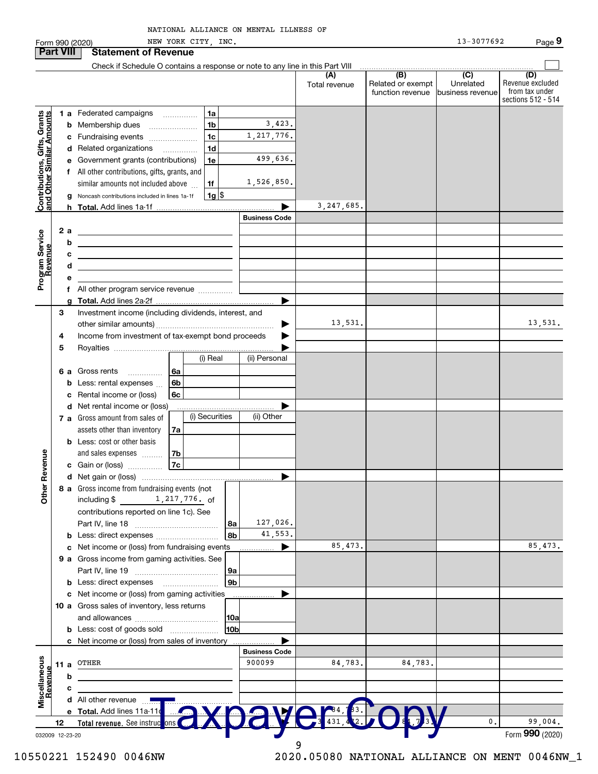|                                                                  |      |        | Form 990 (2020)                                                                                                       | NEW YORK CITY, INC. |                      |                      |                                       | 13-3077692                    | Page 9                                                          |
|------------------------------------------------------------------|------|--------|-----------------------------------------------------------------------------------------------------------------------|---------------------|----------------------|----------------------|---------------------------------------|-------------------------------|-----------------------------------------------------------------|
| <b>Part VIII</b>                                                 |      |        | <b>Statement of Revenue</b>                                                                                           |                     |                      |                      |                                       |                               |                                                                 |
|                                                                  |      |        | Check if Schedule O contains a response or note to any line in this Part VIII                                         |                     |                      |                      | $\overline{(B)}$                      | $\overline{C}$                |                                                                 |
|                                                                  |      |        |                                                                                                                       |                     |                      | (A)<br>Total revenue | Related or exempt<br>function revenue | Unrelated<br>business revenue | (D)<br>Revenue excluded<br>from tax under<br>sections 512 - 514 |
|                                                                  |      |        | 1 a Federated campaigns                                                                                               | 1a                  |                      |                      |                                       |                               |                                                                 |
| <b>Contributions, Gifts, Grants</b><br>and Other Similar Amounts |      | b      | Membership dues                                                                                                       | 1 <sub>b</sub>      | 3,423.               |                      |                                       |                               |                                                                 |
|                                                                  |      | c      | Fundraising events                                                                                                    | 1 <sub>c</sub>      | 1, 217, 776.         |                      |                                       |                               |                                                                 |
|                                                                  |      |        | d Related organizations                                                                                               | 1 <sub>d</sub>      |                      |                      |                                       |                               |                                                                 |
|                                                                  |      |        | Government grants (contributions)                                                                                     | 1e                  | 499,636.             |                      |                                       |                               |                                                                 |
|                                                                  |      |        | All other contributions, gifts, grants, and                                                                           |                     |                      |                      |                                       |                               |                                                                 |
|                                                                  |      |        | similar amounts not included above                                                                                    | 1f                  | 1,526,850.           |                      |                                       |                               |                                                                 |
|                                                                  |      | g      | Noncash contributions included in lines 1a-1f                                                                         | $1g$ \$             |                      |                      |                                       |                               |                                                                 |
|                                                                  |      |        |                                                                                                                       |                     |                      | 3, 247, 685.         |                                       |                               |                                                                 |
|                                                                  |      |        |                                                                                                                       |                     | <b>Business Code</b> |                      |                                       |                               |                                                                 |
|                                                                  |      | 2 a    | <u> 1989 - Johann Harry Harry Harry Harry Harry Harry Harry Harry Harry Harry Harry Harry Harry Harry Harry Harry</u> |                     |                      |                      |                                       |                               |                                                                 |
| Program Service                                                  |      | b      | <u> 1989 - Johann Stein, mars an de Brazilian (b. 1989)</u>                                                           |                     |                      |                      |                                       |                               |                                                                 |
| evenue                                                           |      | c      | <u> 1989 - John Harry Harry Harry Harry Harry Harry Harry Harry Harry Harry Harry Harry Harry Harry Harry Harry H</u> |                     |                      |                      |                                       |                               |                                                                 |
|                                                                  |      | d      | <u> 1989 - Johann Stein, mars an de Brazilian (b. 1989)</u>                                                           |                     |                      |                      |                                       |                               |                                                                 |
|                                                                  |      |        |                                                                                                                       |                     |                      |                      |                                       |                               |                                                                 |
|                                                                  |      |        |                                                                                                                       |                     |                      |                      |                                       |                               |                                                                 |
|                                                                  | 3    | a      | Investment income (including dividends, interest, and                                                                 |                     |                      |                      |                                       |                               |                                                                 |
|                                                                  |      |        |                                                                                                                       |                     |                      | 13,531.              |                                       |                               | 13,531.                                                         |
|                                                                  | 4    |        | Income from investment of tax-exempt bond proceeds                                                                    |                     |                      |                      |                                       |                               |                                                                 |
|                                                                  | 5    |        |                                                                                                                       |                     |                      |                      |                                       |                               |                                                                 |
|                                                                  |      |        |                                                                                                                       | (i) Real            | (ii) Personal        |                      |                                       |                               |                                                                 |
|                                                                  |      | 6а     | Gross rents                                                                                                           | -6a                 |                      |                      |                                       |                               |                                                                 |
|                                                                  |      | b      | Less: rental expenses                                                                                                 | 6 <sub>b</sub>      |                      |                      |                                       |                               |                                                                 |
|                                                                  |      | c      | Rental income or (loss)                                                                                               | 6с                  |                      |                      |                                       |                               |                                                                 |
|                                                                  |      | d      | Net rental income or (loss)                                                                                           |                     |                      |                      |                                       |                               |                                                                 |
|                                                                  |      |        | 7 a Gross amount from sales of                                                                                        | (i) Securities      | (ii) Other           |                      |                                       |                               |                                                                 |
|                                                                  |      |        | assets other than inventory                                                                                           | 7a                  |                      |                      |                                       |                               |                                                                 |
|                                                                  |      |        | <b>b</b> Less: cost or other basis                                                                                    |                     |                      |                      |                                       |                               |                                                                 |
|                                                                  |      |        | and sales expenses                                                                                                    | 7b                  |                      |                      |                                       |                               |                                                                 |
| enueve                                                           |      |        | c Gain or (loss)                                                                                                      | 7c                  |                      |                      |                                       |                               |                                                                 |
|                                                                  |      |        |                                                                                                                       |                     |                      |                      |                                       |                               |                                                                 |
| Other R                                                          |      |        | 8 a Gross income from fundraising events (not                                                                         |                     |                      |                      |                                       |                               |                                                                 |
|                                                                  |      |        | including \$ 1, 217, 776. of                                                                                          |                     |                      |                      |                                       |                               |                                                                 |
|                                                                  |      |        | contributions reported on line 1c). See                                                                               |                     | 127,026.             |                      |                                       |                               |                                                                 |
|                                                                  |      |        |                                                                                                                       |                     | 8a<br>41,553.<br>8b  |                      |                                       |                               |                                                                 |
|                                                                  |      | b<br>с | Less: direct expenses<br>Net income or (loss) from fundraising events                                                 |                     |                      | 85,473.              |                                       |                               | 85, 473.                                                        |
|                                                                  |      |        | 9 a Gross income from gaming activities. See                                                                          |                     |                      |                      |                                       |                               |                                                                 |
|                                                                  |      |        |                                                                                                                       |                     | 9a                   |                      |                                       |                               |                                                                 |
|                                                                  |      |        |                                                                                                                       |                     | 9 <sub>b</sub>       |                      |                                       |                               |                                                                 |
|                                                                  |      |        | c Net income or (loss) from gaming activities                                                                         |                     |                      |                      |                                       |                               |                                                                 |
|                                                                  |      |        | 10 a Gross sales of inventory, less returns                                                                           |                     |                      |                      |                                       |                               |                                                                 |
|                                                                  |      |        |                                                                                                                       |                     | 10a                  |                      |                                       |                               |                                                                 |
|                                                                  |      |        | <b>b</b> Less: cost of goods sold                                                                                     |                     | 10bl                 |                      |                                       |                               |                                                                 |
|                                                                  |      |        | c Net income or (loss) from sales of inventory                                                                        |                     |                      |                      |                                       |                               |                                                                 |
|                                                                  |      |        |                                                                                                                       |                     | <b>Business Code</b> |                      |                                       |                               |                                                                 |
|                                                                  | 11 a |        | OTHER                                                                                                                 |                     | 900099               | 84,783.              | 84,783.                               |                               |                                                                 |
|                                                                  |      | b      |                                                                                                                       |                     |                      |                      |                                       |                               |                                                                 |
| Revenue                                                          |      | c      |                                                                                                                       |                     |                      |                      |                                       |                               |                                                                 |
| Miscellaneous                                                    |      |        | <b>d</b> All other revenue $\frac{1}{2}$                                                                              |                     |                      |                      |                                       |                               |                                                                 |
|                                                                  |      |        | e Total. Add lines 11a-11c                                                                                            |                     |                      |                      |                                       |                               |                                                                 |
|                                                                  | 12   |        | Total revenue. See instruc                                                                                            | lons                |                      |                      |                                       | 0.                            | 99,004.<br>Form 990 (2020)                                      |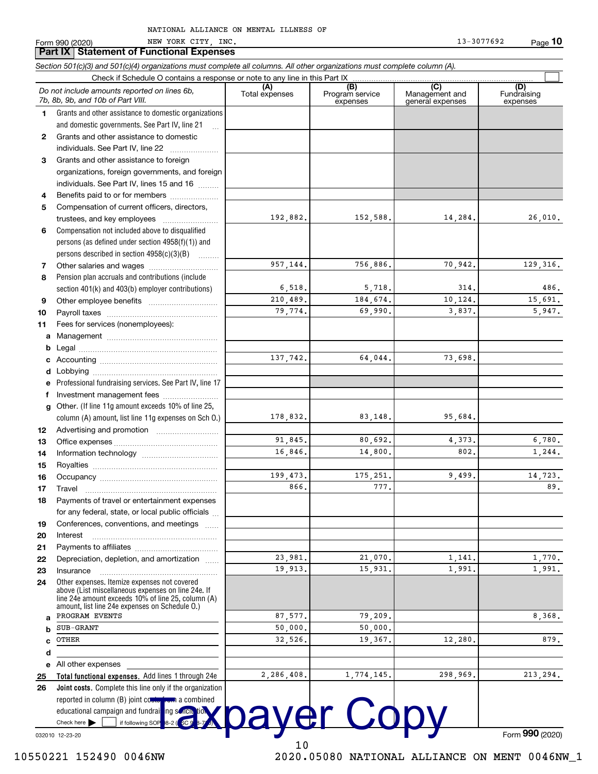| Form 990 (2020) |                                                 |  | NEW YORK CITY, INC. |  |
|-----------------|-------------------------------------------------|--|---------------------|--|
|                 | <b>Part IX Statement of Functional Expenses</b> |  |                     |  |

|              | <u>Fail IA</u>   Jualenient UI I uncliunal Expenses                                                                                                        |                |                             |                                    |                         |
|--------------|------------------------------------------------------------------------------------------------------------------------------------------------------------|----------------|-----------------------------|------------------------------------|-------------------------|
|              | Section 501(c)(3) and 501(c)(4) organizations must complete all columns. All other organizations must complete column (A).                                 |                |                             |                                    |                         |
|              | Check if Schedule O contains a response or note to any line in this Part IX                                                                                | (A)            | (B)                         | (C)                                | (D)                     |
|              | Do not include amounts reported on lines 6b,<br>7b, 8b, 9b, and 10b of Part VIII.                                                                          | Total expenses | Program service<br>expenses | Management and<br>general expenses | Fundraising<br>expenses |
| 1            | Grants and other assistance to domestic organizations                                                                                                      |                |                             |                                    |                         |
|              | and domestic governments. See Part IV, line 21                                                                                                             |                |                             |                                    |                         |
| $\mathbf{2}$ | Grants and other assistance to domestic                                                                                                                    |                |                             |                                    |                         |
|              | individuals. See Part IV, line 22                                                                                                                          |                |                             |                                    |                         |
| 3            | Grants and other assistance to foreign                                                                                                                     |                |                             |                                    |                         |
|              | organizations, foreign governments, and foreign                                                                                                            |                |                             |                                    |                         |
|              | individuals. See Part IV, lines 15 and 16                                                                                                                  |                |                             |                                    |                         |
| 4            | Benefits paid to or for members                                                                                                                            |                |                             |                                    |                         |
| 5            | Compensation of current officers, directors,                                                                                                               |                |                             |                                    |                         |
|              | trustees, and key employees                                                                                                                                | 192,882.       | 152,588.                    | 14,284.                            | 26,010.                 |
| 6            | Compensation not included above to disqualified                                                                                                            |                |                             |                                    |                         |
|              | persons (as defined under section $4958(f)(1)$ ) and                                                                                                       |                |                             |                                    |                         |
|              | persons described in section $4958(c)(3)(B)$                                                                                                               |                |                             |                                    |                         |
| 7            |                                                                                                                                                            | 957,144.       | 756,886.                    | 70,942.                            | 129, 316.               |
| 8            | Pension plan accruals and contributions (include                                                                                                           |                |                             |                                    |                         |
|              | section 401(k) and 403(b) employer contributions)                                                                                                          | 6,518.         | 5,718.                      | 314.                               | 486.                    |
| 9            |                                                                                                                                                            | 210,489.       | 184,674.                    | 10,124.                            | 15,691.                 |
| 10           |                                                                                                                                                            | 79,774.        | 69,990.                     | 3,837.                             | 5,947.                  |
| 11           | Fees for services (nonemployees):                                                                                                                          |                |                             |                                    |                         |
| a            |                                                                                                                                                            |                |                             |                                    |                         |
| b            |                                                                                                                                                            |                |                             |                                    |                         |
|              |                                                                                                                                                            | 137,742.       | 64,044.                     | 73,698.                            |                         |
| d            |                                                                                                                                                            |                |                             |                                    |                         |
|              | Professional fundraising services. See Part IV, line 17                                                                                                    |                |                             |                                    |                         |
| f            | Investment management fees                                                                                                                                 |                |                             |                                    |                         |
| g            | Other. (If line 11g amount exceeds 10% of line 25,                                                                                                         |                |                             |                                    |                         |
|              | column (A) amount, list line 11g expenses on Sch 0.)                                                                                                       | 178,832.       | 83,148.                     | 95,684.                            |                         |
| 12           |                                                                                                                                                            |                |                             |                                    |                         |
| 13           |                                                                                                                                                            | 91.845.        | 80,692.                     | 4,373.                             | 6,780.                  |
| 14           |                                                                                                                                                            | 16,846.        | 14,800.                     | 802.                               | 1,244.                  |
| 15           |                                                                                                                                                            |                |                             |                                    |                         |
| 16           |                                                                                                                                                            | 199,473.       | 175,251.                    | 9,499.                             | 14,723.                 |
| 17           | Travel                                                                                                                                                     | 866.           | 777.                        |                                    | 89.                     |
| 18           | Payments of travel or entertainment expenses                                                                                                               |                |                             |                                    |                         |
|              | for any federal, state, or local public officials                                                                                                          |                |                             |                                    |                         |
| 19           | Conferences, conventions, and meetings                                                                                                                     |                |                             |                                    |                         |
| 20           | Interest                                                                                                                                                   |                |                             |                                    |                         |
| 21           |                                                                                                                                                            |                |                             |                                    |                         |
| 22           | Depreciation, depletion, and amortization                                                                                                                  | 23,981.        | 21,070.                     | 1,141.                             | 1,770.                  |
| 23           | Insurance                                                                                                                                                  | 19,913.        | 15,931.                     | 1,991.                             | 1,991.                  |
| 24           | Other expenses. Itemize expenses not covered                                                                                                               |                |                             |                                    |                         |
|              | above (List miscellaneous expenses on line 24e. If<br>line 24e amount exceeds 10% of line 25, column (A)<br>amount, list line 24e expenses on Schedule O.) |                |                             |                                    |                         |
| a            | PROGRAM EVENTS                                                                                                                                             | 87,577.        | 79,209.                     |                                    | 8,368.                  |
| b            | <b>SUB-GRANT</b>                                                                                                                                           | 50,000.        | 50,000.                     |                                    |                         |
| C            | OTHER                                                                                                                                                      | 32,526.        | 19,367.                     | 12,280.                            | 879.                    |
| d            |                                                                                                                                                            |                |                             |                                    |                         |
| е            | All other expenses                                                                                                                                         |                |                             |                                    |                         |
| 25           | Total functional expenses. Add lines 1 through 24e                                                                                                         | 2,286,408.     | 1,774,145.                  | 298,969.                           | 213,294.                |
| 26           | <b>Joint costs.</b> Complete this line only if the organization                                                                                            |                |                             |                                    |                         |
|              | reported in column (B) joint coule from a combined                                                                                                         |                |                             |                                    |                         |
|              | educational campaign and fundraising sonou tion                                                                                                            |                |                             |                                    |                         |
|              | if following SOP<br>Check here                                                                                                                             |                | payer Copy                  |                                    |                         |
|              | 032010 12-23-20                                                                                                                                            |                |                             |                                    | Form $990(2020)$        |

 $10\,$ 

032010 12-23-20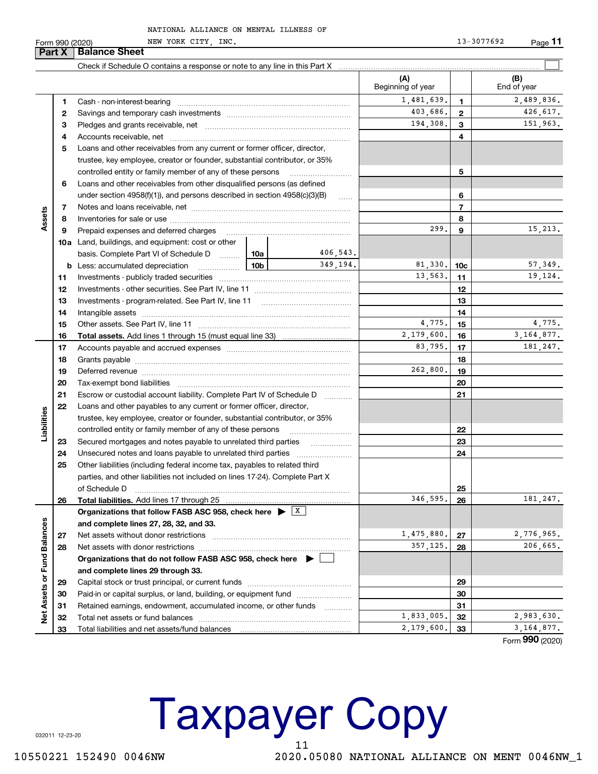Form 990 (2020)

NATIONAL ALLIANCE ON MENTAL ILLNESS OF

NEW YORK CITY, INC.

13-3077692 Page 11

| (A)<br>(B)<br>Beginning of year<br>End of year<br>1,481,639.<br>2,489,836.<br>1.<br>$\mathbf{1}$<br>403,686.<br>426,617.<br>$\mathbf{2}$<br>2<br>151,963.<br>194,308.<br>3<br>3<br>4<br>4<br>Loans and other receivables from any current or former officer, director,<br>5<br>trustee, key employee, creator or founder, substantial contributor, or 35%<br>controlled entity or family member of any of these persons<br>5<br>Loans and other receivables from other disqualified persons (as defined<br>6<br>under section $4958(f)(1)$ , and persons described in section $4958(c)(3)(B)$<br>6<br>$\ldots$<br>$\overline{7}$<br>7<br>Assets<br>8<br>8<br>299.<br>15,213.<br>9<br>Prepaid expenses and deferred charges<br>9<br>10a Land, buildings, and equipment: cost or other<br>406,543.<br>basis. Complete Part VI of Schedule D  10a<br>349,194.<br>81,330.<br>57,349.<br><b>b</b> Less: accumulated depreciation<br>10b<br>10 <sub>c</sub><br>. 1<br>13,563.<br>19,124.<br>11<br>11<br>12<br>12<br>13<br>13<br>14<br>14<br>4,775.<br>4,775.<br>15<br>15<br>3.164.877.<br>2,179,600.<br>16<br>16<br>83,795.<br>181, 247.<br>17<br>17<br>18<br>18<br>262,800.<br>19<br>19<br>Deferred revenue manual contracts and contracts are contracted and contract and contract are contracted and contract are contracted and contract are contracted and contract are contracted and contract are contracted and co<br>20<br>20<br>21<br>Escrow or custodial account liability. Complete Part IV of Schedule D<br>21<br>.<br>22<br>Loans and other payables to any current or former officer, director,<br>Liabilities<br>trustee, key employee, creator or founder, substantial contributor, or 35%<br>controlled entity or family member of any of these persons<br>22<br>Secured mortgages and notes payable to unrelated third parties<br>23<br>23<br>24<br>24<br>25<br>Other liabilities (including federal income tax, payables to related third<br>parties, and other liabilities not included on lines 17-24). Complete Part X<br>25<br>of Schedule D<br>346,595.<br>181, 247.<br>26<br>26<br>Organizations that follow FASB ASC 958, check here $\blacktriangleright$ $\lfloor x \rfloor$<br>Net Assets or Fund Balances<br>and complete lines 27, 28, 32, and 33.<br>1,475,880.<br>2,776,965.<br>Net assets without donor restrictions<br>27<br>27<br>357,125.<br>206,665.<br>28<br>28<br>Organizations that do not follow FASB ASC 958, check here ▶ [<br>and complete lines 29 through 33.<br>29<br>29<br>Paid-in or capital surplus, or land, building, or equipment fund<br>30<br>30<br>Retained earnings, endowment, accumulated income, or other funds<br>31<br>31<br>.<br>1,833,005.<br>2,983,630.<br>32<br>32<br>3, 164, 877.<br>2,179,600.<br>33<br>33 | <b>Part X</b> | <b>Balance Sheet</b> |  |  |                |
|----------------------------------------------------------------------------------------------------------------------------------------------------------------------------------------------------------------------------------------------------------------------------------------------------------------------------------------------------------------------------------------------------------------------------------------------------------------------------------------------------------------------------------------------------------------------------------------------------------------------------------------------------------------------------------------------------------------------------------------------------------------------------------------------------------------------------------------------------------------------------------------------------------------------------------------------------------------------------------------------------------------------------------------------------------------------------------------------------------------------------------------------------------------------------------------------------------------------------------------------------------------------------------------------------------------------------------------------------------------------------------------------------------------------------------------------------------------------------------------------------------------------------------------------------------------------------------------------------------------------------------------------------------------------------------------------------------------------------------------------------------------------------------------------------------------------------------------------------------------------------------------------------------------------------------------------------------------------------------------------------------------------------------------------------------------------------------------------------------------------------------------------------------------------------------------------------------------------------------------------------------------------------------------------------------------------------------------------------------------------------------------------------------------------------------------------------------------------------------------------------------------------------------------------------------------------------------------------------------------------------------------------------------------------------------------------------------------------------------------------------------------------------|---------------|----------------------|--|--|----------------|
|                                                                                                                                                                                                                                                                                                                                                                                                                                                                                                                                                                                                                                                                                                                                                                                                                                                                                                                                                                                                                                                                                                                                                                                                                                                                                                                                                                                                                                                                                                                                                                                                                                                                                                                                                                                                                                                                                                                                                                                                                                                                                                                                                                                                                                                                                                                                                                                                                                                                                                                                                                                                                                                                                                                                                                            |               |                      |  |  |                |
|                                                                                                                                                                                                                                                                                                                                                                                                                                                                                                                                                                                                                                                                                                                                                                                                                                                                                                                                                                                                                                                                                                                                                                                                                                                                                                                                                                                                                                                                                                                                                                                                                                                                                                                                                                                                                                                                                                                                                                                                                                                                                                                                                                                                                                                                                                                                                                                                                                                                                                                                                                                                                                                                                                                                                                            |               |                      |  |  |                |
|                                                                                                                                                                                                                                                                                                                                                                                                                                                                                                                                                                                                                                                                                                                                                                                                                                                                                                                                                                                                                                                                                                                                                                                                                                                                                                                                                                                                                                                                                                                                                                                                                                                                                                                                                                                                                                                                                                                                                                                                                                                                                                                                                                                                                                                                                                                                                                                                                                                                                                                                                                                                                                                                                                                                                                            |               |                      |  |  |                |
|                                                                                                                                                                                                                                                                                                                                                                                                                                                                                                                                                                                                                                                                                                                                                                                                                                                                                                                                                                                                                                                                                                                                                                                                                                                                                                                                                                                                                                                                                                                                                                                                                                                                                                                                                                                                                                                                                                                                                                                                                                                                                                                                                                                                                                                                                                                                                                                                                                                                                                                                                                                                                                                                                                                                                                            |               |                      |  |  |                |
|                                                                                                                                                                                                                                                                                                                                                                                                                                                                                                                                                                                                                                                                                                                                                                                                                                                                                                                                                                                                                                                                                                                                                                                                                                                                                                                                                                                                                                                                                                                                                                                                                                                                                                                                                                                                                                                                                                                                                                                                                                                                                                                                                                                                                                                                                                                                                                                                                                                                                                                                                                                                                                                                                                                                                                            |               |                      |  |  |                |
|                                                                                                                                                                                                                                                                                                                                                                                                                                                                                                                                                                                                                                                                                                                                                                                                                                                                                                                                                                                                                                                                                                                                                                                                                                                                                                                                                                                                                                                                                                                                                                                                                                                                                                                                                                                                                                                                                                                                                                                                                                                                                                                                                                                                                                                                                                                                                                                                                                                                                                                                                                                                                                                                                                                                                                            |               |                      |  |  |                |
|                                                                                                                                                                                                                                                                                                                                                                                                                                                                                                                                                                                                                                                                                                                                                                                                                                                                                                                                                                                                                                                                                                                                                                                                                                                                                                                                                                                                                                                                                                                                                                                                                                                                                                                                                                                                                                                                                                                                                                                                                                                                                                                                                                                                                                                                                                                                                                                                                                                                                                                                                                                                                                                                                                                                                                            |               |                      |  |  |                |
|                                                                                                                                                                                                                                                                                                                                                                                                                                                                                                                                                                                                                                                                                                                                                                                                                                                                                                                                                                                                                                                                                                                                                                                                                                                                                                                                                                                                                                                                                                                                                                                                                                                                                                                                                                                                                                                                                                                                                                                                                                                                                                                                                                                                                                                                                                                                                                                                                                                                                                                                                                                                                                                                                                                                                                            |               |                      |  |  |                |
|                                                                                                                                                                                                                                                                                                                                                                                                                                                                                                                                                                                                                                                                                                                                                                                                                                                                                                                                                                                                                                                                                                                                                                                                                                                                                                                                                                                                                                                                                                                                                                                                                                                                                                                                                                                                                                                                                                                                                                                                                                                                                                                                                                                                                                                                                                                                                                                                                                                                                                                                                                                                                                                                                                                                                                            |               |                      |  |  |                |
|                                                                                                                                                                                                                                                                                                                                                                                                                                                                                                                                                                                                                                                                                                                                                                                                                                                                                                                                                                                                                                                                                                                                                                                                                                                                                                                                                                                                                                                                                                                                                                                                                                                                                                                                                                                                                                                                                                                                                                                                                                                                                                                                                                                                                                                                                                                                                                                                                                                                                                                                                                                                                                                                                                                                                                            |               |                      |  |  |                |
|                                                                                                                                                                                                                                                                                                                                                                                                                                                                                                                                                                                                                                                                                                                                                                                                                                                                                                                                                                                                                                                                                                                                                                                                                                                                                                                                                                                                                                                                                                                                                                                                                                                                                                                                                                                                                                                                                                                                                                                                                                                                                                                                                                                                                                                                                                                                                                                                                                                                                                                                                                                                                                                                                                                                                                            |               |                      |  |  |                |
|                                                                                                                                                                                                                                                                                                                                                                                                                                                                                                                                                                                                                                                                                                                                                                                                                                                                                                                                                                                                                                                                                                                                                                                                                                                                                                                                                                                                                                                                                                                                                                                                                                                                                                                                                                                                                                                                                                                                                                                                                                                                                                                                                                                                                                                                                                                                                                                                                                                                                                                                                                                                                                                                                                                                                                            |               |                      |  |  |                |
|                                                                                                                                                                                                                                                                                                                                                                                                                                                                                                                                                                                                                                                                                                                                                                                                                                                                                                                                                                                                                                                                                                                                                                                                                                                                                                                                                                                                                                                                                                                                                                                                                                                                                                                                                                                                                                                                                                                                                                                                                                                                                                                                                                                                                                                                                                                                                                                                                                                                                                                                                                                                                                                                                                                                                                            |               |                      |  |  |                |
|                                                                                                                                                                                                                                                                                                                                                                                                                                                                                                                                                                                                                                                                                                                                                                                                                                                                                                                                                                                                                                                                                                                                                                                                                                                                                                                                                                                                                                                                                                                                                                                                                                                                                                                                                                                                                                                                                                                                                                                                                                                                                                                                                                                                                                                                                                                                                                                                                                                                                                                                                                                                                                                                                                                                                                            |               |                      |  |  |                |
|                                                                                                                                                                                                                                                                                                                                                                                                                                                                                                                                                                                                                                                                                                                                                                                                                                                                                                                                                                                                                                                                                                                                                                                                                                                                                                                                                                                                                                                                                                                                                                                                                                                                                                                                                                                                                                                                                                                                                                                                                                                                                                                                                                                                                                                                                                                                                                                                                                                                                                                                                                                                                                                                                                                                                                            |               |                      |  |  |                |
|                                                                                                                                                                                                                                                                                                                                                                                                                                                                                                                                                                                                                                                                                                                                                                                                                                                                                                                                                                                                                                                                                                                                                                                                                                                                                                                                                                                                                                                                                                                                                                                                                                                                                                                                                                                                                                                                                                                                                                                                                                                                                                                                                                                                                                                                                                                                                                                                                                                                                                                                                                                                                                                                                                                                                                            |               |                      |  |  |                |
|                                                                                                                                                                                                                                                                                                                                                                                                                                                                                                                                                                                                                                                                                                                                                                                                                                                                                                                                                                                                                                                                                                                                                                                                                                                                                                                                                                                                                                                                                                                                                                                                                                                                                                                                                                                                                                                                                                                                                                                                                                                                                                                                                                                                                                                                                                                                                                                                                                                                                                                                                                                                                                                                                                                                                                            |               |                      |  |  |                |
|                                                                                                                                                                                                                                                                                                                                                                                                                                                                                                                                                                                                                                                                                                                                                                                                                                                                                                                                                                                                                                                                                                                                                                                                                                                                                                                                                                                                                                                                                                                                                                                                                                                                                                                                                                                                                                                                                                                                                                                                                                                                                                                                                                                                                                                                                                                                                                                                                                                                                                                                                                                                                                                                                                                                                                            |               |                      |  |  |                |
|                                                                                                                                                                                                                                                                                                                                                                                                                                                                                                                                                                                                                                                                                                                                                                                                                                                                                                                                                                                                                                                                                                                                                                                                                                                                                                                                                                                                                                                                                                                                                                                                                                                                                                                                                                                                                                                                                                                                                                                                                                                                                                                                                                                                                                                                                                                                                                                                                                                                                                                                                                                                                                                                                                                                                                            |               |                      |  |  |                |
|                                                                                                                                                                                                                                                                                                                                                                                                                                                                                                                                                                                                                                                                                                                                                                                                                                                                                                                                                                                                                                                                                                                                                                                                                                                                                                                                                                                                                                                                                                                                                                                                                                                                                                                                                                                                                                                                                                                                                                                                                                                                                                                                                                                                                                                                                                                                                                                                                                                                                                                                                                                                                                                                                                                                                                            |               |                      |  |  |                |
|                                                                                                                                                                                                                                                                                                                                                                                                                                                                                                                                                                                                                                                                                                                                                                                                                                                                                                                                                                                                                                                                                                                                                                                                                                                                                                                                                                                                                                                                                                                                                                                                                                                                                                                                                                                                                                                                                                                                                                                                                                                                                                                                                                                                                                                                                                                                                                                                                                                                                                                                                                                                                                                                                                                                                                            |               |                      |  |  |                |
|                                                                                                                                                                                                                                                                                                                                                                                                                                                                                                                                                                                                                                                                                                                                                                                                                                                                                                                                                                                                                                                                                                                                                                                                                                                                                                                                                                                                                                                                                                                                                                                                                                                                                                                                                                                                                                                                                                                                                                                                                                                                                                                                                                                                                                                                                                                                                                                                                                                                                                                                                                                                                                                                                                                                                                            |               |                      |  |  |                |
|                                                                                                                                                                                                                                                                                                                                                                                                                                                                                                                                                                                                                                                                                                                                                                                                                                                                                                                                                                                                                                                                                                                                                                                                                                                                                                                                                                                                                                                                                                                                                                                                                                                                                                                                                                                                                                                                                                                                                                                                                                                                                                                                                                                                                                                                                                                                                                                                                                                                                                                                                                                                                                                                                                                                                                            |               |                      |  |  |                |
|                                                                                                                                                                                                                                                                                                                                                                                                                                                                                                                                                                                                                                                                                                                                                                                                                                                                                                                                                                                                                                                                                                                                                                                                                                                                                                                                                                                                                                                                                                                                                                                                                                                                                                                                                                                                                                                                                                                                                                                                                                                                                                                                                                                                                                                                                                                                                                                                                                                                                                                                                                                                                                                                                                                                                                            |               |                      |  |  |                |
|                                                                                                                                                                                                                                                                                                                                                                                                                                                                                                                                                                                                                                                                                                                                                                                                                                                                                                                                                                                                                                                                                                                                                                                                                                                                                                                                                                                                                                                                                                                                                                                                                                                                                                                                                                                                                                                                                                                                                                                                                                                                                                                                                                                                                                                                                                                                                                                                                                                                                                                                                                                                                                                                                                                                                                            |               |                      |  |  |                |
|                                                                                                                                                                                                                                                                                                                                                                                                                                                                                                                                                                                                                                                                                                                                                                                                                                                                                                                                                                                                                                                                                                                                                                                                                                                                                                                                                                                                                                                                                                                                                                                                                                                                                                                                                                                                                                                                                                                                                                                                                                                                                                                                                                                                                                                                                                                                                                                                                                                                                                                                                                                                                                                                                                                                                                            |               |                      |  |  |                |
|                                                                                                                                                                                                                                                                                                                                                                                                                                                                                                                                                                                                                                                                                                                                                                                                                                                                                                                                                                                                                                                                                                                                                                                                                                                                                                                                                                                                                                                                                                                                                                                                                                                                                                                                                                                                                                                                                                                                                                                                                                                                                                                                                                                                                                                                                                                                                                                                                                                                                                                                                                                                                                                                                                                                                                            |               |                      |  |  |                |
|                                                                                                                                                                                                                                                                                                                                                                                                                                                                                                                                                                                                                                                                                                                                                                                                                                                                                                                                                                                                                                                                                                                                                                                                                                                                                                                                                                                                                                                                                                                                                                                                                                                                                                                                                                                                                                                                                                                                                                                                                                                                                                                                                                                                                                                                                                                                                                                                                                                                                                                                                                                                                                                                                                                                                                            |               |                      |  |  |                |
|                                                                                                                                                                                                                                                                                                                                                                                                                                                                                                                                                                                                                                                                                                                                                                                                                                                                                                                                                                                                                                                                                                                                                                                                                                                                                                                                                                                                                                                                                                                                                                                                                                                                                                                                                                                                                                                                                                                                                                                                                                                                                                                                                                                                                                                                                                                                                                                                                                                                                                                                                                                                                                                                                                                                                                            |               |                      |  |  |                |
|                                                                                                                                                                                                                                                                                                                                                                                                                                                                                                                                                                                                                                                                                                                                                                                                                                                                                                                                                                                                                                                                                                                                                                                                                                                                                                                                                                                                                                                                                                                                                                                                                                                                                                                                                                                                                                                                                                                                                                                                                                                                                                                                                                                                                                                                                                                                                                                                                                                                                                                                                                                                                                                                                                                                                                            |               |                      |  |  |                |
|                                                                                                                                                                                                                                                                                                                                                                                                                                                                                                                                                                                                                                                                                                                                                                                                                                                                                                                                                                                                                                                                                                                                                                                                                                                                                                                                                                                                                                                                                                                                                                                                                                                                                                                                                                                                                                                                                                                                                                                                                                                                                                                                                                                                                                                                                                                                                                                                                                                                                                                                                                                                                                                                                                                                                                            |               |                      |  |  |                |
|                                                                                                                                                                                                                                                                                                                                                                                                                                                                                                                                                                                                                                                                                                                                                                                                                                                                                                                                                                                                                                                                                                                                                                                                                                                                                                                                                                                                                                                                                                                                                                                                                                                                                                                                                                                                                                                                                                                                                                                                                                                                                                                                                                                                                                                                                                                                                                                                                                                                                                                                                                                                                                                                                                                                                                            |               |                      |  |  |                |
|                                                                                                                                                                                                                                                                                                                                                                                                                                                                                                                                                                                                                                                                                                                                                                                                                                                                                                                                                                                                                                                                                                                                                                                                                                                                                                                                                                                                                                                                                                                                                                                                                                                                                                                                                                                                                                                                                                                                                                                                                                                                                                                                                                                                                                                                                                                                                                                                                                                                                                                                                                                                                                                                                                                                                                            |               |                      |  |  |                |
|                                                                                                                                                                                                                                                                                                                                                                                                                                                                                                                                                                                                                                                                                                                                                                                                                                                                                                                                                                                                                                                                                                                                                                                                                                                                                                                                                                                                                                                                                                                                                                                                                                                                                                                                                                                                                                                                                                                                                                                                                                                                                                                                                                                                                                                                                                                                                                                                                                                                                                                                                                                                                                                                                                                                                                            |               |                      |  |  |                |
|                                                                                                                                                                                                                                                                                                                                                                                                                                                                                                                                                                                                                                                                                                                                                                                                                                                                                                                                                                                                                                                                                                                                                                                                                                                                                                                                                                                                                                                                                                                                                                                                                                                                                                                                                                                                                                                                                                                                                                                                                                                                                                                                                                                                                                                                                                                                                                                                                                                                                                                                                                                                                                                                                                                                                                            |               |                      |  |  |                |
|                                                                                                                                                                                                                                                                                                                                                                                                                                                                                                                                                                                                                                                                                                                                                                                                                                                                                                                                                                                                                                                                                                                                                                                                                                                                                                                                                                                                                                                                                                                                                                                                                                                                                                                                                                                                                                                                                                                                                                                                                                                                                                                                                                                                                                                                                                                                                                                                                                                                                                                                                                                                                                                                                                                                                                            |               |                      |  |  |                |
|                                                                                                                                                                                                                                                                                                                                                                                                                                                                                                                                                                                                                                                                                                                                                                                                                                                                                                                                                                                                                                                                                                                                                                                                                                                                                                                                                                                                                                                                                                                                                                                                                                                                                                                                                                                                                                                                                                                                                                                                                                                                                                                                                                                                                                                                                                                                                                                                                                                                                                                                                                                                                                                                                                                                                                            |               |                      |  |  |                |
|                                                                                                                                                                                                                                                                                                                                                                                                                                                                                                                                                                                                                                                                                                                                                                                                                                                                                                                                                                                                                                                                                                                                                                                                                                                                                                                                                                                                                                                                                                                                                                                                                                                                                                                                                                                                                                                                                                                                                                                                                                                                                                                                                                                                                                                                                                                                                                                                                                                                                                                                                                                                                                                                                                                                                                            |               |                      |  |  |                |
|                                                                                                                                                                                                                                                                                                                                                                                                                                                                                                                                                                                                                                                                                                                                                                                                                                                                                                                                                                                                                                                                                                                                                                                                                                                                                                                                                                                                                                                                                                                                                                                                                                                                                                                                                                                                                                                                                                                                                                                                                                                                                                                                                                                                                                                                                                                                                                                                                                                                                                                                                                                                                                                                                                                                                                            |               |                      |  |  |                |
|                                                                                                                                                                                                                                                                                                                                                                                                                                                                                                                                                                                                                                                                                                                                                                                                                                                                                                                                                                                                                                                                                                                                                                                                                                                                                                                                                                                                                                                                                                                                                                                                                                                                                                                                                                                                                                                                                                                                                                                                                                                                                                                                                                                                                                                                                                                                                                                                                                                                                                                                                                                                                                                                                                                                                                            |               |                      |  |  |                |
|                                                                                                                                                                                                                                                                                                                                                                                                                                                                                                                                                                                                                                                                                                                                                                                                                                                                                                                                                                                                                                                                                                                                                                                                                                                                                                                                                                                                                                                                                                                                                                                                                                                                                                                                                                                                                                                                                                                                                                                                                                                                                                                                                                                                                                                                                                                                                                                                                                                                                                                                                                                                                                                                                                                                                                            |               |                      |  |  |                |
|                                                                                                                                                                                                                                                                                                                                                                                                                                                                                                                                                                                                                                                                                                                                                                                                                                                                                                                                                                                                                                                                                                                                                                                                                                                                                                                                                                                                                                                                                                                                                                                                                                                                                                                                                                                                                                                                                                                                                                                                                                                                                                                                                                                                                                                                                                                                                                                                                                                                                                                                                                                                                                                                                                                                                                            |               |                      |  |  |                |
|                                                                                                                                                                                                                                                                                                                                                                                                                                                                                                                                                                                                                                                                                                                                                                                                                                                                                                                                                                                                                                                                                                                                                                                                                                                                                                                                                                                                                                                                                                                                                                                                                                                                                                                                                                                                                                                                                                                                                                                                                                                                                                                                                                                                                                                                                                                                                                                                                                                                                                                                                                                                                                                                                                                                                                            |               |                      |  |  |                |
|                                                                                                                                                                                                                                                                                                                                                                                                                                                                                                                                                                                                                                                                                                                                                                                                                                                                                                                                                                                                                                                                                                                                                                                                                                                                                                                                                                                                                                                                                                                                                                                                                                                                                                                                                                                                                                                                                                                                                                                                                                                                                                                                                                                                                                                                                                                                                                                                                                                                                                                                                                                                                                                                                                                                                                            |               |                      |  |  |                |
|                                                                                                                                                                                                                                                                                                                                                                                                                                                                                                                                                                                                                                                                                                                                                                                                                                                                                                                                                                                                                                                                                                                                                                                                                                                                                                                                                                                                                                                                                                                                                                                                                                                                                                                                                                                                                                                                                                                                                                                                                                                                                                                                                                                                                                                                                                                                                                                                                                                                                                                                                                                                                                                                                                                                                                            |               |                      |  |  |                |
|                                                                                                                                                                                                                                                                                                                                                                                                                                                                                                                                                                                                                                                                                                                                                                                                                                                                                                                                                                                                                                                                                                                                                                                                                                                                                                                                                                                                                                                                                                                                                                                                                                                                                                                                                                                                                                                                                                                                                                                                                                                                                                                                                                                                                                                                                                                                                                                                                                                                                                                                                                                                                                                                                                                                                                            |               |                      |  |  |                |
|                                                                                                                                                                                                                                                                                                                                                                                                                                                                                                                                                                                                                                                                                                                                                                                                                                                                                                                                                                                                                                                                                                                                                                                                                                                                                                                                                                                                                                                                                                                                                                                                                                                                                                                                                                                                                                                                                                                                                                                                                                                                                                                                                                                                                                                                                                                                                                                                                                                                                                                                                                                                                                                                                                                                                                            |               |                      |  |  |                |
|                                                                                                                                                                                                                                                                                                                                                                                                                                                                                                                                                                                                                                                                                                                                                                                                                                                                                                                                                                                                                                                                                                                                                                                                                                                                                                                                                                                                                                                                                                                                                                                                                                                                                                                                                                                                                                                                                                                                                                                                                                                                                                                                                                                                                                                                                                                                                                                                                                                                                                                                                                                                                                                                                                                                                                            |               |                      |  |  | Form 990 (2020 |

**Taxpayer Copy** 11

2020.05080 NATIONAL ALLIANCE ON MENT 0046NW\_1

032011 12-23-20

10550221 152490 0046NW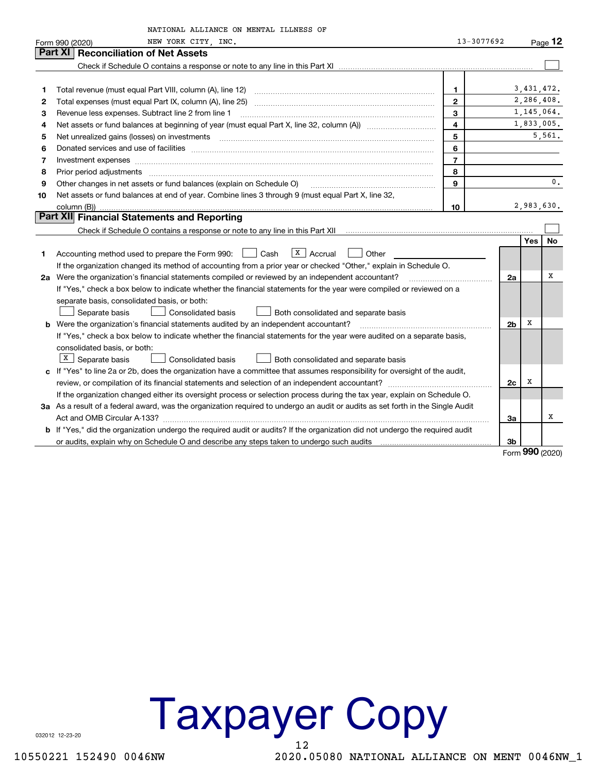|    | NATIONAL ALLIANCE ON MENTAL ILLNESS OF                                                                                          |                |                |              |              |
|----|---------------------------------------------------------------------------------------------------------------------------------|----------------|----------------|--------------|--------------|
|    | NEW YORK CITY, INC.<br>Form 990 (2020)                                                                                          | 13-3077692     |                |              | Page 12      |
|    | Part XI<br><b>Reconciliation of Net Assets</b>                                                                                  |                |                |              |              |
|    |                                                                                                                                 |                |                |              |              |
|    |                                                                                                                                 |                |                |              |              |
| 1  |                                                                                                                                 | $\mathbf 1$    |                | 3, 431, 472. |              |
| 2  |                                                                                                                                 | $\overline{2}$ |                |              | 2,286,408.   |
| 3  | Revenue less expenses. Subtract line 2 from line 1                                                                              | 3              |                |              | 1, 145, 064. |
| 4  |                                                                                                                                 | $\overline{4}$ |                |              | 1,833,005.   |
| 5  |                                                                                                                                 | 5              |                |              | 5,561.       |
| 6  |                                                                                                                                 | 6              |                |              |              |
| 7  | Investment expenses www.communication.com/www.communication.com/www.communication.com/www.com                                   | $\overline{7}$ |                |              |              |
| 8  | Prior period adjustments www.communication.communication.communication.com/                                                     | 8              |                |              |              |
| 9  | Other changes in net assets or fund balances (explain on Schedule O)                                                            | 9              |                |              | 0.           |
| 10 | Net assets or fund balances at end of year. Combine lines 3 through 9 (must equal Part X, line 32,                              |                |                |              |              |
|    |                                                                                                                                 | 10             |                |              | 2,983,630.   |
|    | Part XII Financial Statements and Reporting                                                                                     |                |                |              |              |
|    |                                                                                                                                 |                |                |              |              |
|    |                                                                                                                                 |                |                | <b>Yes</b>   | <b>No</b>    |
| 1  | $X$ Accrual<br>Accounting method used to prepare the Form 990: <u>June</u> Cash<br>Other                                        |                |                |              |              |
|    | If the organization changed its method of accounting from a prior year or checked "Other," explain in Schedule O.               |                |                |              |              |
|    | 2a Were the organization's financial statements compiled or reviewed by an independent accountant?                              |                | 2a             |              | х            |
|    | If "Yes," check a box below to indicate whether the financial statements for the year were compiled or reviewed on a            |                |                |              |              |
|    | separate basis, consolidated basis, or both:                                                                                    |                |                |              |              |
|    | Separate basis<br><b>Consolidated basis</b><br>Both consolidated and separate basis                                             |                |                |              |              |
|    | <b>b</b> Were the organization's financial statements audited by an independent accountant?                                     |                | 2 <sub>b</sub> | х            |              |
|    | If "Yes," check a box below to indicate whether the financial statements for the year were audited on a separate basis,         |                |                |              |              |
|    | consolidated basis, or both:                                                                                                    |                |                |              |              |
|    | $X$ Separate basis<br>Consolidated basis<br><b>Both consolidated and separate basis</b>                                         |                |                |              |              |
|    | c If "Yes" to line 2a or 2b, does the organization have a committee that assumes responsibility for oversight of the audit,     |                |                |              |              |
|    |                                                                                                                                 |                | 2c             | х            |              |
|    | If the organization changed either its oversight process or selection process during the tax year, explain on Schedule O.       |                |                |              |              |
|    | 3a As a result of a federal award, was the organization required to undergo an audit or audits as set forth in the Single Audit |                |                |              |              |
|    |                                                                                                                                 |                | За             |              | x            |
|    | b If "Yes," did the organization undergo the required audit or audits? If the organization did not undergo the required audit   |                |                |              |              |
|    |                                                                                                                                 |                | 3b             | nnn          |              |

Form 990 (2020)

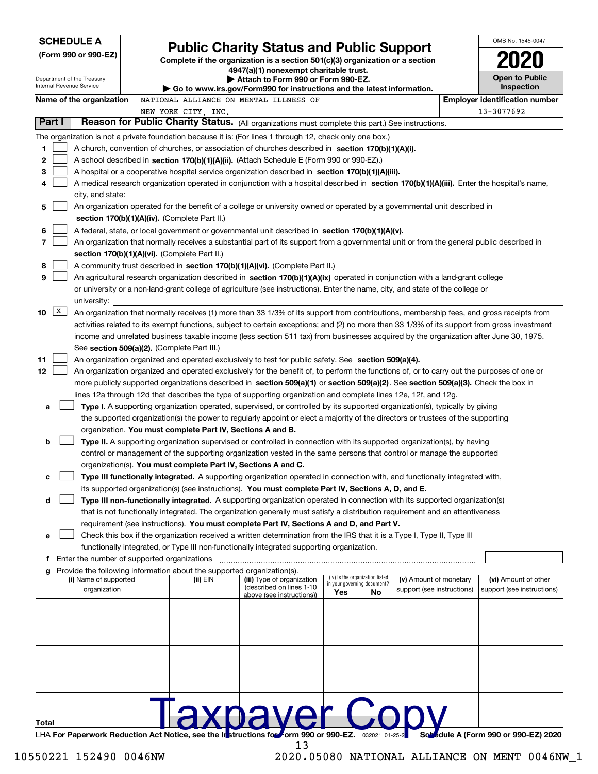| <b>SCHEDULE A</b>                                      |                                                                                                                                                                                                                                                                 |                                                                                                                           |                                    |                                 |                            | OMB No. 1545-0047                                   |
|--------------------------------------------------------|-----------------------------------------------------------------------------------------------------------------------------------------------------------------------------------------------------------------------------------------------------------------|---------------------------------------------------------------------------------------------------------------------------|------------------------------------|---------------------------------|----------------------------|-----------------------------------------------------|
| (Form 990 or 990-EZ)                                   |                                                                                                                                                                                                                                                                 | <b>Public Charity Status and Public Support</b>                                                                           |                                    |                                 |                            |                                                     |
|                                                        |                                                                                                                                                                                                                                                                 | Complete if the organization is a section $501(c)(3)$ organization or a section<br>4947(a)(1) nonexempt charitable trust. |                                    |                                 |                            |                                                     |
| Department of the Treasury<br>Internal Revenue Service |                                                                                                                                                                                                                                                                 | Attach to Form 990 or Form 990-EZ.                                                                                        |                                    |                                 |                            | <b>Open to Public</b>                               |
|                                                        |                                                                                                                                                                                                                                                                 | Go to www.irs.gov/Form990 for instructions and the latest information.                                                    |                                    |                                 |                            | Inspection<br><b>Employer identification number</b> |
| Name of the organization                               | NATIONAL ALLIANCE ON MENTAL ILLNESS OF<br>NEW YORK CITY, INC.                                                                                                                                                                                                   |                                                                                                                           |                                    |                                 |                            | 13-3077692                                          |
| Part I                                                 | Reason for Public Charity Status. (All organizations must complete this part.) See instructions.                                                                                                                                                                |                                                                                                                           |                                    |                                 |                            |                                                     |
|                                                        | The organization is not a private foundation because it is: (For lines 1 through 12, check only one box.)                                                                                                                                                       |                                                                                                                           |                                    |                                 |                            |                                                     |
| 1                                                      | A church, convention of churches, or association of churches described in section 170(b)(1)(A)(i).                                                                                                                                                              |                                                                                                                           |                                    |                                 |                            |                                                     |
| 2                                                      | A school described in section 170(b)(1)(A)(ii). (Attach Schedule E (Form 990 or 990-EZ).)                                                                                                                                                                       |                                                                                                                           |                                    |                                 |                            |                                                     |
| 3                                                      | A hospital or a cooperative hospital service organization described in section $170(b)(1)(A)(iii)$ .                                                                                                                                                            |                                                                                                                           |                                    |                                 |                            |                                                     |
| 4                                                      | A medical research organization operated in conjunction with a hospital described in section 170(b)(1)(A)(iii). Enter the hospital's name,                                                                                                                      |                                                                                                                           |                                    |                                 |                            |                                                     |
| city, and state:                                       |                                                                                                                                                                                                                                                                 |                                                                                                                           |                                    |                                 |                            |                                                     |
| 5                                                      | An organization operated for the benefit of a college or university owned or operated by a governmental unit described in                                                                                                                                       |                                                                                                                           |                                    |                                 |                            |                                                     |
|                                                        | section $170(b)(1)(A)(iv)$ . (Complete Part II.)                                                                                                                                                                                                                |                                                                                                                           |                                    |                                 |                            |                                                     |
| 6                                                      | A federal, state, or local government or governmental unit described in section 170(b)(1)(A)(v).                                                                                                                                                                |                                                                                                                           |                                    |                                 |                            |                                                     |
| 7                                                      | An organization that normally receives a substantial part of its support from a governmental unit or from the general public described in                                                                                                                       |                                                                                                                           |                                    |                                 |                            |                                                     |
|                                                        | section 170(b)(1)(A)(vi). (Complete Part II.)                                                                                                                                                                                                                   |                                                                                                                           |                                    |                                 |                            |                                                     |
| 8<br>9                                                 | A community trust described in section 170(b)(1)(A)(vi). (Complete Part II.)                                                                                                                                                                                    |                                                                                                                           |                                    |                                 |                            |                                                     |
|                                                        | An agricultural research organization described in section 170(b)(1)(A)(ix) operated in conjunction with a land-grant college<br>or university or a non-land-grant college of agriculture (see instructions). Enter the name, city, and state of the college or |                                                                                                                           |                                    |                                 |                            |                                                     |
| university:                                            |                                                                                                                                                                                                                                                                 |                                                                                                                           |                                    |                                 |                            |                                                     |
| $\mathbf{x}$<br>10                                     | An organization that normally receives (1) more than 33 1/3% of its support from contributions, membership fees, and gross receipts from                                                                                                                        |                                                                                                                           |                                    |                                 |                            |                                                     |
|                                                        | activities related to its exempt functions, subject to certain exceptions; and (2) no more than 33 1/3% of its support from gross investment                                                                                                                    |                                                                                                                           |                                    |                                 |                            |                                                     |
|                                                        | income and unrelated business taxable income (less section 511 tax) from businesses acquired by the organization after June 30, 1975.                                                                                                                           |                                                                                                                           |                                    |                                 |                            |                                                     |
|                                                        | See section 509(a)(2). (Complete Part III.)                                                                                                                                                                                                                     |                                                                                                                           |                                    |                                 |                            |                                                     |
| 11                                                     | An organization organized and operated exclusively to test for public safety. See section 509(a)(4).                                                                                                                                                            |                                                                                                                           |                                    |                                 |                            |                                                     |
| 12                                                     | An organization organized and operated exclusively for the benefit of, to perform the functions of, or to carry out the purposes of one or                                                                                                                      |                                                                                                                           |                                    |                                 |                            |                                                     |
|                                                        | more publicly supported organizations described in section 509(a)(1) or section 509(a)(2). See section 509(a)(3). Check the box in                                                                                                                              |                                                                                                                           |                                    |                                 |                            |                                                     |
|                                                        | lines 12a through 12d that describes the type of supporting organization and complete lines 12e, 12f, and 12g.                                                                                                                                                  |                                                                                                                           |                                    |                                 |                            |                                                     |
| a                                                      | Type I. A supporting organization operated, supervised, or controlled by its supported organization(s), typically by giving                                                                                                                                     |                                                                                                                           |                                    |                                 |                            |                                                     |
|                                                        | the supported organization(s) the power to regularly appoint or elect a majority of the directors or trustees of the supporting                                                                                                                                 |                                                                                                                           |                                    |                                 |                            |                                                     |
| b                                                      | organization. You must complete Part IV, Sections A and B.                                                                                                                                                                                                      |                                                                                                                           |                                    |                                 |                            |                                                     |
|                                                        | Type II. A supporting organization supervised or controlled in connection with its supported organization(s), by having<br>control or management of the supporting organization vested in the same persons that control or manage the supported                 |                                                                                                                           |                                    |                                 |                            |                                                     |
|                                                        | organization(s). You must complete Part IV, Sections A and C.                                                                                                                                                                                                   |                                                                                                                           |                                    |                                 |                            |                                                     |
| с                                                      | Type III functionally integrated. A supporting organization operated in connection with, and functionally integrated with,                                                                                                                                      |                                                                                                                           |                                    |                                 |                            |                                                     |
|                                                        | its supported organization(s) (see instructions). You must complete Part IV, Sections A, D, and E.                                                                                                                                                              |                                                                                                                           |                                    |                                 |                            |                                                     |
| d                                                      | Type III non-functionally integrated. A supporting organization operated in connection with its supported organization(s)                                                                                                                                       |                                                                                                                           |                                    |                                 |                            |                                                     |
|                                                        | that is not functionally integrated. The organization generally must satisfy a distribution requirement and an attentiveness                                                                                                                                    |                                                                                                                           |                                    |                                 |                            |                                                     |
|                                                        | requirement (see instructions). You must complete Part IV, Sections A and D, and Part V.                                                                                                                                                                        |                                                                                                                           |                                    |                                 |                            |                                                     |
| е                                                      | Check this box if the organization received a written determination from the IRS that it is a Type I, Type II, Type III                                                                                                                                         |                                                                                                                           |                                    |                                 |                            |                                                     |
|                                                        | functionally integrated, or Type III non-functionally integrated supporting organization.                                                                                                                                                                       |                                                                                                                           |                                    |                                 |                            |                                                     |
| f                                                      | Enter the number of supported organizations                                                                                                                                                                                                                     |                                                                                                                           |                                    |                                 |                            |                                                     |
| (i) Name of supported                                  | Provide the following information about the supported organization(s).<br>(ii) EIN                                                                                                                                                                              | (iii) Type of organization                                                                                                |                                    | (iv) Is the organization listed | (v) Amount of monetary     | (vi) Amount of other                                |
| organization                                           |                                                                                                                                                                                                                                                                 | (described on lines 1-10<br>above (see instructions))                                                                     | in your governing document?<br>Yes | No                              | support (see instructions) | support (see instructions)                          |
|                                                        |                                                                                                                                                                                                                                                                 |                                                                                                                           |                                    |                                 |                            |                                                     |
|                                                        |                                                                                                                                                                                                                                                                 |                                                                                                                           |                                    |                                 |                            |                                                     |
|                                                        |                                                                                                                                                                                                                                                                 |                                                                                                                           |                                    |                                 |                            |                                                     |
|                                                        |                                                                                                                                                                                                                                                                 |                                                                                                                           |                                    |                                 |                            |                                                     |
|                                                        |                                                                                                                                                                                                                                                                 |                                                                                                                           |                                    |                                 |                            |                                                     |
|                                                        |                                                                                                                                                                                                                                                                 |                                                                                                                           |                                    |                                 |                            |                                                     |
|                                                        |                                                                                                                                                                                                                                                                 |                                                                                                                           |                                    |                                 |                            |                                                     |
|                                                        |                                                                                                                                                                                                                                                                 |                                                                                                                           |                                    |                                 |                            |                                                     |
|                                                        |                                                                                                                                                                                                                                                                 |                                                                                                                           |                                    |                                 |                            |                                                     |
| Total                                                  |                                                                                                                                                                                                                                                                 |                                                                                                                           |                                    |                                 |                            |                                                     |
|                                                        |                                                                                                                                                                                                                                                                 |                                                                                                                           |                                    |                                 |                            |                                                     |

LHA For Paperwork Reduction Act Notice, see the Instructions for form 990 or 990-EZ. 032021 01-25-2 Sobseque A (Form 990 or 990-EZ) 2020

<sup>2020.05080</sup> NATIONAL ALLIANCE ON MENT 0046NW\_1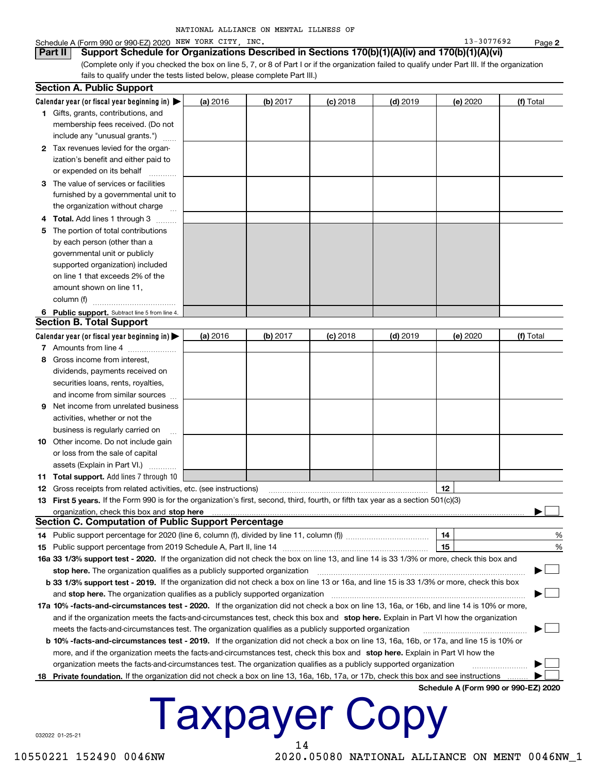## Schedule A (Form 990 or 990-EZ) 2020 NEW YORK CITY, INC.

Part II

| Support Schedule for Organizations Described in Sections 170(b)(1)(A)(iv) and 170(b)(1)(A)(vi)                                                  |
|-------------------------------------------------------------------------------------------------------------------------------------------------|
| (Complete only if you checked the box on line 5, 7, or 8 of Part I or if the organization failed to qualify under Part III. If the organization |
| fails to qualify under the tests listed below, please complete Part III.)                                                                       |

|    | Section A. Public Support                                                                                                                       |          |          |            |            |                                      |           |  |  |
|----|-------------------------------------------------------------------------------------------------------------------------------------------------|----------|----------|------------|------------|--------------------------------------|-----------|--|--|
|    | Calendar year (or fiscal year beginning in) $\blacktriangleright$                                                                               | (a) 2016 | (b) 2017 | $(c)$ 2018 | $(d)$ 2019 | (e) 2020                             | (f) Total |  |  |
|    | 1 Gifts, grants, contributions, and                                                                                                             |          |          |            |            |                                      |           |  |  |
|    | membership fees received. (Do not                                                                                                               |          |          |            |            |                                      |           |  |  |
|    | include any "unusual grants.")                                                                                                                  |          |          |            |            |                                      |           |  |  |
|    | 2 Tax revenues levied for the organ-                                                                                                            |          |          |            |            |                                      |           |  |  |
|    | ization's benefit and either paid to                                                                                                            |          |          |            |            |                                      |           |  |  |
|    | or expended on its behalf                                                                                                                       |          |          |            |            |                                      |           |  |  |
|    | 3 The value of services or facilities                                                                                                           |          |          |            |            |                                      |           |  |  |
|    | furnished by a governmental unit to                                                                                                             |          |          |            |            |                                      |           |  |  |
|    | the organization without charge                                                                                                                 |          |          |            |            |                                      |           |  |  |
| 4  | Total. Add lines 1 through 3<br>.                                                                                                               |          |          |            |            |                                      |           |  |  |
| 5  | The portion of total contributions                                                                                                              |          |          |            |            |                                      |           |  |  |
|    | by each person (other than a                                                                                                                    |          |          |            |            |                                      |           |  |  |
|    | governmental unit or publicly                                                                                                                   |          |          |            |            |                                      |           |  |  |
|    | supported organization) included                                                                                                                |          |          |            |            |                                      |           |  |  |
|    | on line 1 that exceeds 2% of the                                                                                                                |          |          |            |            |                                      |           |  |  |
|    | amount shown on line 11,                                                                                                                        |          |          |            |            |                                      |           |  |  |
|    | column (f)                                                                                                                                      |          |          |            |            |                                      |           |  |  |
|    | 6 Public support. Subtract line 5 from line 4.<br><b>Section B. Total Support</b>                                                               |          |          |            |            |                                      |           |  |  |
|    | Calendar year (or fiscal year beginning in)                                                                                                     |          | (b) 2017 |            |            |                                      | (f) Total |  |  |
|    | 7 Amounts from line 4                                                                                                                           | (a) 2016 |          | $(c)$ 2018 | $(d)$ 2019 | (e) 2020                             |           |  |  |
| 8  | Gross income from interest,                                                                                                                     |          |          |            |            |                                      |           |  |  |
|    | dividends, payments received on                                                                                                                 |          |          |            |            |                                      |           |  |  |
|    | securities loans, rents, royalties,                                                                                                             |          |          |            |            |                                      |           |  |  |
|    | and income from similar sources                                                                                                                 |          |          |            |            |                                      |           |  |  |
| 9  | Net income from unrelated business                                                                                                              |          |          |            |            |                                      |           |  |  |
|    | activities, whether or not the                                                                                                                  |          |          |            |            |                                      |           |  |  |
|    | business is regularly carried on                                                                                                                |          |          |            |            |                                      |           |  |  |
| 10 | Other income. Do not include gain                                                                                                               |          |          |            |            |                                      |           |  |  |
|    | or loss from the sale of capital                                                                                                                |          |          |            |            |                                      |           |  |  |
|    | assets (Explain in Part VI.)                                                                                                                    |          |          |            |            |                                      |           |  |  |
|    | 11 Total support. Add lines 7 through 10                                                                                                        |          |          |            |            |                                      |           |  |  |
|    | <b>12</b> Gross receipts from related activities, etc. (see instructions)                                                                       |          |          |            |            | 12                                   |           |  |  |
|    | 13 First 5 years. If the Form 990 is for the organization's first, second, third, fourth, or fifth tax year as a section 501(c)(3)              |          |          |            |            |                                      |           |  |  |
|    | organization, check this box and stop here                                                                                                      |          |          |            |            |                                      |           |  |  |
|    | Section C. Computation of Public Support Percentage                                                                                             |          |          |            |            |                                      |           |  |  |
|    |                                                                                                                                                 |          |          |            |            | 14                                   | %         |  |  |
|    |                                                                                                                                                 |          |          |            |            | 15                                   | %         |  |  |
|    | 16a 33 1/3% support test - 2020. If the organization did not check the box on line 13, and line 14 is 33 1/3% or more, check this box and       |          |          |            |            |                                      |           |  |  |
|    | stop here. The organization qualifies as a publicly supported organization                                                                      |          |          |            |            |                                      |           |  |  |
|    | <b>b 33 1/3% support test - 2019.</b> If the organization did not check a box on line 13 or 16a, and line 15 is 33 1/3% or more, check this box |          |          |            |            |                                      |           |  |  |
|    | and stop here. The organization qualifies as a publicly supported organization                                                                  |          |          |            |            |                                      |           |  |  |
|    | 17a 10% -facts-and-circumstances test - 2020. If the organization did not check a box on line 13, 16a, or 16b, and line 14 is 10% or more,      |          |          |            |            |                                      |           |  |  |
|    | and if the organization meets the facts-and-circumstances test, check this box and stop here. Explain in Part VI how the organization           |          |          |            |            |                                      |           |  |  |
|    | meets the facts-and-circumstances test. The organization qualifies as a publicly supported organization                                         |          |          |            |            |                                      |           |  |  |
|    | <b>b 10% -facts-and-circumstances test - 2019.</b> If the organization did not check a box on line 13, 16a, 16b, or 17a, and line 15 is 10% or  |          |          |            |            |                                      |           |  |  |
|    | more, and if the organization meets the facts-and-circumstances test, check this box and stop here. Explain in Part VI how the                  |          |          |            |            |                                      |           |  |  |
|    | organization meets the facts-and-circumstances test. The organization qualifies as a publicly supported organization                            |          |          |            |            |                                      |           |  |  |
| 18 | Private foundation. If the organization did not check a box on line 13, 16a, 16b, 17a, or 17b, check this box and see instructions              |          |          |            |            |                                      |           |  |  |
|    |                                                                                                                                                 |          |          |            |            | Schedule A (Form 990 or 990-EZ) 2020 |           |  |  |

# **Taxpayer Copy** 14

032022 01-25-21

10550221 152490 0046NW

2020.05080 NATIONAL ALLIANCE ON MENT 0046NW\_1

13-3077692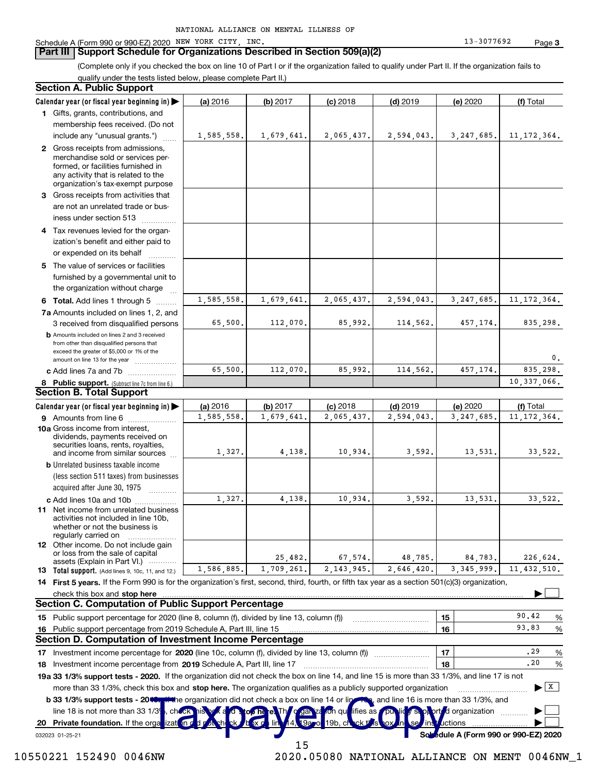### **Part III | Support Schedule for Organizations Described in Section 509(a)(2)**

(Complete only if you checked the box on line 10 of Part I or if the organization failed to qualify under Part II. If the organization fails to qualify under the tests listed below, please complete Part II.)

#### **Section A. Public Support** (d) 2019  $(a) 2016$  $(b) 2017$  $(c)$  2018 (e) 2020 (f) Total Calendar year (or fiscal year beginning in)  $\blacktriangleright$ 1 Gifts, grants, contributions, and membership fees received. (Do not 1,585,558. 3, 247, 685. 1,679,641 2,065,437 2,594,043. 11, 172, 364. include any "unusual grants.") 2 Gross receipts from admissions, merchandise sold or services performed, or facilities furnished in any activity that is related to the organization's tax-exempt purpose 3 Gross receipts from activities that are not an unrelated trade or business under section 513 . . . . . . . . . . . . . . . Tax revenues levied for the organ-4 ization's benefit and either paid to or expended on its behalf ........... 5 The value of services or facilities furnished by a governmental unit to the organization without charge 1,585,558, 1,679,641. 2.065.437. 2,594,043, 3.247.685. 11.172.364. 6 Total. Add lines 1 through 5 ........ 7a Amounts included on lines 1, 2, and 65,500 112,070 85,992 114,562 457,174 835.298. 3 received from disqualified persons **b** Amounts included on lines 2 and 3 received from other than disqualified persons that exceed the greater of \$5,000 or 1% of the amount on line 13 for the year ..................  $\Omega$ 65 500 112,070, 85 992 114 562 457 174  $835$ 298. c Add lines 7a and 7b ..................... 10.337.066. 8 Public support. (Subtract line 7c from line 6.) **Section B. Total Support** Calendar year (or fiscal year beginning in)  $(a) 2016$ (b) 2017  $(c)$  2018 (d) 2019 (e) 2020 (f) Total 9 Amounts from line 6 ..................... 1,585,558 1.679.641 2.065.437. 2,594,043 3.247.685 11.172.364. 10a Gross income from interest, dividends, payments received on securities loans, rents, royalties, 1,327 4.138 10,934 3.592. 13,531, 33.522. and income from similar sources **b** Unrelated business taxable income (less section 511 taxes) from businesses acquired after June 30, 1975  $1,327,$ 4.138.  $10,934.$  $3,592.$ 13,531. 33,522. c Add lines 10a and 10b ................. 11 Net income from unrelated business activities not included in line 10b, whether or not the business is regularly carried on 12 Other income. Do not include gain or loss from the sale of capital 25,482 67.574 48.785 84.783 226,624. assets (Explain in Part VI.) ............ 1,586,885. 1,709,261. 2, 143, 945. 2,646,420. 3.345.999. 11,432,510. 13 Total support. (Add lines 9, 10c, 11, and 12.) 14 First 5 years. If the Form 990 is for the organization's first, second, third, fourth, or fifth tax year as a section 501(c)(3) organization, check this box and stop here ▶ **Section C. Computation of Public Support Percentage** 90.42  $%$ Public support percentage for 2020 (line 8, column (f), divided by line 13, column (f)) 15 15 93.83 Public support percentage from 2019 Schedule A, Part III, line 15 16 % 16 Section D. Computation of Investment Income Percentage .29  $%$ Investment income percentage for 2020 (line 10c, column (f), divided by line 13, column (f))  $17$ 17 Investment income percentage from 2019 Schedule A, Part III, line 17 [11] [12] [12] [13] [13] Investment income percentage from 2019 Schedule A, Part III, line 17  $.20$ 18  $\%$ 18 19a 33 1/3% support tests - 2020. If the organization did not check the box on line 14, and line 15 is more than 33 1/3%, and line 17 is not  $\blacktriangleright$   $\boxed{\text{X}}$ more than 33 1/3%, check this box and stop here. The organization qualifies as a publicly supported organization the organization did not check a box on line 14 or ling a, and line 16 is more than 33 1/3%, and b 33 1/3% support tests - 2010 line 18 is not more than 33 1/39 ifies as d organization cho 20 Private foundation. If the orga ictions Sol dule A (Form 990 or 990-EZ) 2020 032023 01-25-21 15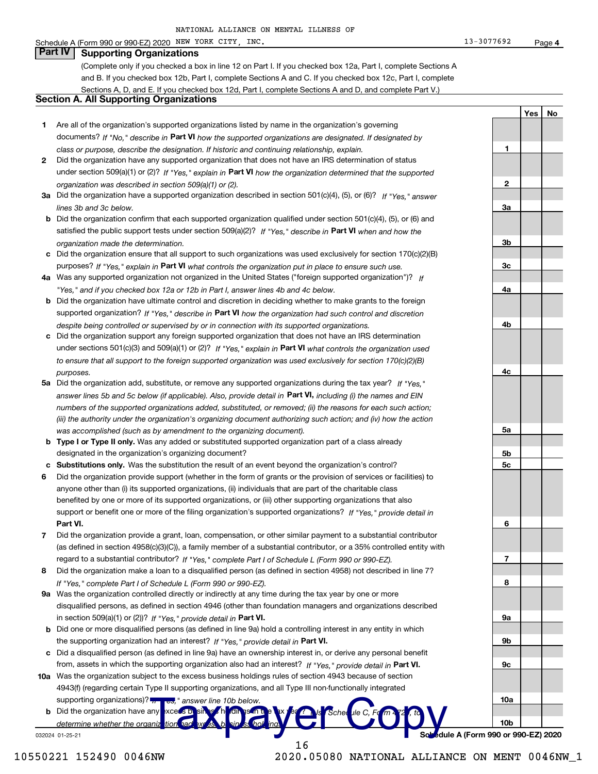# Schedule A (Form 990 or 990-EZ) 2020 NEW YORK CITY, INC.

#### **Part IV Supporting Organizations**

(Complete only if you checked a box in line 12 on Part I. If you checked box 12a, Part I, complete Sections A and B. If you checked box 12b, Part I, complete Sections A and C. If you checked box 12c, Part I, complete Sections A, D, and E. If you checked box 12d, Part I, complete Sections A and D, and complete Part V.)

## **Section A. All Supporting Organizations**

- 1 Are all of the organization's supported organizations listed by name in the organization's governing documents? If "No," describe in Part VI how the supported organizations are designated. If designated by class or purpose, describe the designation. If historic and continuing relationship, explain.
- 2 Did the organization have any supported organization that does not have an IRS determination of status under section 509(a)(1) or (2)? If "Yes," explain in Part VI how the organization determined that the supported organization was described in section 509(a)(1) or (2).
- 3a Did the organization have a supported organization described in section 501(c)(4), (5), or (6)? If "Yes." answer lines 3b and 3c below.
- **b** Did the organization confirm that each supported organization qualified under section  $501(c)(4)$ ,  $(5)$ , or  $(6)$  and satisfied the public support tests under section 509(a)(2)? If "Yes," describe in Part VI when and how the organization made the determination.
- c Did the organization ensure that all support to such organizations was used exclusively for section 170(c)(2)(B) purposes? If "Yes," explain in Part VI what controls the organization put in place to ensure such use.
- 4a Was any supported organization not organized in the United States ("foreign supported organization")? If "Yes," and if you checked box 12a or 12b in Part I, answer lines 4b and 4c below.
- **b** Did the organization have ultimate control and discretion in deciding whether to make grants to the foreign supported organization? If "Yes," describe in Part VI how the organization had such control and discretion despite being controlled or supervised by or in connection with its supported organizations.
- c Did the organization support any foreign supported organization that does not have an IRS determination under sections 501(c)(3) and 509(a)(1) or (2)? If "Yes," explain in Part VI what controls the organization used to ensure that all support to the foreign supported organization was used exclusively for section 170(c)(2)(B) purposes.
- 5a Did the organization add, substitute, or remove any supported organizations during the tax year? If "Yes." answer lines 5b and 5c below (if applicable). Also, provide detail in Part VI, including (i) the names and EIN numbers of the supported organizations added, substituted, or removed; (ii) the reasons for each such action; (iii) the authority under the organization's organizing document authorizing such action; and (iv) how the action was accomplished (such as by amendment to the organizing document).
- b Type I or Type II only. Was any added or substituted supported organization part of a class already designated in the organization's organizing document?
- c Substitutions only. Was the substitution the result of an event beyond the organization's control?
- 6 Did the organization provide support (whether in the form of grants or the provision of services or facilities) to anyone other than (i) its supported organizations, (ii) individuals that are part of the charitable class benefited by one or more of its supported organizations, or (iii) other supporting organizations that also support or benefit one or more of the filing organization's supported organizations? If "Yes," provide detail in Part VI.
- 7 Did the organization provide a grant, loan, compensation, or other similar payment to a substantial contributor (as defined in section 4958(c)(3)(C)), a family member of a substantial contributor, or a 35% controlled entity with regard to a substantial contributor? If "Yes," complete Part I of Schedule L (Form 990 or 990-EZ).
- 8 Did the organization make a loan to a disqualified person (as defined in section 4958) not described in line 7? If "Yes," complete Part I of Schedule L (Form 990 or 990-EZ).
- 9a Was the organization controlled directly or indirectly at any time during the tax year by one or more disqualified persons, as defined in section 4946 (other than foundation managers and organizations described in section 509(a)(1) or (2))? If "Yes," provide detail in Part VI.
- b Did one or more disqualified persons (as defined in line 9a) hold a controlling interest in any entity in which the supporting organization had an interest? If "Yes," provide detail in Part VI.
- c Did a disqualified person (as defined in line 9a) have an ownership interest in, or derive any personal benefit from, assets in which the supporting organization also had an interest? If "Yes," provide detail in Part VI.
- 10a Was the organization subject to the excess business holdings rules of section 4943 because of section 4943(f) (regarding certain Type II supporting organizations, and all Type III non-functionally integrated supporting organizations)? answer line 10b below
- **b** Did the organization have any  $x$ ces  $5$   $\overline{D}$ determine whether the organiz 032024 01-25-21

dule A (Form 990 or 990-EZ) 2020

2020.05080 NATIONAL ALLIANCE ON MENT 0046NW\_1

 $\mathbf{1}$ 

 $\mathbf{2}$ 

За

 $3<sub>b</sub>$ 

 $3<sub>c</sub>$ 

4a

4b

4c

<u>5a</u>

5b

**5c** 

6

7

8

<u>9a</u>

9b

 $9c$ 

 $10a$ 

 $10<sub>b</sub>$ 

Yes No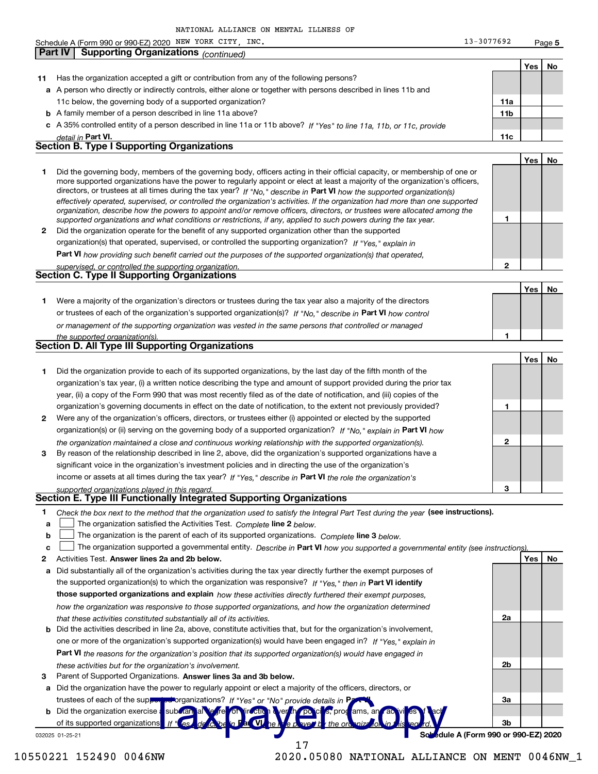Schedule A (Form 990 or 990-EZ) 2020 NEW YORK CITY, INC.  $13 - 3077692$ Page 5 Part IV **Supporting Organizations (continued)** Yes **No** 11 Has the organization accepted a gift or contribution from any of the following persons? a A person who directly or indirectly controls, either alone or together with persons described in lines 11b and 11c below, the governing body of a supported organization?  $11a$ **b** A family member of a person described in line 11a above?  $11<sub>b</sub>$ c A 35% controlled entity of a person described in line 11a or 11b above? If "Yes" to line 11a, 11b, or 11c, provide <u>detail in **Part VI**</u>  $11c$ **Section B. Type I Supporting Organizations** Yes **No** Did the governing body, members of the governing body, officers acting in their official capacity, or membership of one or 1. more supported organizations have the power to regularly appoint or elect at least a majority of the organization's officers, directors, or trustees at all times during the tax year? If "No," describe in Part VI how the supported organization(s) effectively operated, supervised, or controlled the organization's activities. If the organization had more than one supported organization, describe how the powers to appoint and/or remove officers, directors, or trustees were allocated among the 1 supported organizations and what conditions or restrictions, if any, applied to such powers during the tax year. 2 Did the organization operate for the benefit of any supported organization other than the supported organization(s) that operated, supervised, or controlled the supporting organization? If "Yes," explain in **Part VI** how providing such benefit carried out the purposes of the supported organization(s) that operated,  $\overline{2}$ upervised, or controlled the supporting organization. **Section C. Type II Supporting Organizations** No Yes 1 Were a majority of the organization's directors or trustees during the tax year also a majority of the directors or trustees of each of the organization's supported organization(s)? If "No," describe in Part VI how control or management of the supporting organization was vested in the same persons that controlled or managed the supported organization(s) **Section D. All Type III Supporting Organizations**  $Yes$ <u>No</u> 1 Did the organization provide to each of its supported organizations, by the last day of the fifth month of the organization's tax year, (i) a written notice describing the type and amount of support provided during the prior tax year, (ii) a copy of the Form 990 that was most recently filed as of the date of notification, and (iii) copies of the organization's governing documents in effect on the date of notification, to the extent not previously provided?  $\mathbf{1}$ 2 Were any of the organization's officers, directors, or trustees either (i) appointed or elected by the supported organization(s) or (ii) serving on the governing body of a supported organization? If "No," explain in Part VI how the organization maintained a close and continuous working relationship with the supported organization(s).  $\overline{2}$ By reason of the relationship described in line 2, above, did the organization's supported organizations have a 3 significant voice in the organization's investment policies and in directing the use of the organization's income or assets at all times during the tax year? If "Yes," describe in Part VI the role the organization's 3 supported organizations plaved in this regard. Section E. Type III Functionally Integrated Supporting Organizations Check the box next to the method that the organization used to satisfy the Integral Part Test during the year (see instructions). 1  $\Box$  The organization satisfied the Activities Test. Complete line 2 below. a The organization is the parent of each of its supported organizations. Complete line 3 below.  $\mathbf b$ The organization supported a governmental entity. Describe in Part VI how you supported a governmental entity (see instructions) C 2 Activities Test. Answer lines 2a and 2b below. <u>Yes | No</u> a Did substantially all of the organization's activities during the tax year directly further the exempt purposes of

- the supported organization(s) to which the organization was responsive? If "Yes." then in Part VI identify those supported organizations and explain how these activities directly furthered their exempt purposes, how the organization was responsive to those supported organizations, and how the organization determined that these activities constituted substantially all of its activities. **b** Did the activities described in line 2a, above, constitute activities that, but for the organization's involvement, one or more of the organization's supported organization(s) would have been engaged in? If "Yes." explain in
	- Part VI the reasons for the organization's position that its supported organization(s) would have engaged in these activities but for the organization's involvement.
- 3 Parent of Supported Organizations. Answer lines 3a and 3b below.

a Did the organization have the power to regularly appoint or elect a majority of the officers, directors, or trustees of each of the supp organizations? If "Yes" or "No" provide details in F

**b** Did the organization exercise a sub of its supported organizations dule A (Form 990 or 990-EZ) 2020

17

032025 01-25-21

## 10550221 152490 0046NW

2020.05080 NATIONAL ALLIANCE ON MENT 0046NW\_1

<u>2a</u>

 $2<sub>b</sub>$ 

За

3h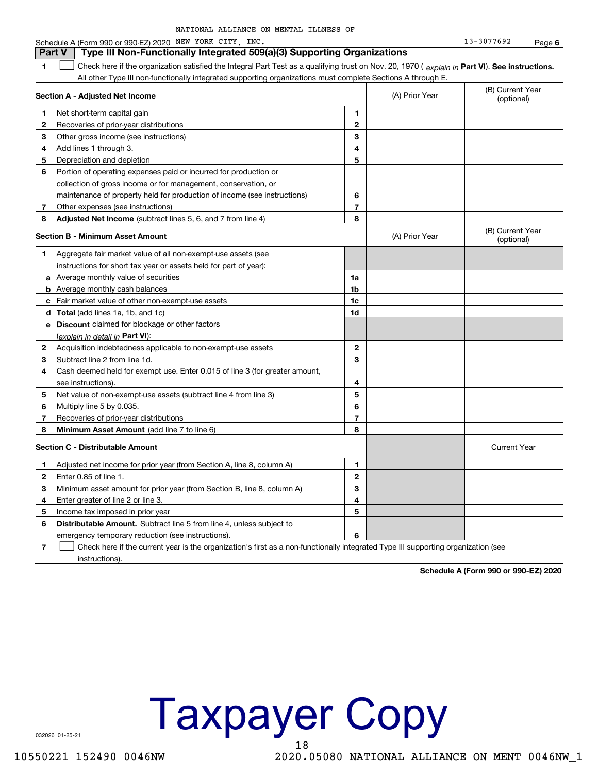| NATIONAL ALLIANCE ON MENTAL ILLNESS OF |
|----------------------------------------|
|----------------------------------------|

|                | Schedule A (Form 990 or 990-EZ) 2020 NEW YORK CITY, INC.                                                                                       |                |                | 13-3077692                     | Page 6 |
|----------------|------------------------------------------------------------------------------------------------------------------------------------------------|----------------|----------------|--------------------------------|--------|
|                | Type III Non-Functionally Integrated 509(a)(3) Supporting Organizations<br><b>Part V</b>                                                       |                |                |                                |        |
| 1              | Check here if the organization satisfied the Integral Part Test as a qualifying trust on Nov. 20, 1970 (explain in Part VI). See instructions. |                |                |                                |        |
|                | All other Type III non-functionally integrated supporting organizations must complete Sections A through E.                                    |                |                |                                |        |
|                | <b>Section A - Adjusted Net Income</b>                                                                                                         |                | (A) Prior Year | (B) Current Year<br>(optional) |        |
| 1              | Net short-term capital gain                                                                                                                    | 1              |                |                                |        |
| 2              | Recoveries of prior-year distributions                                                                                                         | $\mathbf{2}$   |                |                                |        |
| 3              | Other gross income (see instructions)                                                                                                          | 3              |                |                                |        |
| 4              | Add lines 1 through 3.                                                                                                                         | 4              |                |                                |        |
| 5              | Depreciation and depletion                                                                                                                     | 5              |                |                                |        |
| 6              | Portion of operating expenses paid or incurred for production or                                                                               |                |                |                                |        |
|                | collection of gross income or for management, conservation, or                                                                                 |                |                |                                |        |
|                | maintenance of property held for production of income (see instructions)                                                                       | 6              |                |                                |        |
| 7              | Other expenses (see instructions)                                                                                                              | $\overline{7}$ |                |                                |        |
| 8              | Adjusted Net Income (subtract lines 5, 6, and 7 from line 4)                                                                                   | 8              |                |                                |        |
|                | <b>Section B - Minimum Asset Amount</b>                                                                                                        |                | (A) Prior Year | (B) Current Year<br>(optional) |        |
| 1.             | Aggregate fair market value of all non-exempt-use assets (see                                                                                  |                |                |                                |        |
|                | instructions for short tax year or assets held for part of year):                                                                              |                |                |                                |        |
|                | <b>a</b> Average monthly value of securities                                                                                                   | 1a             |                |                                |        |
|                | <b>b</b> Average monthly cash balances                                                                                                         | 1b             |                |                                |        |
|                | c Fair market value of other non-exempt-use assets                                                                                             | 1c             |                |                                |        |
|                | d Total (add lines 1a, 1b, and 1c)                                                                                                             | 1d             |                |                                |        |
|                | e Discount claimed for blockage or other factors                                                                                               |                |                |                                |        |
|                | (explain in detail in Part VI):                                                                                                                |                |                |                                |        |
| 2              | Acquisition indebtedness applicable to non-exempt-use assets                                                                                   | $\mathbf{2}$   |                |                                |        |
| 3              | Subtract line 2 from line 1d.                                                                                                                  | 3              |                |                                |        |
| 4              | Cash deemed held for exempt use. Enter 0.015 of line 3 (for greater amount,                                                                    |                |                |                                |        |
|                | see instructions)                                                                                                                              | 4              |                |                                |        |
| 5              | Net value of non-exempt-use assets (subtract line 4 from line 3)                                                                               | 5              |                |                                |        |
| 6              | Multiply line 5 by 0.035.                                                                                                                      | 6              |                |                                |        |
| 7              | Recoveries of prior-year distributions                                                                                                         | $\overline{7}$ |                |                                |        |
| 8              | <b>Minimum Asset Amount</b> (add line 7 to line 6)                                                                                             | 8              |                |                                |        |
|                | <b>Section C - Distributable Amount</b>                                                                                                        |                |                | <b>Current Year</b>            |        |
| 1.             | Adjusted net income for prior year (from Section A, line 8, column A)                                                                          | 1              |                |                                |        |
| 2              | Enter 0.85 of line 1.                                                                                                                          | 2              |                |                                |        |
| 3              | Minimum asset amount for prior year (from Section B, line 8, column A)                                                                         | 3              |                |                                |        |
| 4              | Enter greater of line 2 or line 3.                                                                                                             | 4              |                |                                |        |
| 5              | Income tax imposed in prior year                                                                                                               | 5              |                |                                |        |
| 6              | Distributable Amount. Subtract line 5 from line 4, unless subject to                                                                           |                |                |                                |        |
|                | emergency temporary reduction (see instructions).                                                                                              | 6              |                |                                |        |
| $\overline{7}$ | Check here if the current year is the organization's first as a non-functionally integrated Type III supporting organization (see              |                |                |                                |        |

instructions).

Schedule A (Form 990 or 990-EZ) 2020



032026 01-25-21

10550221 152490 0046NW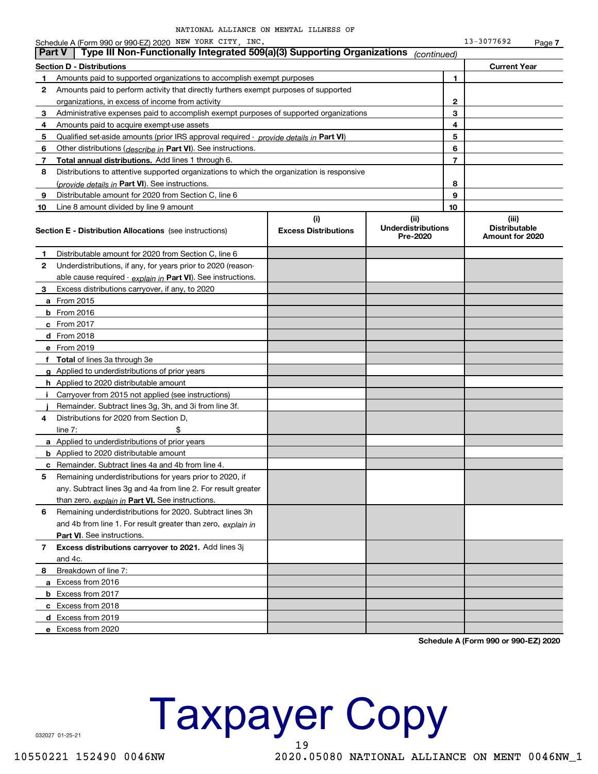$13 - 3077692$ Page 7

|               | Schedule A (Form 990 or 990-EZ) 2020 NEW YORK CITY, INC.                                   |                                    |                                               |                | 13-3077692                                       | Page 7 |
|---------------|--------------------------------------------------------------------------------------------|------------------------------------|-----------------------------------------------|----------------|--------------------------------------------------|--------|
| <b>Part V</b> | Type III Non-Functionally Integrated 509(a)(3) Supporting Organizations                    |                                    | (continued)                                   |                |                                                  |        |
|               | <b>Section D - Distributions</b>                                                           |                                    |                                               |                | <b>Current Year</b>                              |        |
| 1             | Amounts paid to supported organizations to accomplish exempt purposes                      |                                    |                                               | 1              |                                                  |        |
| 2             | Amounts paid to perform activity that directly furthers exempt purposes of supported       |                                    |                                               |                |                                                  |        |
|               | organizations, in excess of income from activity                                           |                                    |                                               | 2              |                                                  |        |
| 3             | Administrative expenses paid to accomplish exempt purposes of supported organizations      |                                    |                                               | 3              |                                                  |        |
| 4             | Amounts paid to acquire exempt-use assets                                                  |                                    |                                               | 4              |                                                  |        |
| 5             | Qualified set-aside amounts (prior IRS approval required - provide details in Part VI)     |                                    |                                               | 5              |                                                  |        |
| 6             | Other distributions (describe in Part VI). See instructions.                               |                                    |                                               | 6              |                                                  |        |
| 7             | Total annual distributions. Add lines 1 through 6.                                         |                                    |                                               | $\overline{7}$ |                                                  |        |
| 8             | Distributions to attentive supported organizations to which the organization is responsive |                                    |                                               |                |                                                  |        |
|               | (provide details in Part VI). See instructions.                                            |                                    |                                               | 8              |                                                  |        |
| 9             | Distributable amount for 2020 from Section C, line 6                                       |                                    |                                               | 9              |                                                  |        |
| 10            | Line 8 amount divided by line 9 amount                                                     |                                    |                                               | 10             |                                                  |        |
|               | <b>Section E - Distribution Allocations</b> (see instructions)                             | (i)<br><b>Excess Distributions</b> | (ii)<br><b>Underdistributions</b><br>Pre-2020 |                | (iii)<br><b>Distributable</b><br>Amount for 2020 |        |
| 1             | Distributable amount for 2020 from Section C, line 6                                       |                                    |                                               |                |                                                  |        |
| 2             | Underdistributions, if any, for years prior to 2020 (reason-                               |                                    |                                               |                |                                                  |        |
|               | able cause required - explain in Part VI). See instructions.                               |                                    |                                               |                |                                                  |        |
| 3             | Excess distributions carryover, if any, to 2020                                            |                                    |                                               |                |                                                  |        |
|               | <b>a</b> From 2015                                                                         |                                    |                                               |                |                                                  |        |
|               | <b>b</b> From 2016                                                                         |                                    |                                               |                |                                                  |        |
|               | c From 2017                                                                                |                                    |                                               |                |                                                  |        |
|               | d From 2018                                                                                |                                    |                                               |                |                                                  |        |
|               | e From 2019                                                                                |                                    |                                               |                |                                                  |        |
|               | f Total of lines 3a through 3e                                                             |                                    |                                               |                |                                                  |        |
|               | g Applied to underdistributions of prior years                                             |                                    |                                               |                |                                                  |        |
|               | <b>h</b> Applied to 2020 distributable amount                                              |                                    |                                               |                |                                                  |        |
| Ť.            | Carryover from 2015 not applied (see instructions)                                         |                                    |                                               |                |                                                  |        |
|               | Remainder. Subtract lines 3g, 3h, and 3i from line 3f.                                     |                                    |                                               |                |                                                  |        |
| 4             | Distributions for 2020 from Section D,                                                     |                                    |                                               |                |                                                  |        |
|               | line $7:$                                                                                  |                                    |                                               |                |                                                  |        |
|               | a Applied to underdistributions of prior years                                             |                                    |                                               |                |                                                  |        |
|               | <b>b</b> Applied to 2020 distributable amount                                              |                                    |                                               |                |                                                  |        |
|               | <b>c</b> Remainder. Subtract lines 4a and 4b from line 4.                                  |                                    |                                               |                |                                                  |        |
|               | Remaining underdistributions for years prior to 2020, if                                   |                                    |                                               |                |                                                  |        |
|               | any. Subtract lines 3g and 4a from line 2. For result greater                              |                                    |                                               |                |                                                  |        |
|               | than zero, explain in Part VI. See instructions.                                           |                                    |                                               |                |                                                  |        |
| 6             | Remaining underdistributions for 2020. Subtract lines 3h                                   |                                    |                                               |                |                                                  |        |
|               | and 4b from line 1. For result greater than zero, explain in                               |                                    |                                               |                |                                                  |        |
|               | Part VI. See instructions.                                                                 |                                    |                                               |                |                                                  |        |
| 7             | Excess distributions carryover to 2021. Add lines 3j                                       |                                    |                                               |                |                                                  |        |
|               | and 4c.                                                                                    |                                    |                                               |                |                                                  |        |
| 8             | Breakdown of line 7:                                                                       |                                    |                                               |                |                                                  |        |
|               | a Excess from 2016                                                                         |                                    |                                               |                |                                                  |        |
|               | <b>b</b> Excess from 2017                                                                  |                                    |                                               |                |                                                  |        |
|               | c Excess from 2018                                                                         |                                    |                                               |                |                                                  |        |
|               | d Excess from 2019                                                                         |                                    |                                               |                |                                                  |        |
|               | e Excess from 2020                                                                         |                                    |                                               |                |                                                  |        |

Schedule A (Form 990 or 990-EZ) 2020

**Taxpayer Copy** 19

032027 01-25-21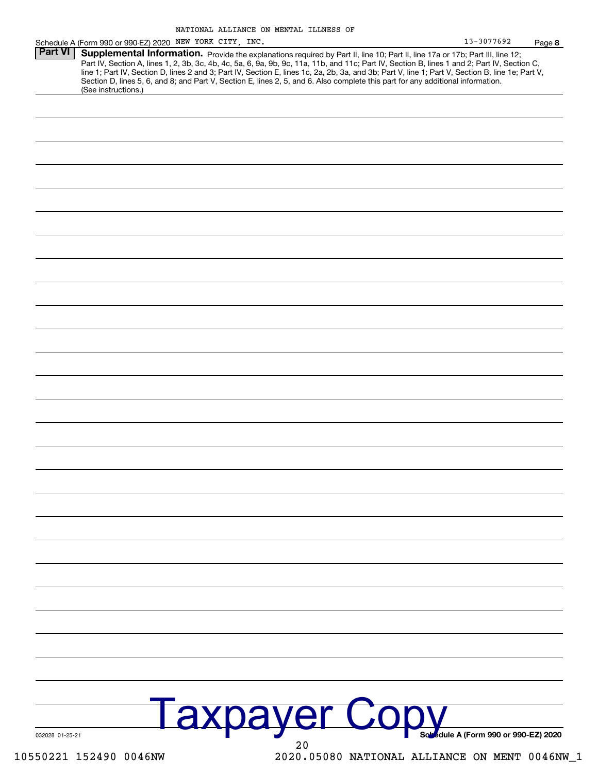| <b>Part VI</b>  | Schedule A (Form 990 or 990-EZ) 2020 NEW YORK CITY, INC.<br>Supplemental Information. Provide the explanations required by Part II, line 10; Part II, line 17a or 17b; Part III, line 12;                                                                                                                                                                                                                                           |                                      |  |
|-----------------|-------------------------------------------------------------------------------------------------------------------------------------------------------------------------------------------------------------------------------------------------------------------------------------------------------------------------------------------------------------------------------------------------------------------------------------|--------------------------------------|--|
|                 | Part IV, Section A, lines 1, 2, 3b, 3c, 4b, 4c, 5a, 6, 9a, 9b, 9c, 11a, 11b, and 11c; Part IV, Section B, lines 1 and 2; Part IV, Section C,<br>line 1; Part IV, Section D, lines 2 and 3; Part IV, Section E, lines 1c, 2a, 2b, 3a, and 3b; Part V, line 1; Part V, Section B, line 1e; Part V,<br>Section D, lines 5, 6, and 8; and Part V, Section E, lines 2, 5, and 6. Also complete this part for any additional information. |                                      |  |
|                 | (See instructions.)                                                                                                                                                                                                                                                                                                                                                                                                                 |                                      |  |
|                 |                                                                                                                                                                                                                                                                                                                                                                                                                                     |                                      |  |
|                 |                                                                                                                                                                                                                                                                                                                                                                                                                                     |                                      |  |
|                 |                                                                                                                                                                                                                                                                                                                                                                                                                                     |                                      |  |
|                 |                                                                                                                                                                                                                                                                                                                                                                                                                                     |                                      |  |
|                 |                                                                                                                                                                                                                                                                                                                                                                                                                                     |                                      |  |
|                 |                                                                                                                                                                                                                                                                                                                                                                                                                                     |                                      |  |
|                 |                                                                                                                                                                                                                                                                                                                                                                                                                                     |                                      |  |
|                 |                                                                                                                                                                                                                                                                                                                                                                                                                                     |                                      |  |
|                 |                                                                                                                                                                                                                                                                                                                                                                                                                                     |                                      |  |
|                 |                                                                                                                                                                                                                                                                                                                                                                                                                                     |                                      |  |
|                 |                                                                                                                                                                                                                                                                                                                                                                                                                                     |                                      |  |
|                 |                                                                                                                                                                                                                                                                                                                                                                                                                                     |                                      |  |
|                 |                                                                                                                                                                                                                                                                                                                                                                                                                                     |                                      |  |
|                 |                                                                                                                                                                                                                                                                                                                                                                                                                                     |                                      |  |
|                 |                                                                                                                                                                                                                                                                                                                                                                                                                                     |                                      |  |
|                 |                                                                                                                                                                                                                                                                                                                                                                                                                                     |                                      |  |
|                 |                                                                                                                                                                                                                                                                                                                                                                                                                                     |                                      |  |
|                 |                                                                                                                                                                                                                                                                                                                                                                                                                                     |                                      |  |
|                 |                                                                                                                                                                                                                                                                                                                                                                                                                                     |                                      |  |
|                 |                                                                                                                                                                                                                                                                                                                                                                                                                                     |                                      |  |
|                 |                                                                                                                                                                                                                                                                                                                                                                                                                                     |                                      |  |
|                 |                                                                                                                                                                                                                                                                                                                                                                                                                                     |                                      |  |
|                 |                                                                                                                                                                                                                                                                                                                                                                                                                                     |                                      |  |
|                 |                                                                                                                                                                                                                                                                                                                                                                                                                                     |                                      |  |
|                 |                                                                                                                                                                                                                                                                                                                                                                                                                                     |                                      |  |
|                 |                                                                                                                                                                                                                                                                                                                                                                                                                                     |                                      |  |
|                 |                                                                                                                                                                                                                                                                                                                                                                                                                                     |                                      |  |
|                 |                                                                                                                                                                                                                                                                                                                                                                                                                                     |                                      |  |
|                 | <b>axpayer Cop</b>                                                                                                                                                                                                                                                                                                                                                                                                                  |                                      |  |
| 032028 01-25-21 | 20                                                                                                                                                                                                                                                                                                                                                                                                                                  | Sobedule A (Form 990 or 990-EZ) 2020 |  |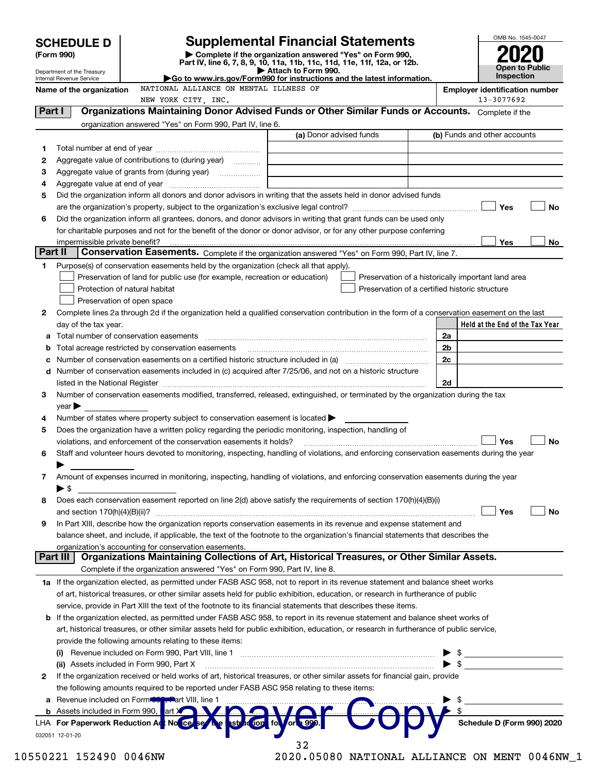|                 | <b>SCHEDULE D</b>                                                                                                            |                                                                                                                                                                                                                                                                                                                                                                   |  | <b>Supplemental Financial Statements</b>                 |  |                                                    |                                       |                              |  | OMB No. 1545-0047                         |           |
|-----------------|------------------------------------------------------------------------------------------------------------------------------|-------------------------------------------------------------------------------------------------------------------------------------------------------------------------------------------------------------------------------------------------------------------------------------------------------------------------------------------------------------------|--|----------------------------------------------------------|--|----------------------------------------------------|---------------------------------------|------------------------------|--|-------------------------------------------|-----------|
|                 | (Form 990)                                                                                                                   | Part IV, line 6, 7, 8, 9, 10, 11a, 11b, 11c, 11d, 11e, 11f, 12a, or 12b.                                                                                                                                                                                                                                                                                          |  | Complete if the organization answered "Yes" on Form 990, |  |                                                    |                                       |                              |  |                                           |           |
|                 | Department of the Treasury<br>Internal Revenue Service                                                                       | Go to www.irs.gov/Form990 for instructions and the latest information.                                                                                                                                                                                                                                                                                            |  | Attach to Form 990.                                      |  | <b>Open to Public</b><br>Inspection                |                                       |                              |  |                                           |           |
|                 | Name of the organization                                                                                                     | NATIONAL ALLIANCE ON MENTAL ILLNESS OF                                                                                                                                                                                                                                                                                                                            |  |                                                          |  |                                                    | <b>Employer identification number</b> |                              |  |                                           |           |
|                 |                                                                                                                              | NEW YORK CITY, INC.                                                                                                                                                                                                                                                                                                                                               |  |                                                          |  |                                                    |                                       |                              |  | 13-3077692                                |           |
| Part I          |                                                                                                                              | Organizations Maintaining Donor Advised Funds or Other Similar Funds or Accounts. Complete if the                                                                                                                                                                                                                                                                 |  |                                                          |  |                                                    |                                       |                              |  |                                           |           |
|                 |                                                                                                                              | organization answered "Yes" on Form 990, Part IV, line 6.                                                                                                                                                                                                                                                                                                         |  | (a) Donor advised funds                                  |  |                                                    |                                       | (b) Funds and other accounts |  |                                           |           |
| 1               |                                                                                                                              |                                                                                                                                                                                                                                                                                                                                                                   |  |                                                          |  |                                                    |                                       |                              |  |                                           |           |
| 2               |                                                                                                                              | Aggregate value of contributions to (during year)                                                                                                                                                                                                                                                                                                                 |  |                                                          |  |                                                    |                                       |                              |  |                                           |           |
| З               |                                                                                                                              |                                                                                                                                                                                                                                                                                                                                                                   |  |                                                          |  |                                                    |                                       |                              |  |                                           |           |
| 4               |                                                                                                                              |                                                                                                                                                                                                                                                                                                                                                                   |  |                                                          |  |                                                    |                                       |                              |  |                                           |           |
| 5               |                                                                                                                              | Did the organization inform all donors and donor advisors in writing that the assets held in donor advised funds                                                                                                                                                                                                                                                  |  |                                                          |  |                                                    |                                       |                              |  |                                           |           |
|                 |                                                                                                                              |                                                                                                                                                                                                                                                                                                                                                                   |  |                                                          |  |                                                    |                                       |                              |  | Yes                                       | No        |
| 6               |                                                                                                                              | Did the organization inform all grantees, donors, and donor advisors in writing that grant funds can be used only                                                                                                                                                                                                                                                 |  |                                                          |  |                                                    |                                       |                              |  |                                           |           |
|                 |                                                                                                                              | for charitable purposes and not for the benefit of the donor or donor advisor, or for any other purpose conferring                                                                                                                                                                                                                                                |  |                                                          |  |                                                    |                                       |                              |  |                                           |           |
| Part II         |                                                                                                                              | Conservation Easements. Complete if the organization answered "Yes" on Form 990, Part IV, line 7.                                                                                                                                                                                                                                                                 |  |                                                          |  |                                                    |                                       |                              |  | Yes                                       | No        |
| 1               |                                                                                                                              | Purpose(s) of conservation easements held by the organization (check all that apply).                                                                                                                                                                                                                                                                             |  |                                                          |  |                                                    |                                       |                              |  |                                           |           |
|                 |                                                                                                                              | Preservation of land for public use (for example, recreation or education)                                                                                                                                                                                                                                                                                        |  |                                                          |  | Preservation of a historically important land area |                                       |                              |  |                                           |           |
|                 |                                                                                                                              | Protection of natural habitat                                                                                                                                                                                                                                                                                                                                     |  |                                                          |  | Preservation of a certified historic structure     |                                       |                              |  |                                           |           |
|                 |                                                                                                                              | Preservation of open space                                                                                                                                                                                                                                                                                                                                        |  |                                                          |  |                                                    |                                       |                              |  |                                           |           |
| 2               |                                                                                                                              | Complete lines 2a through 2d if the organization held a qualified conservation contribution in the form of a conservation easement on the last                                                                                                                                                                                                                    |  |                                                          |  |                                                    |                                       |                              |  |                                           |           |
|                 | day of the tax year.                                                                                                         |                                                                                                                                                                                                                                                                                                                                                                   |  |                                                          |  |                                                    |                                       |                              |  | Held at the End of the Tax Year           |           |
| а               |                                                                                                                              |                                                                                                                                                                                                                                                                                                                                                                   |  |                                                          |  |                                                    |                                       | 2a                           |  |                                           |           |
| b               |                                                                                                                              | Total acreage restricted by conservation easements                                                                                                                                                                                                                                                                                                                |  |                                                          |  |                                                    |                                       | 2 <sub>b</sub>               |  |                                           |           |
| с               |                                                                                                                              |                                                                                                                                                                                                                                                                                                                                                                   |  |                                                          |  |                                                    |                                       | 2c                           |  |                                           |           |
| d               |                                                                                                                              | Number of conservation easements included in (c) acquired after 7/25/06, and not on a historic structure                                                                                                                                                                                                                                                          |  |                                                          |  |                                                    |                                       | 2d                           |  |                                           |           |
| 3               |                                                                                                                              | listed in the National Register [11, 1200] [12] The National Register [11, 1200] [12] The National Register [11, 1200] [12] The National Register [11, 1200] [12] The National Register [11, 1200] [12] The National Register<br>Number of conservation easements modified, transferred, released, extinguished, or terminated by the organization during the tax |  |                                                          |  |                                                    |                                       |                              |  |                                           |           |
|                 | $\mathsf{year}$                                                                                                              |                                                                                                                                                                                                                                                                                                                                                                   |  |                                                          |  |                                                    |                                       |                              |  |                                           |           |
| 4               |                                                                                                                              | Number of states where property subject to conservation easement is located >                                                                                                                                                                                                                                                                                     |  |                                                          |  |                                                    |                                       |                              |  |                                           |           |
| 5               |                                                                                                                              | Does the organization have a written policy regarding the periodic monitoring, inspection, handling of                                                                                                                                                                                                                                                            |  |                                                          |  |                                                    |                                       |                              |  |                                           |           |
|                 |                                                                                                                              | violations, and enforcement of the conservation easements it holds?                                                                                                                                                                                                                                                                                               |  |                                                          |  |                                                    |                                       |                              |  | Yes                                       | <b>No</b> |
| 6               |                                                                                                                              | Staff and volunteer hours devoted to monitoring, inspecting, handling of violations, and enforcing conservation easements during the year                                                                                                                                                                                                                         |  |                                                          |  |                                                    |                                       |                              |  |                                           |           |
|                 |                                                                                                                              |                                                                                                                                                                                                                                                                                                                                                                   |  |                                                          |  |                                                    |                                       |                              |  |                                           |           |
| 7               |                                                                                                                              | Amount of expenses incurred in monitoring, inspecting, handling of violations, and enforcing conservation easements during the year                                                                                                                                                                                                                               |  |                                                          |  |                                                    |                                       |                              |  |                                           |           |
| 8               | $\blacktriangleright$ \$                                                                                                     | Does each conservation easement reported on line 2(d) above satisfy the requirements of section 170(h)(4)(B)(i)                                                                                                                                                                                                                                                   |  |                                                          |  |                                                    |                                       |                              |  |                                           |           |
|                 | and section $170(h)(4)(B)(ii)?$                                                                                              |                                                                                                                                                                                                                                                                                                                                                                   |  |                                                          |  |                                                    |                                       |                              |  | Yes                                       | No        |
| 9               |                                                                                                                              | In Part XIII, describe how the organization reports conservation easements in its revenue and expense statement and                                                                                                                                                                                                                                               |  |                                                          |  |                                                    |                                       |                              |  |                                           |           |
|                 |                                                                                                                              | balance sheet, and include, if applicable, the text of the footnote to the organization's financial statements that describes the                                                                                                                                                                                                                                 |  |                                                          |  |                                                    |                                       |                              |  |                                           |           |
|                 |                                                                                                                              | organization's accounting for conservation easements.                                                                                                                                                                                                                                                                                                             |  |                                                          |  |                                                    |                                       |                              |  |                                           |           |
| <b>Part III</b> |                                                                                                                              | Organizations Maintaining Collections of Art, Historical Treasures, or Other Similar Assets.                                                                                                                                                                                                                                                                      |  |                                                          |  |                                                    |                                       |                              |  |                                           |           |
|                 |                                                                                                                              | Complete if the organization answered "Yes" on Form 990, Part IV, line 8.                                                                                                                                                                                                                                                                                         |  |                                                          |  |                                                    |                                       |                              |  |                                           |           |
|                 |                                                                                                                              | 1a If the organization elected, as permitted under FASB ASC 958, not to report in its revenue statement and balance sheet works                                                                                                                                                                                                                                   |  |                                                          |  |                                                    |                                       |                              |  |                                           |           |
|                 |                                                                                                                              | of art, historical treasures, or other similar assets held for public exhibition, education, or research in furtherance of public<br>service, provide in Part XIII the text of the footnote to its financial statements that describes these items.                                                                                                               |  |                                                          |  |                                                    |                                       |                              |  |                                           |           |
| b               |                                                                                                                              | If the organization elected, as permitted under FASB ASC 958, to report in its revenue statement and balance sheet works of                                                                                                                                                                                                                                       |  |                                                          |  |                                                    |                                       |                              |  |                                           |           |
|                 |                                                                                                                              | art, historical treasures, or other similar assets held for public exhibition, education, or research in furtherance of public service,                                                                                                                                                                                                                           |  |                                                          |  |                                                    |                                       |                              |  |                                           |           |
|                 |                                                                                                                              | provide the following amounts relating to these items:                                                                                                                                                                                                                                                                                                            |  |                                                          |  |                                                    |                                       |                              |  |                                           |           |
|                 |                                                                                                                              |                                                                                                                                                                                                                                                                                                                                                                   |  |                                                          |  |                                                    |                                       | \$                           |  |                                           |           |
|                 |                                                                                                                              | (ii) Assets included in Form 990, Part X                                                                                                                                                                                                                                                                                                                          |  |                                                          |  |                                                    |                                       | $\blacktriangleright$ \$     |  |                                           |           |
| 2               | If the organization received or held works of art, historical treasures, or other similar assets for financial gain, provide |                                                                                                                                                                                                                                                                                                                                                                   |  |                                                          |  |                                                    |                                       |                              |  |                                           |           |
|                 |                                                                                                                              | the following amounts required to be reported under FASB ASC 958 relating to these items:                                                                                                                                                                                                                                                                         |  |                                                          |  |                                                    |                                       |                              |  |                                           |           |
| a               |                                                                                                                              | Revenue included on Form <b>Contract</b> VIII, line 1                                                                                                                                                                                                                                                                                                             |  |                                                          |  |                                                    |                                       |                              |  |                                           |           |
|                 |                                                                                                                              | <b>b</b> Assets included in Form 990, art X and A.                                                                                                                                                                                                                                                                                                                |  |                                                          |  |                                                    |                                       |                              |  | $\frac{\$}{\$$ Schedule D (Form 990) 2020 |           |
|                 | 032051 12-01-20                                                                                                              | LHA For Paperwork Reduction Act No Ce<br><b>Best The 1</b>                                                                                                                                                                                                                                                                                                        |  | struction for orl 999.                                   |  |                                                    |                                       |                              |  |                                           |           |
|                 |                                                                                                                              |                                                                                                                                                                                                                                                                                                                                                                   |  |                                                          |  |                                                    |                                       |                              |  |                                           |           |

10550221 152490 0046NW

<sup>32&</sup>lt;br>2020.05080 NATIONAL ALLIANCE ON MENT 0046NW\_1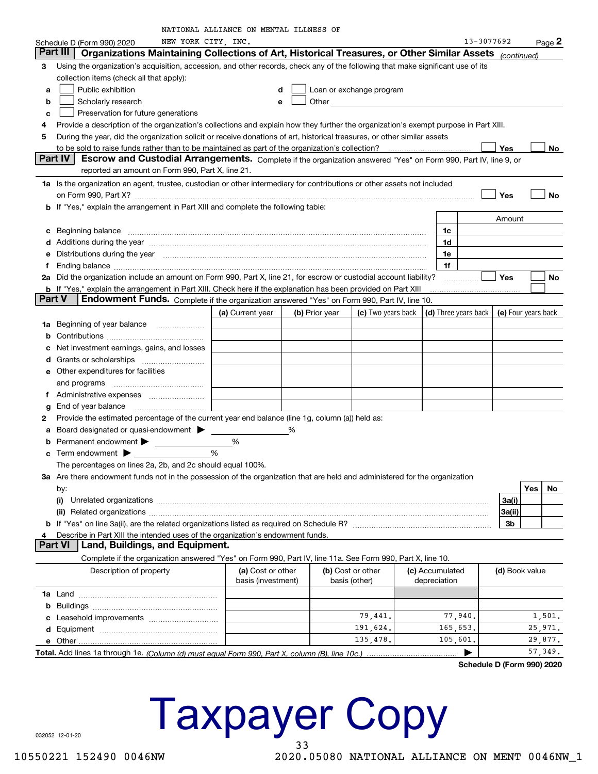|   |                                                                                                                                                                                                                                | NATIONAL ALLIANCE ON MENTAL ILLNESS OF |                |               |                                                                                                                                                                                                                                |                                                                             |                |     |          |
|---|--------------------------------------------------------------------------------------------------------------------------------------------------------------------------------------------------------------------------------|----------------------------------------|----------------|---------------|--------------------------------------------------------------------------------------------------------------------------------------------------------------------------------------------------------------------------------|-----------------------------------------------------------------------------|----------------|-----|----------|
|   | NEW YORK CITY, INC.<br>Schedule D (Form 990) 2020                                                                                                                                                                              |                                        |                |               |                                                                                                                                                                                                                                |                                                                             | 13-3077692     |     | $Page$ 2 |
|   | Organizations Maintaining Collections of Art, Historical Treasures, or Other Similar Assets (continued)<br>Part III                                                                                                            |                                        |                |               |                                                                                                                                                                                                                                |                                                                             |                |     |          |
| З | Using the organization's acquisition, accession, and other records, check any of the following that make significant use of its                                                                                                |                                        |                |               |                                                                                                                                                                                                                                |                                                                             |                |     |          |
|   | collection items (check all that apply):                                                                                                                                                                                       |                                        |                |               |                                                                                                                                                                                                                                |                                                                             |                |     |          |
| а | Public exhibition                                                                                                                                                                                                              |                                        | d              |               | Loan or exchange program                                                                                                                                                                                                       |                                                                             |                |     |          |
| b | Scholarly research                                                                                                                                                                                                             | e                                      |                |               | Other and the control of the control of the control of the control of the control of the control of the control of the control of the control of the control of the control of the control of the control of the control of th |                                                                             |                |     |          |
| с | Preservation for future generations                                                                                                                                                                                            |                                        |                |               |                                                                                                                                                                                                                                |                                                                             |                |     |          |
| 4 | Provide a description of the organization's collections and explain how they further the organization's exempt purpose in Part XIII.                                                                                           |                                        |                |               |                                                                                                                                                                                                                                |                                                                             |                |     |          |
| 5 | During the year, did the organization solicit or receive donations of art, historical treasures, or other similar assets                                                                                                       |                                        |                |               |                                                                                                                                                                                                                                |                                                                             |                |     |          |
|   |                                                                                                                                                                                                                                |                                        |                |               |                                                                                                                                                                                                                                |                                                                             | Yes            |     | No       |
|   | Part IV<br>Escrow and Custodial Arrangements. Complete if the organization answered "Yes" on Form 990, Part IV, line 9, or                                                                                                     |                                        |                |               |                                                                                                                                                                                                                                |                                                                             |                |     |          |
|   | reported an amount on Form 990, Part X, line 21.                                                                                                                                                                               |                                        |                |               |                                                                                                                                                                                                                                |                                                                             |                |     |          |
|   | 1a Is the organization an agent, trustee, custodian or other intermediary for contributions or other assets not included                                                                                                       |                                        |                |               |                                                                                                                                                                                                                                |                                                                             |                |     |          |
|   |                                                                                                                                                                                                                                |                                        |                |               |                                                                                                                                                                                                                                |                                                                             | Yes            |     | No       |
|   | b If "Yes," explain the arrangement in Part XIII and complete the following table:                                                                                                                                             |                                        |                |               |                                                                                                                                                                                                                                |                                                                             |                |     |          |
|   |                                                                                                                                                                                                                                |                                        |                |               |                                                                                                                                                                                                                                |                                                                             | Amount         |     |          |
|   |                                                                                                                                                                                                                                |                                        |                |               |                                                                                                                                                                                                                                |                                                                             |                |     |          |
| с |                                                                                                                                                                                                                                |                                        |                |               |                                                                                                                                                                                                                                | 1c<br>1d                                                                    |                |     |          |
| d | Additions during the year manufactured and an account of the state of the state of the state of the state of the state of the state of the state of the state of the state of the state of the state of the state of the state |                                        |                |               |                                                                                                                                                                                                                                |                                                                             |                |     |          |
| е | Distributions during the year manufactured and continuum control of the state of the control of the year manufactured and the year manufactured and the year manufactured and the state of the state of the state of the state |                                        |                |               |                                                                                                                                                                                                                                | 1e                                                                          |                |     |          |
| f | Ending balance material content and content and content and content and content and content and content and content and content and content and content and content and content and content and content and content and conten |                                        |                |               |                                                                                                                                                                                                                                | 1f                                                                          |                |     |          |
|   | 2a Did the organization include an amount on Form 990, Part X, line 21, for escrow or custodial account liability?                                                                                                             |                                        |                |               |                                                                                                                                                                                                                                |                                                                             | <b>Yes</b>     |     | No       |
|   | b If "Yes," explain the arrangement in Part XIII. Check here if the explanation has been provided on Part XIII<br><b>Part V</b><br>Endowment Funds. Complete if the organization answered "Yes" on Form 990, Part IV, line 10. |                                        |                |               |                                                                                                                                                                                                                                |                                                                             |                |     |          |
|   |                                                                                                                                                                                                                                |                                        |                |               |                                                                                                                                                                                                                                |                                                                             |                |     |          |
|   |                                                                                                                                                                                                                                | (a) Current year                       | (b) Prior year |               |                                                                                                                                                                                                                                | (c) Two years back $\vert$ (d) Three years back $\vert$ (e) Four years back |                |     |          |
|   | <b>1a</b> Beginning of year balance                                                                                                                                                                                            |                                        |                |               |                                                                                                                                                                                                                                |                                                                             |                |     |          |
| b |                                                                                                                                                                                                                                |                                        |                |               |                                                                                                                                                                                                                                |                                                                             |                |     |          |
| с | Net investment earnings, gains, and losses                                                                                                                                                                                     |                                        |                |               |                                                                                                                                                                                                                                |                                                                             |                |     |          |
|   |                                                                                                                                                                                                                                |                                        |                |               |                                                                                                                                                                                                                                |                                                                             |                |     |          |
|   | e Other expenditures for facilities                                                                                                                                                                                            |                                        |                |               |                                                                                                                                                                                                                                |                                                                             |                |     |          |
|   | and programs                                                                                                                                                                                                                   |                                        |                |               |                                                                                                                                                                                                                                |                                                                             |                |     |          |
| f |                                                                                                                                                                                                                                |                                        |                |               |                                                                                                                                                                                                                                |                                                                             |                |     |          |
| g | End of year balance                                                                                                                                                                                                            |                                        |                |               |                                                                                                                                                                                                                                |                                                                             |                |     |          |
| 2 | Provide the estimated percentage of the current year end balance (line 1g, column (a)) held as:                                                                                                                                |                                        |                |               |                                                                                                                                                                                                                                |                                                                             |                |     |          |
| а | Board designated or quasi-endowment                                                                                                                                                                                            |                                        | %              |               |                                                                                                                                                                                                                                |                                                                             |                |     |          |
|   |                                                                                                                                                                                                                                | %                                      |                |               |                                                                                                                                                                                                                                |                                                                             |                |     |          |
|   | Term endowment <b>D</b>                                                                                                                                                                                                        | %                                      |                |               |                                                                                                                                                                                                                                |                                                                             |                |     |          |
|   | The percentages on lines 2a, 2b, and 2c should equal 100%.                                                                                                                                                                     |                                        |                |               |                                                                                                                                                                                                                                |                                                                             |                |     |          |
|   | 3a Are there endowment funds not in the possession of the organization that are held and administered for the organization                                                                                                     |                                        |                |               |                                                                                                                                                                                                                                |                                                                             |                |     |          |
|   | by:                                                                                                                                                                                                                            |                                        |                |               |                                                                                                                                                                                                                                |                                                                             |                | Yes | No       |
|   |                                                                                                                                                                                                                                |                                        |                |               |                                                                                                                                                                                                                                |                                                                             | 3a(i)          |     |          |
|   |                                                                                                                                                                                                                                |                                        |                |               |                                                                                                                                                                                                                                |                                                                             | 3a(ii)         |     |          |
|   |                                                                                                                                                                                                                                |                                        |                |               |                                                                                                                                                                                                                                |                                                                             | 3b             |     |          |
|   | Describe in Part XIII the intended uses of the organization's endowment funds.                                                                                                                                                 |                                        |                |               |                                                                                                                                                                                                                                |                                                                             |                |     |          |
|   | <b>Part VI</b><br>Land, Buildings, and Equipment.                                                                                                                                                                              |                                        |                |               |                                                                                                                                                                                                                                |                                                                             |                |     |          |
|   | Complete if the organization answered "Yes" on Form 990, Part IV, line 11a. See Form 990, Part X, line 10.                                                                                                                     |                                        |                |               |                                                                                                                                                                                                                                |                                                                             |                |     |          |
|   | Description of property                                                                                                                                                                                                        | (a) Cost or other                      |                |               | (b) Cost or other                                                                                                                                                                                                              | (c) Accumulated                                                             | (d) Book value |     |          |
|   |                                                                                                                                                                                                                                | basis (investment)                     |                | basis (other) |                                                                                                                                                                                                                                | depreciation                                                                |                |     |          |
|   |                                                                                                                                                                                                                                |                                        |                |               |                                                                                                                                                                                                                                |                                                                             |                |     |          |
|   |                                                                                                                                                                                                                                |                                        |                |               |                                                                                                                                                                                                                                |                                                                             |                |     |          |
|   |                                                                                                                                                                                                                                |                                        |                |               | 79,441.                                                                                                                                                                                                                        | 77,940.                                                                     |                |     | 1,501.   |
|   |                                                                                                                                                                                                                                |                                        |                |               | 191,624.                                                                                                                                                                                                                       | 165,653.                                                                    |                |     | 25,971.  |
|   |                                                                                                                                                                                                                                |                                        |                |               | 135,478.                                                                                                                                                                                                                       | 105,601.                                                                    |                |     | 29,877.  |
|   | Total, Add lines 1a through 1e. (Column (d) must equal Form 990, Part X, column (B), line 10c.).                                                                                                                               |                                        |                |               |                                                                                                                                                                                                                                |                                                                             |                |     | 57,349.  |

Total. Add lines 1a through 1e. (Column (d) must equal Form 990, Part X, column (B), line 10c.)

Schedule D (Form 990) 2020

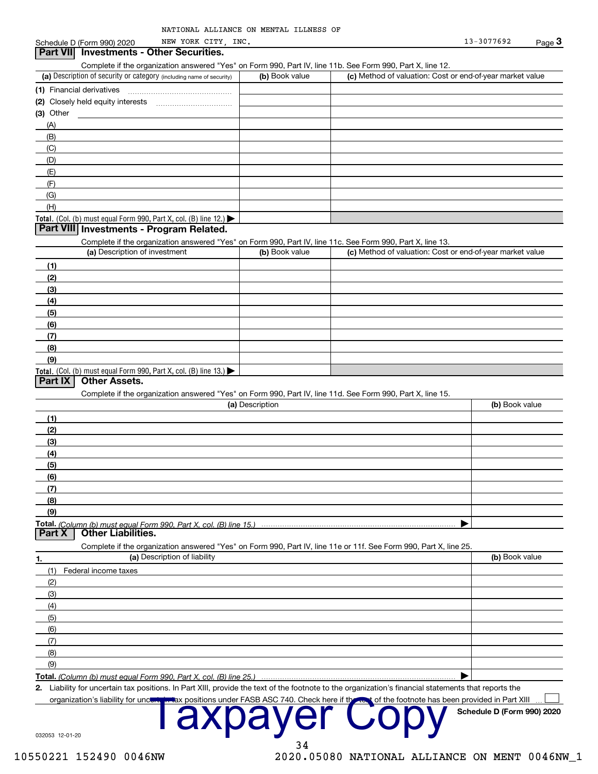| NATIONAL ALLIANCE ON MENTAL ILLNESS OF |  |
|----------------------------------------|--|
|----------------------------------------|--|

## Schedule D (Form 990) 2020 **Part VII** Investments - Other Securities. Complete if the organization answered "Yes" on Form 990, Part IV, line 11b. See Form 990, Part X, line 12. (c) Method of valuation: Cost or end-of-year market value (a) Description of security or category (including name of security) (b) Book value (1) Financial derivatives . . . . . . . . . . . . . (2) Closely held equity interests (3) Other  $(A)$  $(B)$  $(C)$  $(D)$  $(E)$  $(F)$  $(G)$  $(H)$ Total. (Col. (b) must equal Form 990, Part X, col. (B) line 12.)  $\blacktriangleright$ **Part VIII Investments - Program Related.** Complete if the organization answered "Yes" on Form 990, Part IV, line 11c. See Form 990, Part X, line 13. (a) Description of investment (b) Book value (c) Method of valuation: Cost or end-of-year market value  $(1)$  $(2)$  $(3)$  $(4)$  $(5)$  $(6)$  $(7)$  $(8)$  $(9)$ Total. (Col. (b) must equal Form 990, Part X, col. (B) line 13.)  $\blacktriangleright$ Part IX | Other Assets. Complete if the organization answered "Yes" on Form 990, Part IV, line 11d. See Form 990, Part X, line 15. (b) Book value (a) Description  $(1)$  $(2)$  $(3)$  $(4)$  $(5)$  $(6)$  $(7)$  $(8)$  $(9)$ ▶ Total. (Column (b) must equal Form 990, Part X, col. (B) line 15.) **Part X Other Liabilities.** Complete if the organization answered "Yes" on Form 990, Part IV, line 11e or 11f. See Form 990, Part X, line 25 (a) Description of liability (b) Book value 1 (1) Federal income taxes  $(2)$  $(3)$  $(4)$  $(5)$  $(6)$  $(7)$  $(8)$  $(9)$

Total. (Column (b) must equal Form 990, Part X, col. (B) line 25.)

2. Liability for uncertain tax positions. In Part XIII, provide the text of the footnote to the organization's financial statements that reports the

34

positions under FASB ASC 740. Check here if the

032053 12-01-20

organization's liability for unct

 $\blacktriangleright$ 

Schedule D (Form 990) 2020

of the footnote has been provided in Part XIII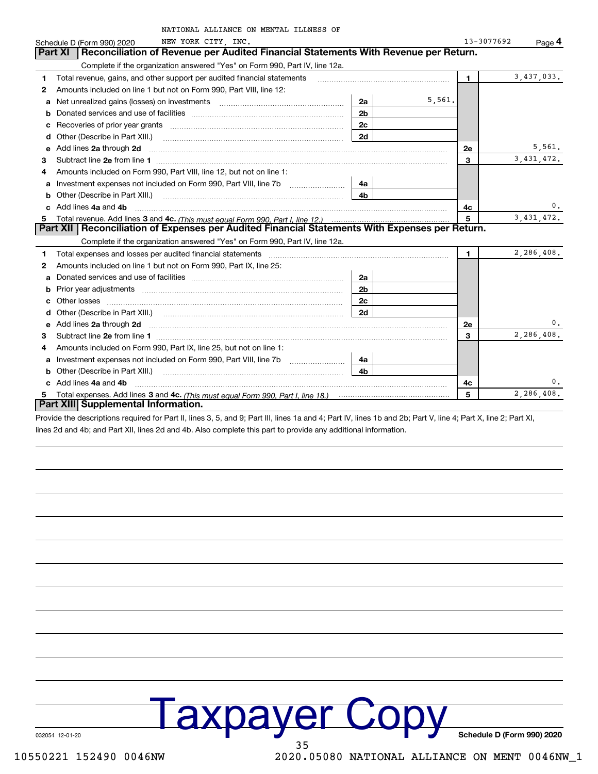|   | NATIONAL ALLIANCE ON MENTAL ILLNESS OF                                                                                                                                                                                              |                |        |                |              |
|---|-------------------------------------------------------------------------------------------------------------------------------------------------------------------------------------------------------------------------------------|----------------|--------|----------------|--------------|
|   | NEW YORK CITY, INC.<br>Schedule D (Form 990) 2020                                                                                                                                                                                   |                |        | 13-3077692     | Page 4       |
|   | Reconciliation of Revenue per Audited Financial Statements With Revenue per Return.<br><b>Part XI</b>                                                                                                                               |                |        |                |              |
|   | Complete if the organization answered "Yes" on Form 990, Part IV, line 12a.                                                                                                                                                         |                |        |                |              |
| 1 | Total revenue, gains, and other support per audited financial statements                                                                                                                                                            |                |        | $\blacksquare$ | 3,437,033.   |
| 2 | Amounts included on line 1 but not on Form 990, Part VIII, line 12:                                                                                                                                                                 |                |        |                |              |
| a |                                                                                                                                                                                                                                     | 2a             | 5,561. |                |              |
|   |                                                                                                                                                                                                                                     | 2 <sub>b</sub> |        |                |              |
| c |                                                                                                                                                                                                                                     | 2c             |        |                |              |
| d | Other (Describe in Part XIII.) <b>Construction Contract Construction</b> Chemistry Chemistry Chemistry Chemistry Chemistry Chemistry Chemistry Chemistry Chemistry Chemistry Chemistry Chemistry Chemistry Chemistry Chemistry Chem | 2d             |        |                |              |
| e | Add lines 2a through 2d                                                                                                                                                                                                             |                |        | 2e             | 5,561.       |
| 3 | Subtract line 2e from line 1                                                                                                                                                                                                        |                |        | 3              | 3, 431, 472. |
| 4 | Amounts included on Form 990, Part VIII, line 12, but not on line 1:                                                                                                                                                                |                |        |                |              |
| a | Investment expenses not included on Form 990, Part VIII, line 7b                                                                                                                                                                    | 4a             |        |                |              |
| b | Other (Describe in Part XIII.) <b>COLOGIST:</b> (2010)                                                                                                                                                                              | 4h             |        |                |              |
|   | Add lines 4a and 4b                                                                                                                                                                                                                 |                |        | 4c             | 0.           |
| 5 |                                                                                                                                                                                                                                     |                |        | 5              | 3, 431, 472. |
|   | Part XII   Reconciliation of Expenses per Audited Financial Statements With Expenses per Return.                                                                                                                                    |                |        |                |              |
|   | Complete if the organization answered "Yes" on Form 990, Part IV, line 12a.                                                                                                                                                         |                |        |                |              |
| 1 | Total expenses and losses per audited financial statements [11] [11] Total expenses and losses per audited financial statements [11] [11] Total expenses and losses per audited financial statements                                |                |        | $\blacksquare$ | 2,286,408.   |
| 2 | Amounts included on line 1 but not on Form 990, Part IX, line 25:                                                                                                                                                                   |                |        |                |              |
| a |                                                                                                                                                                                                                                     | 2a             |        |                |              |
| b |                                                                                                                                                                                                                                     | 2 <sub>b</sub> |        |                |              |
|   | Other losses                                                                                                                                                                                                                        | 2c             |        |                |              |
|   |                                                                                                                                                                                                                                     | 2d             |        |                |              |
| e | Add lines 2a through 2d <b>contained a contained a contained a contained a</b> contained a contained a contained a contained a contained a contained a contained a contained a contained a contained a contained a contained a cont |                |        | 2e             |              |
| 3 |                                                                                                                                                                                                                                     |                |        | 3              | 2,286,408.   |
| 4 | Amounts included on Form 990, Part IX, line 25, but not on line 1:                                                                                                                                                                  |                |        |                |              |
| a | Investment expenses not included on Form 990, Part VIII, line 7b                                                                                                                                                                    | 4a             |        |                |              |
| b |                                                                                                                                                                                                                                     | 4b             |        |                |              |
|   | Add lines 4a and 4b                                                                                                                                                                                                                 |                |        | 4c             | 0.           |
|   |                                                                                                                                                                                                                                     |                |        | 5              | 2,286,408.   |
|   | Part XIII Supplemental Information.                                                                                                                                                                                                 |                |        |                |              |

Provide the descriptions required for Part II, lines 3, 5, and 9; Part III, lines 1a and 4; Part IV, lines 1b and 2b; Part V, line 4; Part X, line 2; Part XI, lines 2d and 4b; and Part XII, lines 2d and 4b. Also complete this part to provide any additional information.

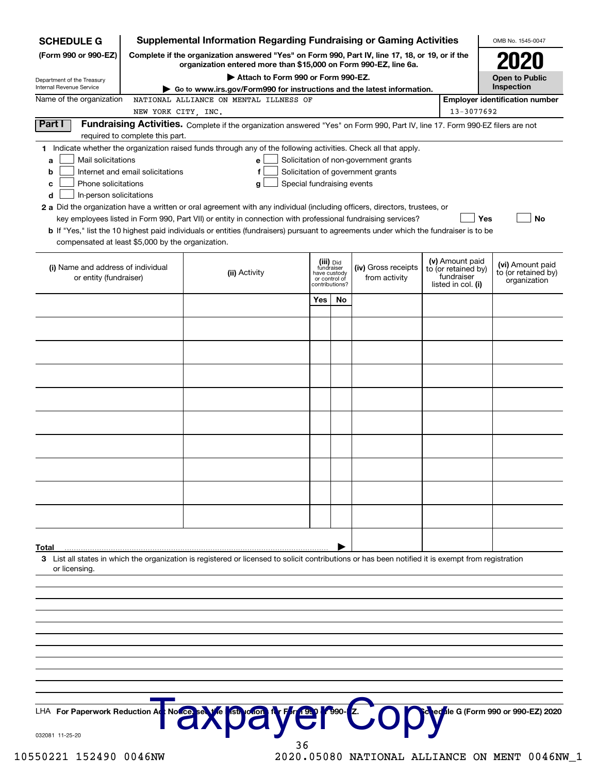| <b>SCHEDULE G</b>                                                                                                                             |                                                                                                                                                                     | <b>Supplemental Information Regarding Fundraising or Gaming Activities</b>                                                                                                                                                                                                                                                                                                                                                                                                                                      |                                                                            |    |                                                                            |  |                                                                            | OMB No. 1545-0047                                       |
|-----------------------------------------------------------------------------------------------------------------------------------------------|---------------------------------------------------------------------------------------------------------------------------------------------------------------------|-----------------------------------------------------------------------------------------------------------------------------------------------------------------------------------------------------------------------------------------------------------------------------------------------------------------------------------------------------------------------------------------------------------------------------------------------------------------------------------------------------------------|----------------------------------------------------------------------------|----|----------------------------------------------------------------------------|--|----------------------------------------------------------------------------|---------------------------------------------------------|
| (Form 990 or 990-EZ)                                                                                                                          | Complete if the organization answered "Yes" on Form 990, Part IV, line 17, 18, or 19, or if the<br>organization entered more than \$15,000 on Form 990-EZ, line 6a. |                                                                                                                                                                                                                                                                                                                                                                                                                                                                                                                 | <b>2020</b>                                                                |    |                                                                            |  |                                                                            |                                                         |
| Department of the Treasury                                                                                                                    |                                                                                                                                                                     |                                                                                                                                                                                                                                                                                                                                                                                                                                                                                                                 | <b>Open to Public</b>                                                      |    |                                                                            |  |                                                                            |                                                         |
| <b>Internal Revenue Service</b><br>Name of the organization                                                                                   |                                                                                                                                                                     | Go to www.irs.gov/Form990 for instructions and the latest information.<br>NATIONAL ALLIANCE ON MENTAL ILLNESS OF                                                                                                                                                                                                                                                                                                                                                                                                |                                                                            |    |                                                                            |  |                                                                            | Inspection<br><b>Employer identification number</b>     |
|                                                                                                                                               | NEW YORK CITY, INC.                                                                                                                                                 |                                                                                                                                                                                                                                                                                                                                                                                                                                                                                                                 |                                                                            |    |                                                                            |  | 13-3077692                                                                 |                                                         |
| Part I                                                                                                                                        | required to complete this part.                                                                                                                                     | Fundraising Activities. Complete if the organization answered "Yes" on Form 990, Part IV, line 17. Form 990-EZ filers are not                                                                                                                                                                                                                                                                                                                                                                                   |                                                                            |    |                                                                            |  |                                                                            |                                                         |
| Mail solicitations<br>a<br>b<br>Phone solicitations<br>с<br>In-person solicitations<br>d<br>compensated at least \$5,000 by the organization. | Internet and email solicitations                                                                                                                                    | 1 Indicate whether the organization raised funds through any of the following activities. Check all that apply.<br>е<br>g<br>2 a Did the organization have a written or oral agreement with any individual (including officers, directors, trustees, or<br>key employees listed in Form 990, Part VII) or entity in connection with professional fundraising services?<br>b If "Yes," list the 10 highest paid individuals or entities (fundraisers) pursuant to agreements under which the fundraiser is to be | Special fundraising events                                                 |    | Solicitation of non-government grants<br>Solicitation of government grants |  | Yes                                                                        | <b>No</b>                                               |
| (i) Name and address of individual<br>or entity (fundraiser)                                                                                  |                                                                                                                                                                     | (ii) Activity                                                                                                                                                                                                                                                                                                                                                                                                                                                                                                   | (iii) Did<br>fundraiser<br>have custody<br>or control of<br>contributions? |    | (iv) Gross receipts<br>from activity                                       |  | (v) Amount paid<br>to (or retained by)<br>fundraiser<br>listed in col. (i) | (vi) Amount paid<br>to (or retained by)<br>organization |
|                                                                                                                                               |                                                                                                                                                                     |                                                                                                                                                                                                                                                                                                                                                                                                                                                                                                                 | Yes                                                                        | No |                                                                            |  |                                                                            |                                                         |
|                                                                                                                                               |                                                                                                                                                                     |                                                                                                                                                                                                                                                                                                                                                                                                                                                                                                                 |                                                                            |    |                                                                            |  |                                                                            |                                                         |
|                                                                                                                                               |                                                                                                                                                                     |                                                                                                                                                                                                                                                                                                                                                                                                                                                                                                                 |                                                                            |    |                                                                            |  |                                                                            |                                                         |
|                                                                                                                                               |                                                                                                                                                                     |                                                                                                                                                                                                                                                                                                                                                                                                                                                                                                                 |                                                                            |    |                                                                            |  |                                                                            |                                                         |
|                                                                                                                                               |                                                                                                                                                                     |                                                                                                                                                                                                                                                                                                                                                                                                                                                                                                                 |                                                                            |    |                                                                            |  |                                                                            |                                                         |
|                                                                                                                                               |                                                                                                                                                                     |                                                                                                                                                                                                                                                                                                                                                                                                                                                                                                                 |                                                                            |    |                                                                            |  |                                                                            |                                                         |
|                                                                                                                                               |                                                                                                                                                                     |                                                                                                                                                                                                                                                                                                                                                                                                                                                                                                                 |                                                                            |    |                                                                            |  |                                                                            |                                                         |
|                                                                                                                                               |                                                                                                                                                                     |                                                                                                                                                                                                                                                                                                                                                                                                                                                                                                                 |                                                                            |    |                                                                            |  |                                                                            |                                                         |
|                                                                                                                                               |                                                                                                                                                                     |                                                                                                                                                                                                                                                                                                                                                                                                                                                                                                                 |                                                                            |    |                                                                            |  |                                                                            |                                                         |
|                                                                                                                                               |                                                                                                                                                                     |                                                                                                                                                                                                                                                                                                                                                                                                                                                                                                                 |                                                                            |    |                                                                            |  |                                                                            |                                                         |
|                                                                                                                                               |                                                                                                                                                                     |                                                                                                                                                                                                                                                                                                                                                                                                                                                                                                                 |                                                                            |    |                                                                            |  |                                                                            |                                                         |
|                                                                                                                                               |                                                                                                                                                                     |                                                                                                                                                                                                                                                                                                                                                                                                                                                                                                                 |                                                                            |    |                                                                            |  |                                                                            |                                                         |
|                                                                                                                                               |                                                                                                                                                                     |                                                                                                                                                                                                                                                                                                                                                                                                                                                                                                                 |                                                                            |    |                                                                            |  |                                                                            |                                                         |
|                                                                                                                                               |                                                                                                                                                                     |                                                                                                                                                                                                                                                                                                                                                                                                                                                                                                                 |                                                                            |    |                                                                            |  |                                                                            |                                                         |
| Total                                                                                                                                         |                                                                                                                                                                     | 3 List all states in which the organization is registered or licensed to solicit contributions or has been notified it is exempt from registration                                                                                                                                                                                                                                                                                                                                                              |                                                                            |    |                                                                            |  |                                                                            |                                                         |
| or licensing.                                                                                                                                 |                                                                                                                                                                     |                                                                                                                                                                                                                                                                                                                                                                                                                                                                                                                 |                                                                            |    |                                                                            |  |                                                                            |                                                         |
|                                                                                                                                               |                                                                                                                                                                     |                                                                                                                                                                                                                                                                                                                                                                                                                                                                                                                 |                                                                            |    |                                                                            |  |                                                                            |                                                         |
|                                                                                                                                               |                                                                                                                                                                     |                                                                                                                                                                                                                                                                                                                                                                                                                                                                                                                 |                                                                            |    |                                                                            |  |                                                                            |                                                         |
|                                                                                                                                               |                                                                                                                                                                     |                                                                                                                                                                                                                                                                                                                                                                                                                                                                                                                 |                                                                            |    |                                                                            |  |                                                                            |                                                         |
|                                                                                                                                               |                                                                                                                                                                     |                                                                                                                                                                                                                                                                                                                                                                                                                                                                                                                 |                                                                            |    |                                                                            |  |                                                                            |                                                         |
|                                                                                                                                               |                                                                                                                                                                     |                                                                                                                                                                                                                                                                                                                                                                                                                                                                                                                 |                                                                            |    |                                                                            |  |                                                                            |                                                         |
|                                                                                                                                               |                                                                                                                                                                     |                                                                                                                                                                                                                                                                                                                                                                                                                                                                                                                 |                                                                            |    |                                                                            |  |                                                                            |                                                         |
|                                                                                                                                               |                                                                                                                                                                     |                                                                                                                                                                                                                                                                                                                                                                                                                                                                                                                 |                                                                            |    |                                                                            |  |                                                                            |                                                         |
| LHA For Paperwork Reduction Ad                                                                                                                |                                                                                                                                                                     |                                                                                                                                                                                                                                                                                                                                                                                                                                                                                                                 |                                                                            |    |                                                                            |  |                                                                            | ed <sup>f</sup> ile G (Form 990 or 990-EZ) 2020         |
| 032081 11-25-20                                                                                                                               |                                                                                                                                                                     | Note a We payer to O                                                                                                                                                                                                                                                                                                                                                                                                                                                                                            |                                                                            |    |                                                                            |  |                                                                            |                                                         |

10550221 152490 0046NW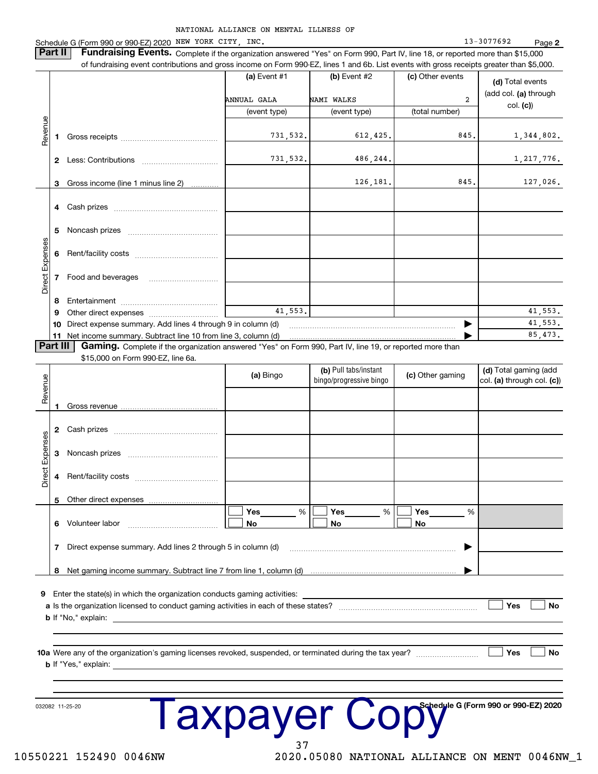NATIONAL ALLIANCE ON MENTAL ILLNESS OF Schedule G (Form 990 or 990-EZ) 2020 NEW YORK CITY, INC.  $13 - 3077692$ Page 2 **Part II** Fundraising Events. Complete if the organization answered "Yes" on Form 990, Part IV, line 18, or reported more than \$15,000 of fundraising event contributions and gross income on Form 990-EZ, lines 1 and 6b. List events with gross receipts greater than \$5,000. (a) Event #1 (b) Event #2 (c) Other events (d) Total events (add col. (a) through NAMI WALKS ANNUAL GALA  $\overline{a}$  $col. (c)$ (event type) (event type) (total number) Revenue 731,532. 845 612,425. 1,344,802. 731,532 486,244 1, 217, 776. 126,181. 845 127,026. Gross income (line 1 minus line 2) 3 Direct Expense 7 Food and beverages 8 41.553. 41.553. Other direct expenses .................... 9 41 553 10 Direct expense summary. Add lines 4 through 9 in column (d) ▶ 85,473 11 Net income summary. Subtract line 10 from line 3, column (d) Part III | Gaming. Complete if the organization answered "Yes" on Form 990, Part IV, line 19, or reported more than \$15,000 on Form 990-EZ, line 6a. (b) Pull tabs/instant (d) Total gaming (add (c) Other gaming (a) Bingo Revenue bingo/progressive bingo col. (a) through col. (c)) Gross revenue 1 Direct Expenses Noncash prizes 3 Rent/facility costs [11] Rent/facility costs  $\overline{4}$ Other direct expenses 5  $\frac{9}{6}$  $\frac{9}{6}$ Yes Yes Yes  $\frac{0}{6}$ 6 Volunteer labor No No No Direct expense summary. Add lines 2 through 5 in column (d)  $\overline{7}$ ▶ 8 Net gaming income summary. Subtract line 7 from line 1, column (d) 9 Enter the state(s) in which the organization conducts gaming activities: Yes **No b** If "No," explain: 10a Were any of the organization's gaming licenses revoked, suspended, or terminated during the tax year? ∣ Yes **No b** If "Yes," explain:

I axpayer Copt

032082 11-25-20

10550221 152490 0046NW

2020.05080 NATIONAL ALLIANCE ON MENT 0046NW\_1

Schedule G (Form 990 or 990-EZ) 2020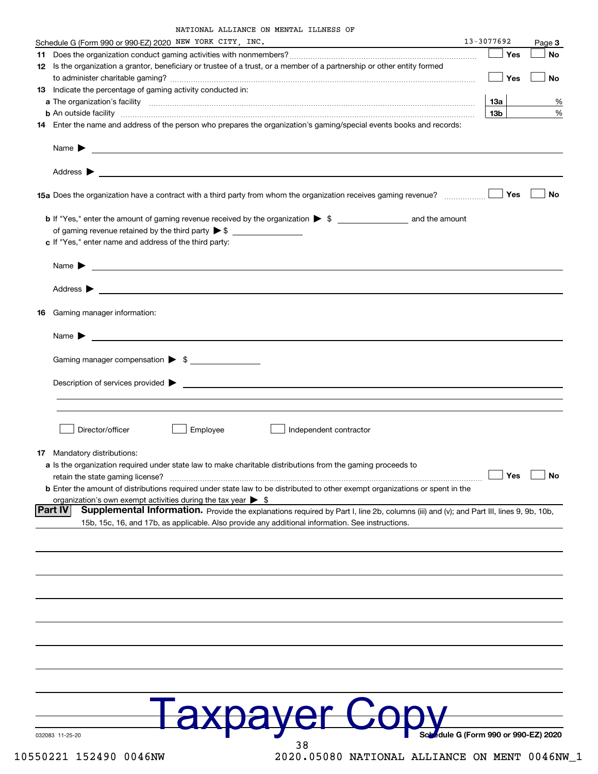| NATIONAL ALLIANCE ON MENTAL ILLNESS OF |  |  |
|----------------------------------------|--|--|
|                                        |  |  |

| Schedule G (Form 990 or 990-EZ) 2020 NEW YORK CITY, INC.                                                                                                      | 13-3077692                       |            | Page 3 |
|---------------------------------------------------------------------------------------------------------------------------------------------------------------|----------------------------------|------------|--------|
|                                                                                                                                                               |                                  | Yes        | No     |
| 12 Is the organization a grantor, beneficiary or trustee of a trust, or a member of a partnership or other entity formed                                      |                                  |            |        |
|                                                                                                                                                               |                                  | Yes        | No     |
| 13 Indicate the percentage of gaming activity conducted in:                                                                                                   |                                  |            |        |
|                                                                                                                                                               | 13a                              |            | %      |
|                                                                                                                                                               | 13 <sub>b</sub>                  |            | %      |
| <b>b</b> An outside facility <i>www.communicality www.communicality.communicality www.communicality www.communicality.communicality www.communicality.com</i> |                                  |            |        |
| 14 Enter the name and address of the person who prepares the organization's gaming/special events books and records:                                          |                                  |            |        |
|                                                                                                                                                               |                                  |            |        |
|                                                                                                                                                               |                                  |            |        |
| 15a Does the organization have a contract with a third party from whom the organization receives gaming revenue?                                              |                                  | Yes        | No     |
|                                                                                                                                                               |                                  |            |        |
|                                                                                                                                                               |                                  |            |        |
| c If "Yes," enter name and address of the third party:                                                                                                        |                                  |            |        |
|                                                                                                                                                               |                                  |            |        |
| Name $\sum_{n=1}^{\infty}$                                                                                                                                    |                                  |            |        |
|                                                                                                                                                               |                                  |            |        |
|                                                                                                                                                               |                                  |            |        |
|                                                                                                                                                               |                                  |            |        |
| 16 Gaming manager information:                                                                                                                                |                                  |            |        |
|                                                                                                                                                               |                                  |            |        |
|                                                                                                                                                               |                                  |            |        |
|                                                                                                                                                               |                                  |            |        |
| Gaming manager compensation > \$                                                                                                                              |                                  |            |        |
|                                                                                                                                                               |                                  |            |        |
|                                                                                                                                                               |                                  |            |        |
|                                                                                                                                                               |                                  |            |        |
|                                                                                                                                                               |                                  |            |        |
|                                                                                                                                                               |                                  |            |        |
| Employee<br>Director/officer<br>  Independent contractor                                                                                                      |                                  |            |        |
|                                                                                                                                                               |                                  |            |        |
| 17 Mandatory distributions:                                                                                                                                   |                                  |            |        |
| a Is the organization required under state law to make charitable distributions from the gaming proceeds to                                                   |                                  |            |        |
| retain the state gaming license?                                                                                                                              |                                  | $\Box$ Yes | _l No  |
| <b>b</b> Enter the amount of distributions required under state law to be distributed to other exempt organizations or spent in the                           |                                  |            |        |
| organization's own exempt activities during the tax year $\triangleright$ \$                                                                                  |                                  |            |        |
| ∣Part IV<br>Supplemental Information. Provide the explanations required by Part I, line 2b, columns (iii) and (v); and Part III, lines 9, 9b, 10b,            |                                  |            |        |
| 15b, 15c, 16, and 17b, as applicable. Also provide any additional information. See instructions.                                                              |                                  |            |        |
|                                                                                                                                                               |                                  |            |        |
|                                                                                                                                                               |                                  |            |        |
|                                                                                                                                                               |                                  |            |        |
|                                                                                                                                                               |                                  |            |        |
|                                                                                                                                                               |                                  |            |        |
|                                                                                                                                                               |                                  |            |        |
|                                                                                                                                                               |                                  |            |        |
|                                                                                                                                                               |                                  |            |        |
|                                                                                                                                                               |                                  |            |        |
|                                                                                                                                                               |                                  |            |        |
|                                                                                                                                                               |                                  |            |        |
|                                                                                                                                                               |                                  |            |        |
|                                                                                                                                                               |                                  |            |        |
|                                                                                                                                                               |                                  |            |        |
|                                                                                                                                                               |                                  |            |        |
|                                                                                                                                                               |                                  |            |        |
|                                                                                                                                                               |                                  |            |        |
|                                                                                                                                                               | dule G (Form 990 or 990-EZ) 2020 |            |        |
| 032083 11-25-20<br>38                                                                                                                                         |                                  |            |        |
|                                                                                                                                                               |                                  |            |        |

2020.05080 NATIONAL ALLIANCE ON MENT 0046NW\_1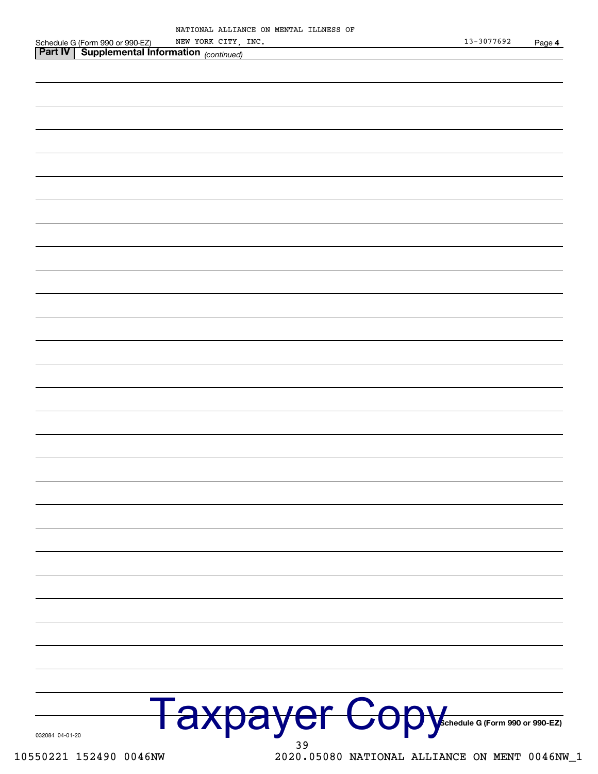| 032084 04-01-20        | Taxpayer Copy                                 |
|------------------------|-----------------------------------------------|
| 10550221 152490 0046NW | 2020.05080 NATIONAL ALLIANCE ON MENT 0046NW_1 |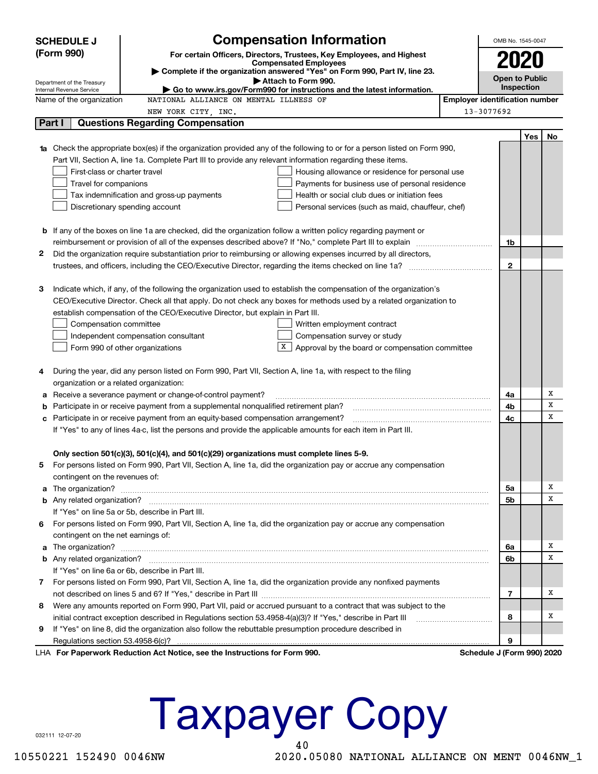|   | <b>Compensation Information</b><br><b>SCHEDULE J</b>                                                                            |  |                                       | OMB No. 1545-0047          |                       |    |
|---|---------------------------------------------------------------------------------------------------------------------------------|--|---------------------------------------|----------------------------|-----------------------|----|
|   | (Form 990)<br>For certain Officers, Directors, Trustees, Key Employees, and Highest                                             |  |                                       |                            |                       |    |
|   | <b>Compensated Employees</b>                                                                                                    |  |                                       | 2020                       |                       |    |
|   | Complete if the organization answered "Yes" on Form 990, Part IV, line 23.<br>Attach to Form 990.<br>Department of the Treasury |  |                                       |                            | <b>Open to Public</b> |    |
|   | Go to www.irs.gov/Form990 for instructions and the latest information.<br>Internal Revenue Service                              |  |                                       | Inspection                 |                       |    |
|   | NATIONAL ALLIANCE ON MENTAL ILLNESS OF<br>Name of the organization                                                              |  | <b>Employer identification number</b> |                            |                       |    |
|   | NEW YORK CITY, INC.                                                                                                             |  |                                       | 13-3077692                 |                       |    |
|   | Part I<br><b>Questions Regarding Compensation</b>                                                                               |  |                                       |                            |                       |    |
|   |                                                                                                                                 |  |                                       |                            | Yes                   | No |
|   | Check the appropriate box(es) if the organization provided any of the following to or for a person listed on Form 990,          |  |                                       |                            |                       |    |
|   | Part VII, Section A, line 1a. Complete Part III to provide any relevant information regarding these items.                      |  |                                       |                            |                       |    |
|   | First-class or charter travel<br>Housing allowance or residence for personal use                                                |  |                                       |                            |                       |    |
|   | Travel for companions<br>Payments for business use of personal residence                                                        |  |                                       |                            |                       |    |
|   | Tax indemnification and gross-up payments<br>Health or social club dues or initiation fees                                      |  |                                       |                            |                       |    |
|   | Discretionary spending account<br>Personal services (such as maid, chauffeur, chef)                                             |  |                                       |                            |                       |    |
|   |                                                                                                                                 |  |                                       |                            |                       |    |
|   | <b>b</b> If any of the boxes on line 1a are checked, did the organization follow a written policy regarding payment or          |  |                                       |                            |                       |    |
|   | reimbursement or provision of all of the expenses described above? If "No," complete Part III to explain                        |  |                                       | 1b                         |                       |    |
| 2 | Did the organization require substantiation prior to reimbursing or allowing expenses incurred by all directors,                |  |                                       |                            |                       |    |
|   |                                                                                                                                 |  |                                       | $\mathbf{2}$               |                       |    |
|   |                                                                                                                                 |  |                                       |                            |                       |    |
| З | Indicate which, if any, of the following the organization used to establish the compensation of the organization's              |  |                                       |                            |                       |    |
|   | CEO/Executive Director. Check all that apply. Do not check any boxes for methods used by a related organization to              |  |                                       |                            |                       |    |
|   | establish compensation of the CEO/Executive Director, but explain in Part III.                                                  |  |                                       |                            |                       |    |
|   | Compensation committee<br>Written employment contract                                                                           |  |                                       |                            |                       |    |
|   | Compensation survey or study<br>Independent compensation consultant                                                             |  |                                       |                            |                       |    |
|   | Approval by the board or compensation committee<br>Form 990 of other organizations                                              |  |                                       |                            |                       |    |
|   |                                                                                                                                 |  |                                       |                            |                       |    |
| 4 | During the year, did any person listed on Form 990, Part VII, Section A, line 1a, with respect to the filing                    |  |                                       |                            |                       |    |
|   | organization or a related organization:                                                                                         |  |                                       |                            |                       | Х  |
| а | Receive a severance payment or change-of-control payment?                                                                       |  |                                       | 4a<br>4b                   |                       | X  |
| b | Participate in or receive payment from a supplemental nonqualified retirement plan?                                             |  |                                       | 4c                         |                       | x  |
|   | Participate in or receive payment from an equity-based compensation arrangement?<br>c                                           |  |                                       |                            |                       |    |
|   | If "Yes" to any of lines 4a-c, list the persons and provide the applicable amounts for each item in Part III.                   |  |                                       |                            |                       |    |
|   | Only section 501(c)(3), 501(c)(4), and 501(c)(29) organizations must complete lines 5-9.                                        |  |                                       |                            |                       |    |
|   | For persons listed on Form 990, Part VII, Section A, line 1a, did the organization pay or accrue any compensation               |  |                                       |                            |                       |    |
|   | contingent on the revenues of:                                                                                                  |  |                                       |                            |                       |    |
| a |                                                                                                                                 |  |                                       | 5a                         |                       | х  |
|   |                                                                                                                                 |  |                                       | 5b                         |                       | х  |
|   | If "Yes" on line 5a or 5b, describe in Part III.                                                                                |  |                                       |                            |                       |    |
|   | 6 For persons listed on Form 990, Part VII, Section A, line 1a, did the organization pay or accrue any compensation             |  |                                       |                            |                       |    |
|   | contingent on the net earnings of:                                                                                              |  |                                       |                            |                       |    |
| a |                                                                                                                                 |  |                                       | 6a                         |                       | х  |
|   |                                                                                                                                 |  |                                       |                            |                       | х  |
|   | If "Yes" on line 6a or 6b, describe in Part III.                                                                                |  |                                       | 6b                         |                       |    |
|   | 7 For persons listed on Form 990, Part VII, Section A, line 1a, did the organization provide any nonfixed payments              |  |                                       |                            |                       |    |
|   |                                                                                                                                 |  |                                       | $\overline{7}$             |                       | х  |
|   | 8 Were any amounts reported on Form 990, Part VII, paid or accrued pursuant to a contract that was subject to the               |  |                                       |                            |                       |    |
|   | initial contract exception described in Regulations section 53.4958-4(a)(3)? If "Yes," describe in Part III                     |  |                                       |                            |                       | х  |
| 9 | If "Yes" on line 8, did the organization also follow the rebuttable presumption procedure described in                          |  |                                       | 8                          |                       |    |
|   | Regulations section 53.4958-6(c)?                                                                                               |  |                                       | 9                          |                       |    |
|   | LHA For Paperwork Reduction Act Notice, see the Instructions for Form 990.                                                      |  |                                       | Schedule J (Form 990) 2020 |                       |    |

**Taxpayer Copy** 

032111 12-07-20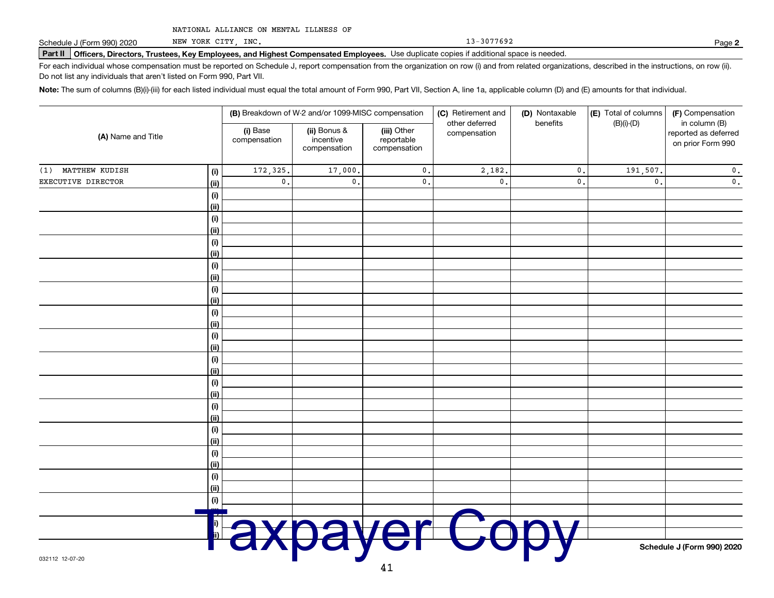Schedule J (Form 990) 2020

NEW YORK CITY, INC.

13-3077692

Page 2

Part II Officers, Directors, Trustees, Key Employees, and Highest Compensated Employees. Use duplicate copies if additional space is needed.

For each individual whose compensation must be reported on Schedule J, report compensation from the organization on row (i) and from related organizations, described in the instructions, on row (ii). Do not list any individuals that aren't listed on Form 990, Part VII.

Note: The sum of columns (B)(i)-(iii) for each listed individual must equal the total amount of Form 990, Part VII, Section A, line 1a, applicable column (D) and (E) amounts for that individual.

| (A) Name and Title |             | (B) Breakdown of W-2 and/or 1099-MISC compensation |                                           |                                           | (C) Retirement and<br>(D) Nontaxable | (E) Total of columns<br>(F) Compensation |                |                                                            |
|--------------------|-------------|----------------------------------------------------|-------------------------------------------|-------------------------------------------|--------------------------------------|------------------------------------------|----------------|------------------------------------------------------------|
|                    |             | (i) Base<br>compensation                           | (ii) Bonus &<br>incentive<br>compensation | (iii) Other<br>reportable<br>compensation | other deferred<br>compensation       | benefits                                 | $(B)(i)-(D)$   | in column (B)<br>reported as deferred<br>on prior Form 990 |
| (1) MATTHEW KUDISH | (i)         | 172,325.                                           | 17,000.                                   | $\mathfrak o$ .                           | 2,182.                               | $\mathfrak o$ .                          | 191,507.       | $\mathbf 0$ .                                              |
| EXECUTIVE DIRECTOR | (ii)        | $\mathfrak o$ .                                    | $\mathfrak o$ .                           | $\mathfrak o$ .                           | $\mathsf{0}$ .                       | $\mathfrak o$ .                          | $\mathbf{0}$ . | $\mathfrak o$ .                                            |
|                    | $(\sf{i})$  |                                                    |                                           |                                           |                                      |                                          |                |                                                            |
|                    | (ii)        |                                                    |                                           |                                           |                                      |                                          |                |                                                            |
|                    | (i)         |                                                    |                                           |                                           |                                      |                                          |                |                                                            |
|                    | (ii)        |                                                    |                                           |                                           |                                      |                                          |                |                                                            |
|                    | (i)         |                                                    |                                           |                                           |                                      |                                          |                |                                                            |
|                    | (ii)        |                                                    |                                           |                                           |                                      |                                          |                |                                                            |
|                    | (i)         |                                                    |                                           |                                           |                                      |                                          |                |                                                            |
|                    | (ii)        |                                                    |                                           |                                           |                                      |                                          |                |                                                            |
|                    | $(\sf{i})$  |                                                    |                                           |                                           |                                      |                                          |                |                                                            |
|                    | (ii)        |                                                    |                                           |                                           |                                      |                                          |                |                                                            |
|                    | $(\sf{i})$  |                                                    |                                           |                                           |                                      |                                          |                |                                                            |
|                    | (ii)        |                                                    |                                           |                                           |                                      |                                          |                |                                                            |
|                    | (i)         |                                                    |                                           |                                           |                                      |                                          |                |                                                            |
|                    | (ii)        |                                                    |                                           |                                           |                                      |                                          |                |                                                            |
|                    | (i)         |                                                    |                                           |                                           |                                      |                                          |                |                                                            |
|                    | (ii)        |                                                    |                                           |                                           |                                      |                                          |                |                                                            |
|                    | (i)         |                                                    |                                           |                                           |                                      |                                          |                |                                                            |
|                    | (ii)<br>(i) |                                                    |                                           |                                           |                                      |                                          |                |                                                            |
|                    | (ii)        |                                                    |                                           |                                           |                                      |                                          |                |                                                            |
|                    | (i)         |                                                    |                                           |                                           |                                      |                                          |                |                                                            |
|                    | (ii)        |                                                    |                                           |                                           |                                      |                                          |                |                                                            |
|                    | (i)         |                                                    |                                           |                                           |                                      |                                          |                |                                                            |
|                    | (ii)        |                                                    |                                           |                                           |                                      |                                          |                |                                                            |
|                    | (i)         |                                                    |                                           |                                           |                                      |                                          |                |                                                            |
|                    | (ii)        |                                                    |                                           |                                           |                                      |                                          |                |                                                            |
|                    | (i)         |                                                    |                                           |                                           |                                      |                                          |                |                                                            |
|                    |             |                                                    |                                           |                                           |                                      |                                          |                |                                                            |
|                    |             |                                                    |                                           |                                           |                                      |                                          |                |                                                            |
|                    |             |                                                    |                                           |                                           |                                      |                                          |                |                                                            |
|                    |             |                                                    |                                           |                                           |                                      |                                          |                | Schedule J (Form 990) 2020                                 |
| 032112 12-07-20    |             |                                                    |                                           |                                           |                                      |                                          |                |                                                            |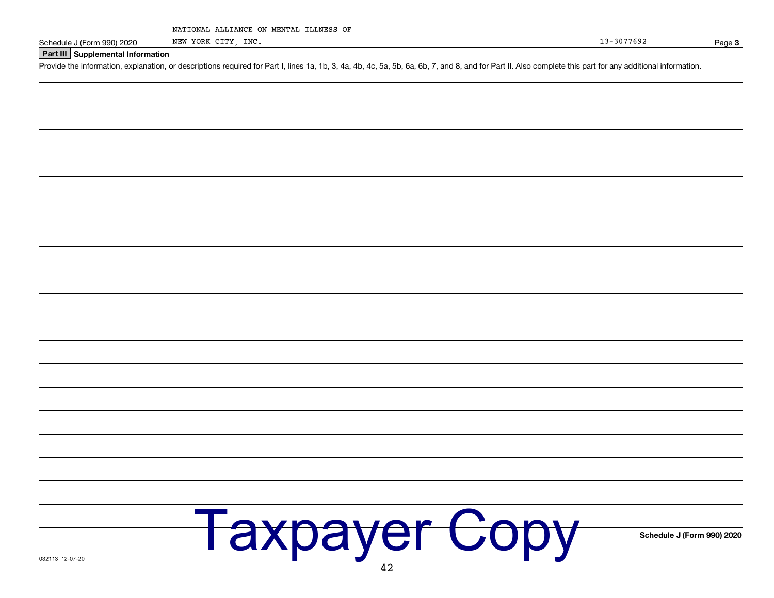|  | NATIONAL ALLIANCE ON MENTAL ILLNESS OF |  |  |  |  |
|--|----------------------------------------|--|--|--|--|
|--|----------------------------------------|--|--|--|--|

NEW YORK CITY, INC.

Schedule J (Form 990) 2020

Page 3

Schedule J (Form 990) 2020

Part III Supplemental Information

Provide the information, explanation, or descriptions required for Part I, lines 1a, 1b, 3, 4a, 4b, 4c, 5a, 5b, 6a, 6b, 7, and 8, and for Part II. Also complete this part for any additional information.

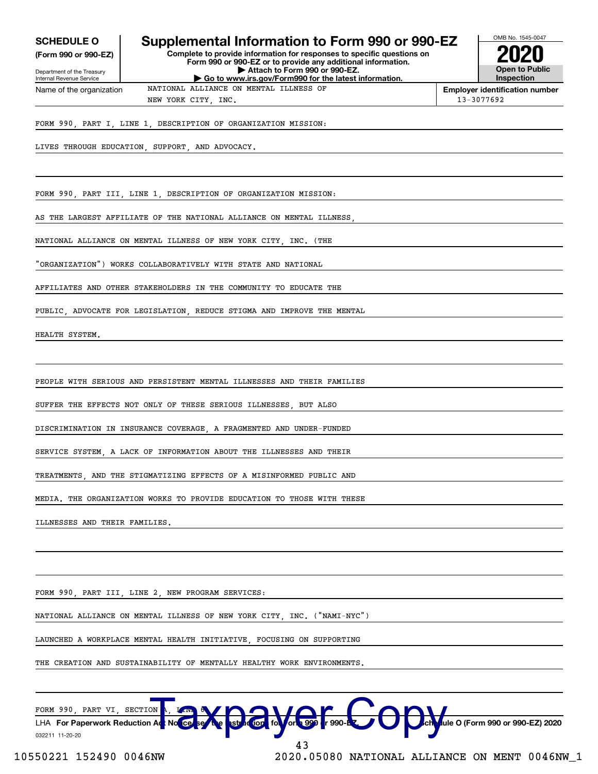| <b>SCHEDULE O</b> |  |
|-------------------|--|
|-------------------|--|

Internal Revenue Service

(Form 990 or 990-EZ) Department of the Treasury

# Supplemental Information to Form 990 or 990-EZ

NATIONAL ALLIANCE ON MENTAL ILLNESS OF

Complete to provide information for responses to specific questions on Form 990 or 990-EZ or to provide any additional information. Attach to Form 990 or 990-EZ. Go to www.irs.gov/Form990 for the latest information.



**Employer identification number** 13-3077692

Name of the organization NEW YORK CITY, INC.

FORM 990, PART I, LINE 1, DESCRIPTION OF ORGANIZATION MISSION:

LIVES THROUGH EDUCATION, SUPPORT, AND ADVOCACY.

FORM 990, PART III, LINE 1, DESCRIPTION OF ORGANIZATION MISSION:

AS THE LARGEST AFFILIATE OF THE NATIONAL ALLIANCE ON MENTAL ILLNESS

NATIONAL ALLIANCE ON MENTAL ILLNESS OF NEW YORK CITY, INC. (THE

"ORGANIZATION") WORKS COLLABORATIVELY WITH STATE AND NATIONAL

AFFILIATES AND OTHER STAKEHOLDERS IN THE COMMUNITY TO EDUCATE THE

PUBLIC, ADVOCATE FOR LEGISLATION, REDUCE STIGMA AND IMPROVE THE MENTAL

HEALTH SYSTEM,

PEOPLE WITH SERIOUS AND PERSISTENT MENTAL ILLNESSES AND THEIR FAMILIES

SUFFER THE EFFECTS NOT ONLY OF THESE SERIOUS ILLNESSES. BUT ALSO

DISCRIMINATION IN INSURANCE COVERAGE, A FRAGMENTED AND UNDER-FUNDED

SERVICE SYSTEM. A LACK OF INFORMATION ABOUT THE ILLNESSES AND THEIR

**TREATMENTS** AND THE STIGMATIZING EFFECTS OF A MISINFORMED PUBLIC AND

MEDIA. THE ORGANIZATION WORKS TO PROVIDE EDUCATION TO THOSE WITH THESE

ILLNESSES AND THEIR FAMILIES.

FORM 990, PART III, LINE 2, NEW PROGRAM SERVICES:

NATIONAL ALLIANCE ON MENTAL ILLNESS OF NEW YORK CITY . INC. ("NAMI-NYC")

LAUNCHED A WORKPLACE MENTAL HEALTH INITIATIVE. FOCUSING ON SUPPORTING

THE CREATION AND SUSTAINABILITY OF MENTALLY HEALTHY WORK ENVIRONMENTS.

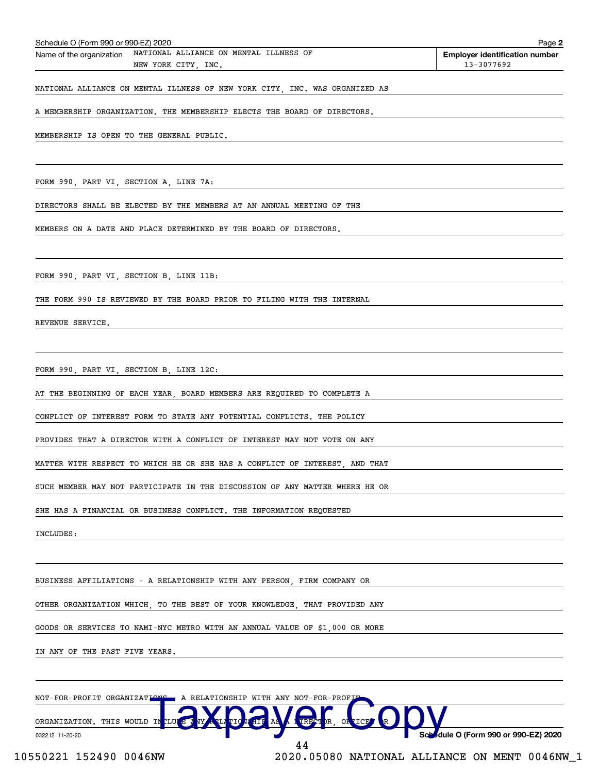| A MEMBERSHIP ORGANIZATION. THE MEMBERSHIP ELECTS THE BOARD OF DIRECTORS.                             |                                               |
|------------------------------------------------------------------------------------------------------|-----------------------------------------------|
| MEMBERSHIP IS OPEN TO THE GENERAL PUBLIC.                                                            |                                               |
|                                                                                                      |                                               |
| FORM 990, PART VI, SECTION A, LINE 7A:                                                               |                                               |
| DIRECTORS SHALL BE ELECTED BY THE MEMBERS AT AN ANNUAL MEETING OF THE                                |                                               |
| MEMBERS ON A DATE AND PLACE DETERMINED BY THE BOARD OF DIRECTORS.                                    |                                               |
|                                                                                                      |                                               |
| FORM 990, PART VI, SECTION B, LINE 11B:                                                              |                                               |
| THE FORM 990 IS REVIEWED BY THE BOARD PRIOR TO FILING WITH THE INTERNAL                              |                                               |
| REVENUE SERVICE.                                                                                     |                                               |
| FORM 990, PART VI, SECTION B, LINE 12C:                                                              |                                               |
| AT THE BEGINNING OF EACH YEAR, BOARD MEMBERS ARE REQUIRED TO COMPLETE A                              |                                               |
| CONFLICT OF INTEREST FORM TO STATE ANY POTENTIAL CONFLICTS. THE POLICY                               |                                               |
| PROVIDES THAT A DIRECTOR WITH A CONFLICT OF INTEREST MAY NOT VOTE ON ANY                             |                                               |
| MATTER WITH RESPECT TO WHICH HE OR SHE HAS A CONFLICT OF INTEREST, AND THAT                          |                                               |
| SUCH MEMBER MAY NOT PARTICIPATE IN THE DISCUSSION OF ANY MATTER WHERE HE OR                          |                                               |
| SHE HAS A FINANCIAL OR BUSINESS CONFLICT. THE INFORMATION REQUESTED                                  |                                               |
| INCLUDES:                                                                                            |                                               |
| BUSINESS AFFILIATIONS - A RELATIONSHIP WITH ANY PERSON, FIRM COMPANY OR                              |                                               |
| OTHER ORGANIZATION WHICH, TO THE BEST OF YOUR KNOWLEDGE, THAT PROVIDED ANY                           |                                               |
| GOODS OR SERVICES TO NAMI-NYC METRO WITH AN ANNUAL VALUE OF \$1,000 OR MORE                          |                                               |
| IN ANY OF THE PAST FIVE YEARS.                                                                       |                                               |
|                                                                                                      |                                               |
| NOT-FOR-PROFIT ORGANIZATIONS . A RELATIONSHIP WITH ANY NOT-FOR-PROFIT<br>ORGANIZATION. THIS WOULD IN |                                               |
| 032212 11-20-20                                                                                      | Schedule O (Form 990 or 990-EZ) 2020<br>44    |
| 10550221 152490 0046NW                                                                               | 2020.05080 NATIONAL ALLIANCE ON MENT 0046NW_1 |

Page 2

**Employer identification number** 

 $13 - 3077692$ 

Schedule O (Form 990 or 990-EZ) 2020

Name of the organization NATIONAL ALLIANCE ON MENTAL ILLNESS OF

NEW YORK CITY, INC.